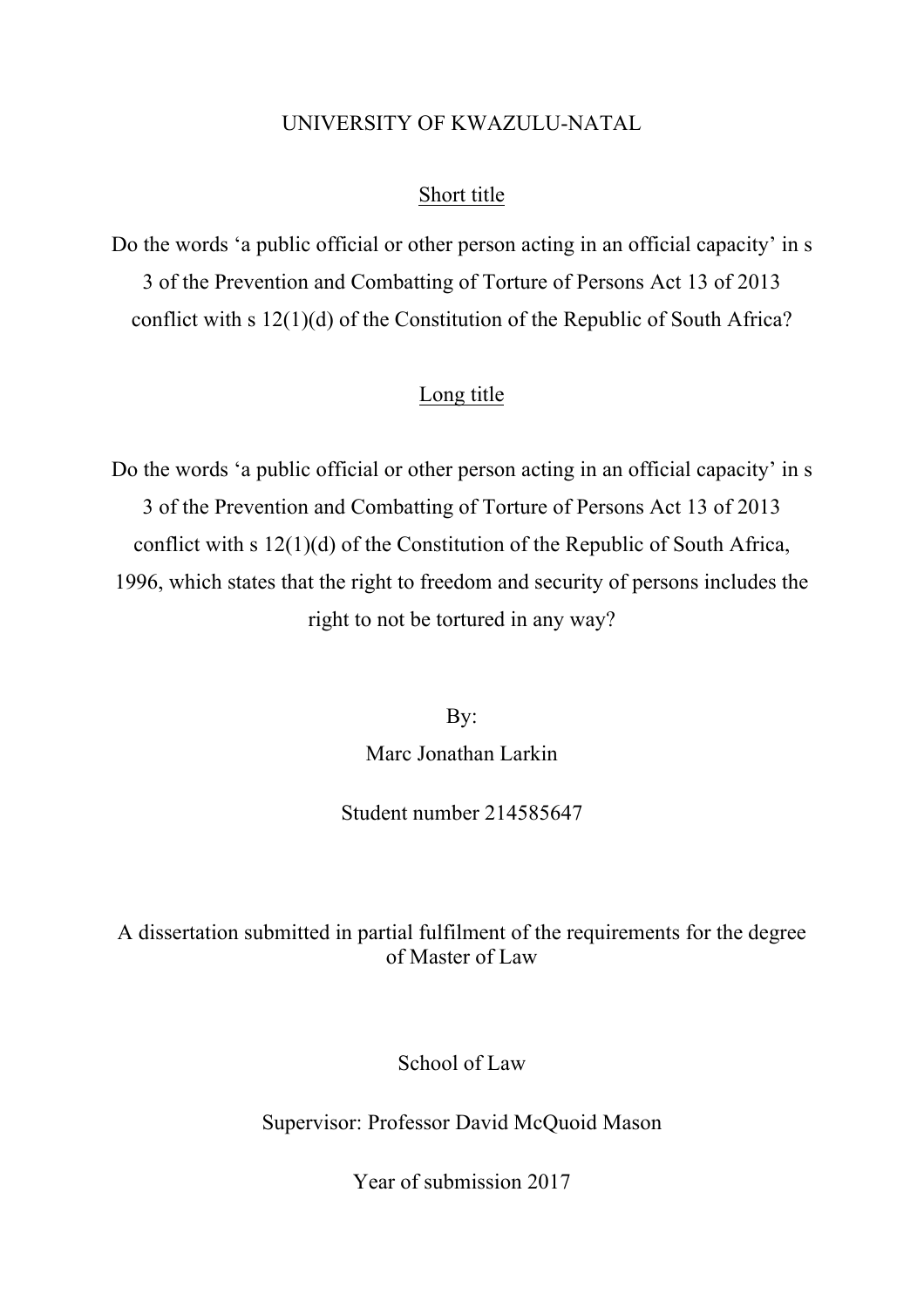# UNIVERSITY OF KWAZULU-NATAL

# Short title

Do the words 'a public official or other person acting in an official capacity' in s 3 of the Prevention and Combatting of Torture of Persons Act 13 of 2013 conflict with s 12(1)(d) of the Constitution of the Republic of South Africa?

# Long title

Do the words 'a public official or other person acting in an official capacity' in s 3 of the Prevention and Combatting of Torture of Persons Act 13 of 2013 conflict with s 12(1)(d) of the Constitution of the Republic of South Africa, 1996, which states that the right to freedom and security of persons includes the right to not be tortured in any way?

> By: Marc Jonathan Larkin

Student number 214585647

A dissertation submitted in partial fulfilment of the requirements for the degree of Master of Law

School of Law

Supervisor: Professor David McQuoid Mason

Year of submission 2017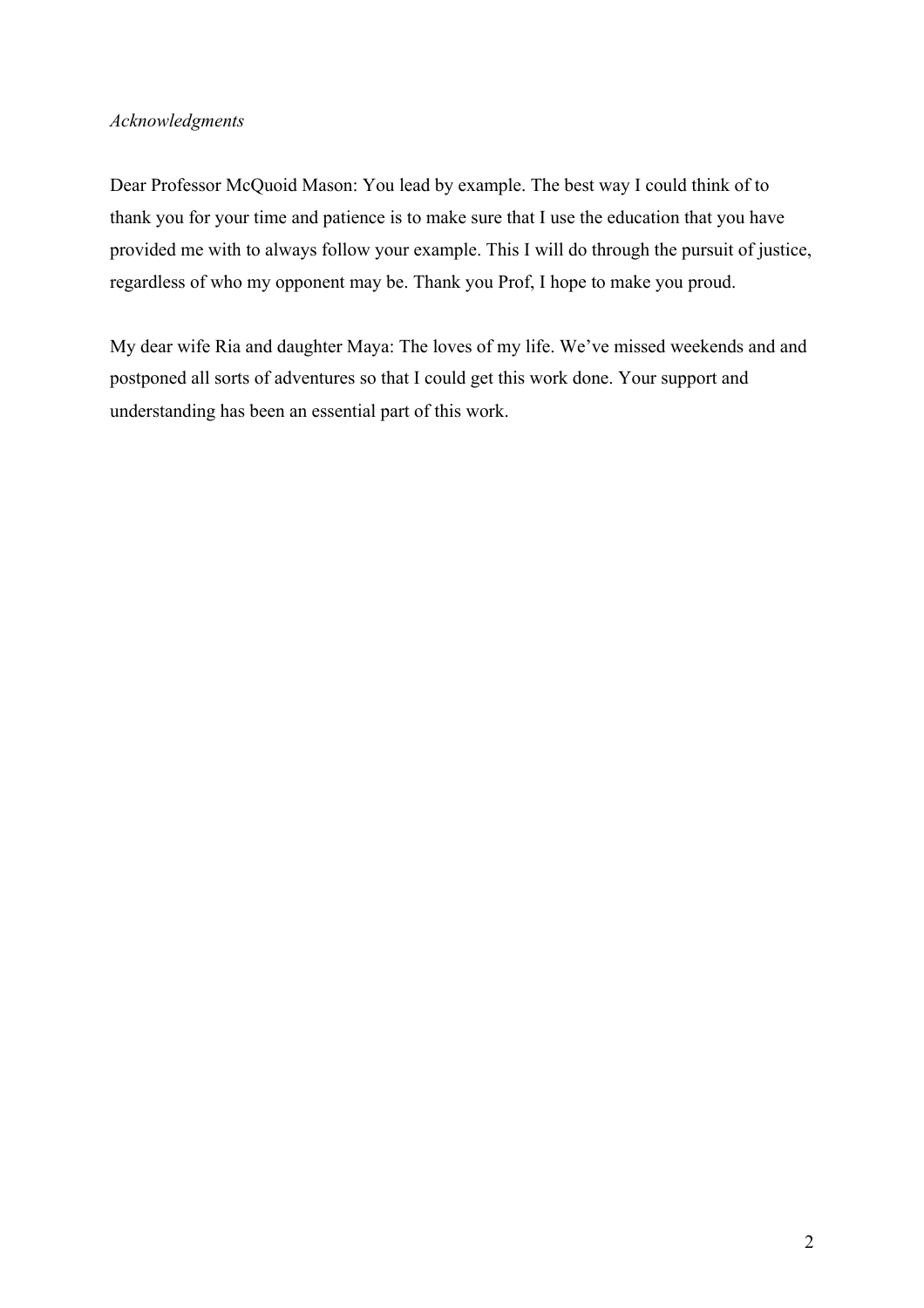## *Acknowledgments*

Dear Professor McQuoid Mason: You lead by example. The best way I could think of to thank you for your time and patience is to make sure that I use the education that you have provided me with to always follow your example. This I will do through the pursuit of justice, regardless of who my opponent may be. Thank you Prof, I hope to make you proud.

My dear wife Ria and daughter Maya: The loves of my life. We've missed weekends and and postponed all sorts of adventures so that I could get this work done. Your support and understanding has been an essential part of this work.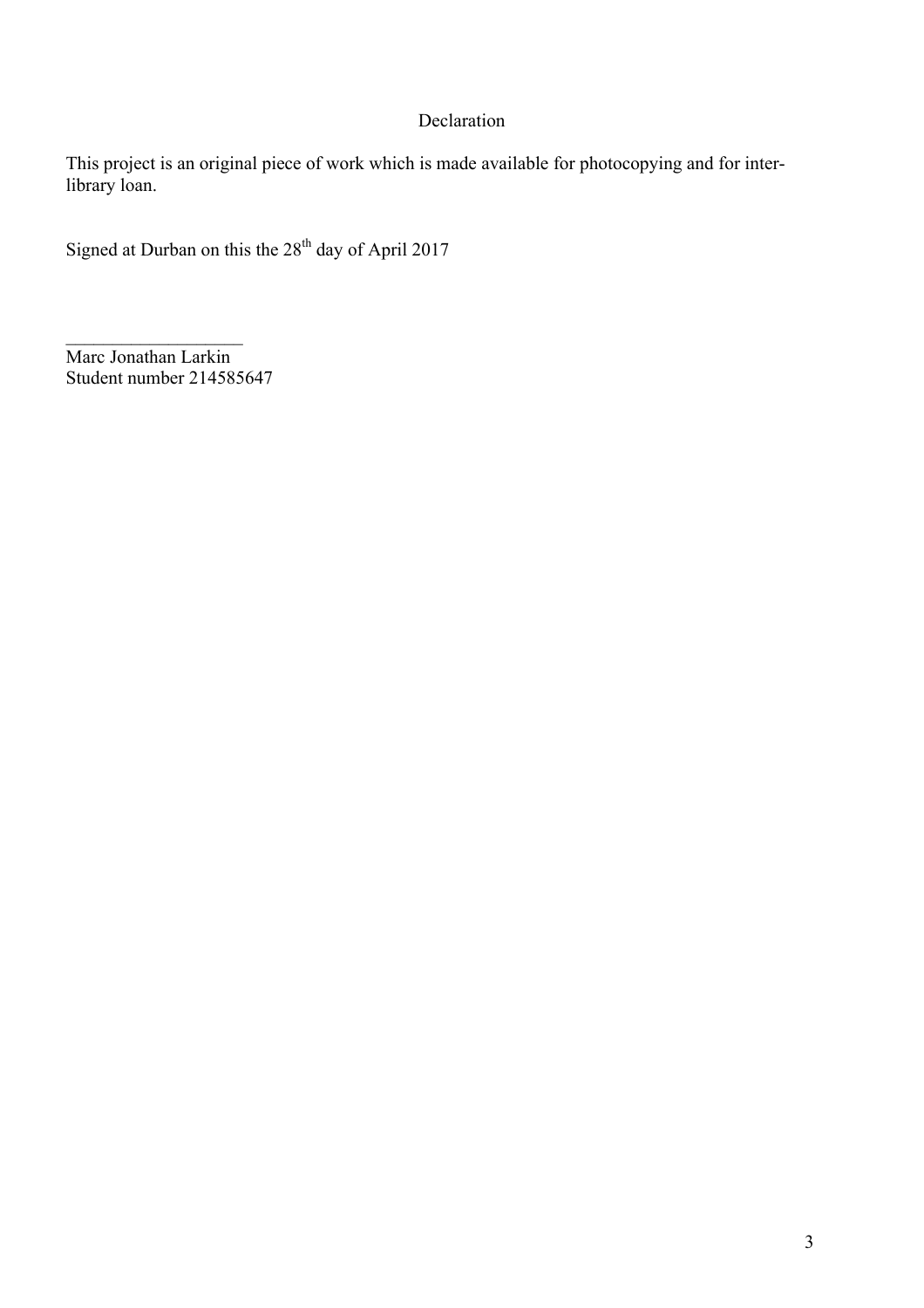# Declaration

This project is an original piece of work which is made available for photocopying and for interlibrary loan.

Signed at Durban on this the  $28<sup>th</sup>$  day of April 2017

Marc Jonathan Larkin Student number 214585647

 $\mathcal{L}_\text{max}$  , where  $\mathcal{L}_\text{max}$  is the set of  $\mathcal{L}_\text{max}$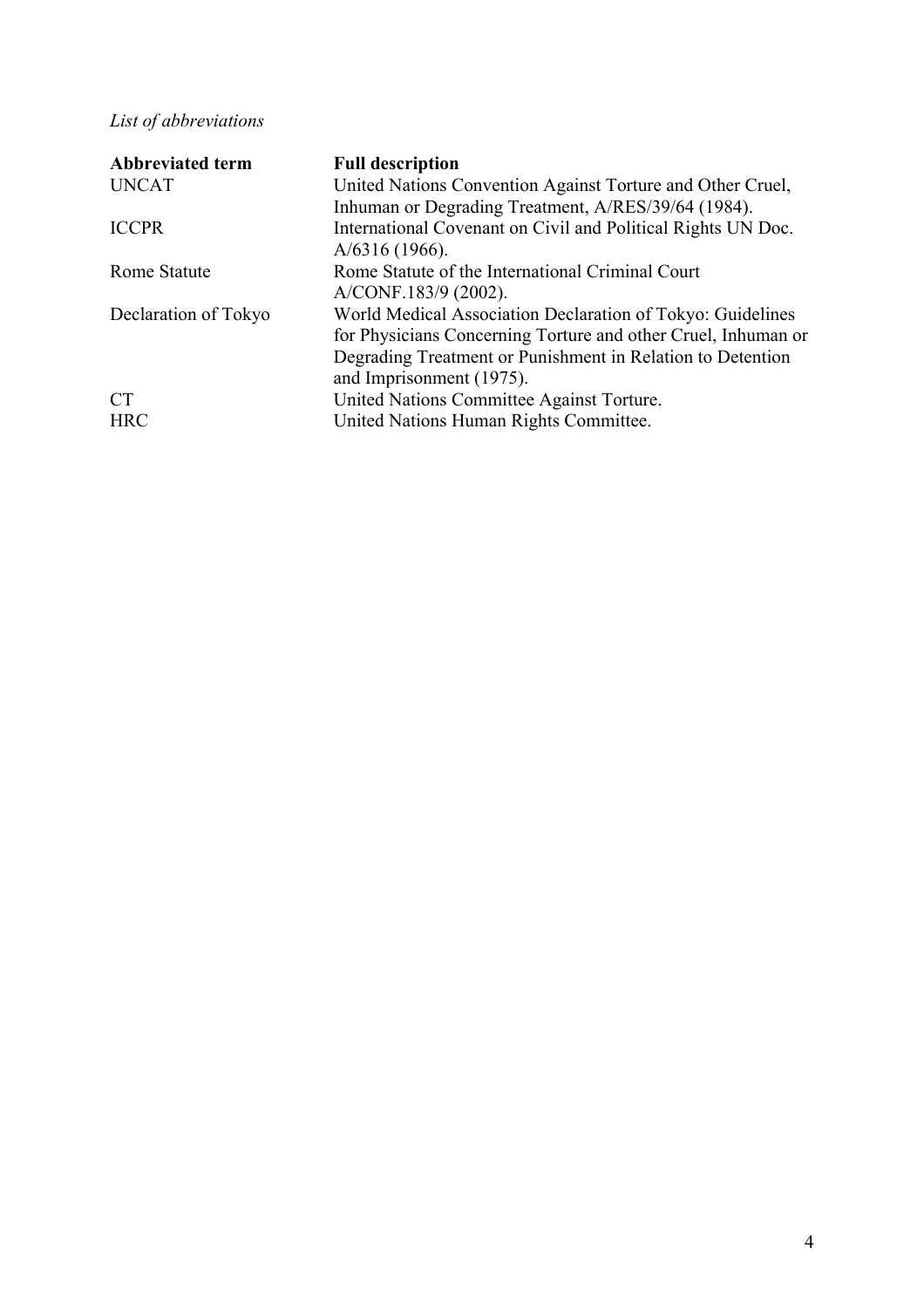# *List of abbreviations*

| <b>Abbreviated term</b> | <b>Full description</b>                                       |
|-------------------------|---------------------------------------------------------------|
| <b>UNCAT</b>            | United Nations Convention Against Torture and Other Cruel,    |
|                         | Inhuman or Degrading Treatment, A/RES/39/64 (1984).           |
| <b>ICCPR</b>            | International Covenant on Civil and Political Rights UN Doc.  |
|                         | $A/6316(1966)$ .                                              |
| <b>Rome Statute</b>     | Rome Statute of the International Criminal Court              |
|                         | A/CONF.183/9 (2002).                                          |
| Declaration of Tokyo    | World Medical Association Declaration of Tokyo: Guidelines    |
|                         | for Physicians Concerning Torture and other Cruel, Inhuman or |
|                         | Degrading Treatment or Punishment in Relation to Detention    |
|                         | and Imprisonment (1975).                                      |
| <b>CT</b>               | United Nations Committee Against Torture.                     |
| <b>HRC</b>              | United Nations Human Rights Committee.                        |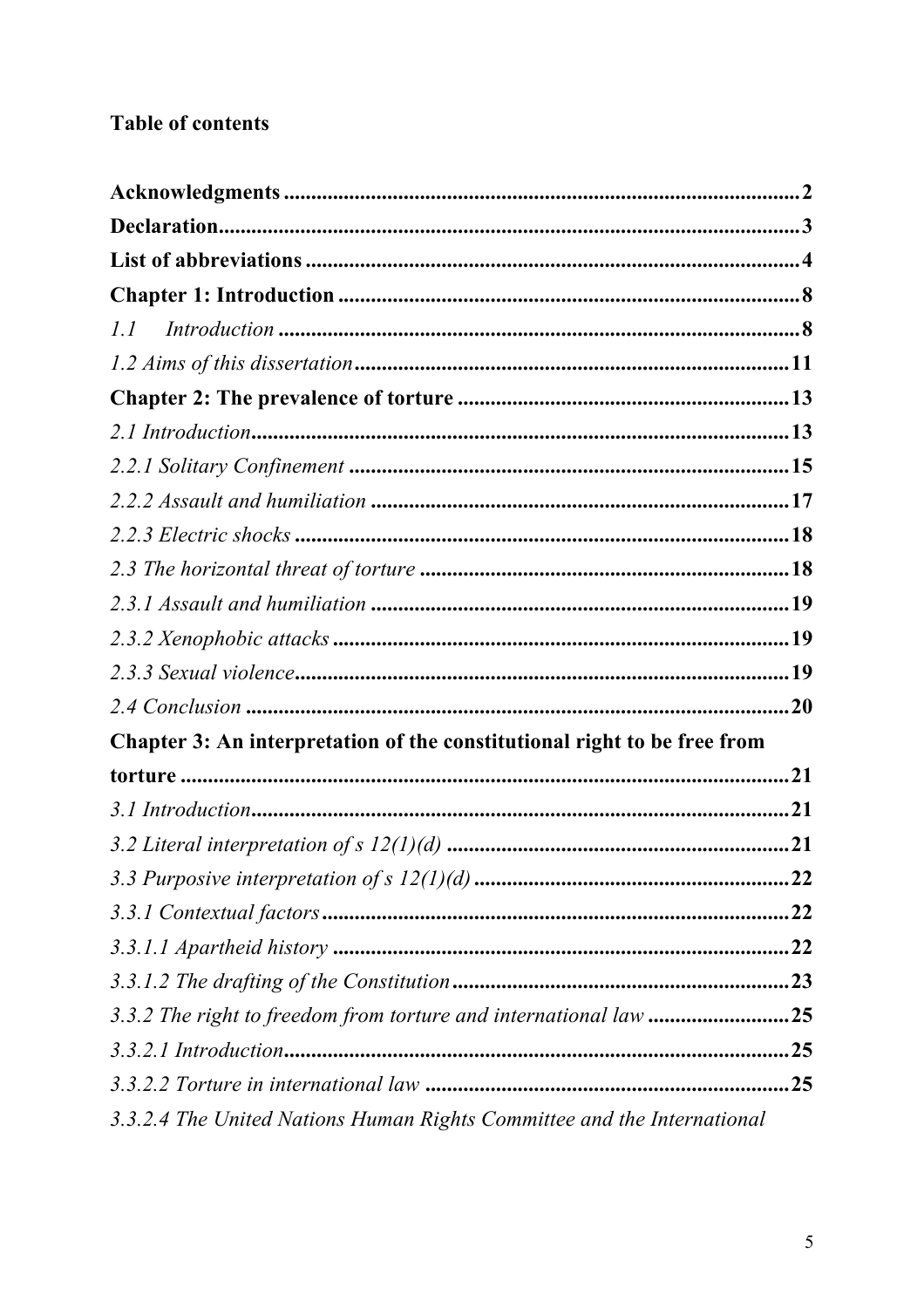# **Table of contents**

| l.l                                                                      |     |
|--------------------------------------------------------------------------|-----|
|                                                                          |     |
|                                                                          |     |
|                                                                          |     |
|                                                                          |     |
|                                                                          |     |
|                                                                          |     |
|                                                                          |     |
|                                                                          |     |
|                                                                          |     |
|                                                                          |     |
|                                                                          |     |
| Chapter 3: An interpretation of the constitutional right to be free from |     |
|                                                                          | .21 |
|                                                                          |     |
|                                                                          |     |
|                                                                          |     |
|                                                                          |     |
|                                                                          |     |
|                                                                          |     |
|                                                                          |     |
|                                                                          |     |
|                                                                          |     |
| 3.3.2.4 The United Nations Human Rights Committee and the International  |     |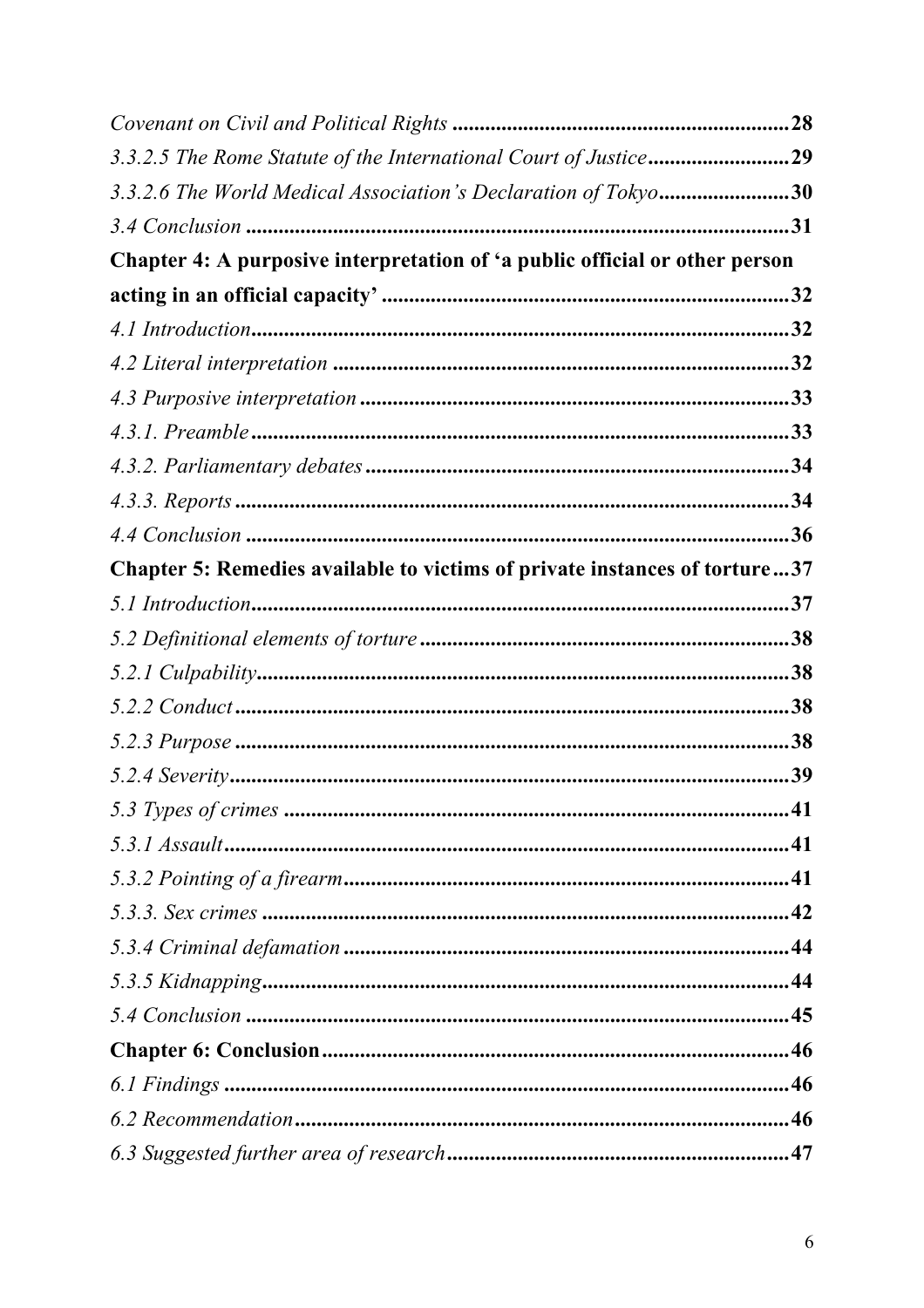| 3.3.2.5 The Rome Statute of the International Court of Justice29            |  |
|-----------------------------------------------------------------------------|--|
| 3.3.2.6 The World Medical Association's Declaration of Tokyo30              |  |
|                                                                             |  |
| Chapter 4: A purposive interpretation of 'a public official or other person |  |
|                                                                             |  |
|                                                                             |  |
|                                                                             |  |
|                                                                             |  |
|                                                                             |  |
|                                                                             |  |
|                                                                             |  |
|                                                                             |  |
| Chapter 5: Remedies available to victims of private instances of torture37  |  |
|                                                                             |  |
|                                                                             |  |
|                                                                             |  |
|                                                                             |  |
|                                                                             |  |
|                                                                             |  |
|                                                                             |  |
|                                                                             |  |
|                                                                             |  |
|                                                                             |  |
|                                                                             |  |
|                                                                             |  |
|                                                                             |  |
|                                                                             |  |
|                                                                             |  |
|                                                                             |  |
|                                                                             |  |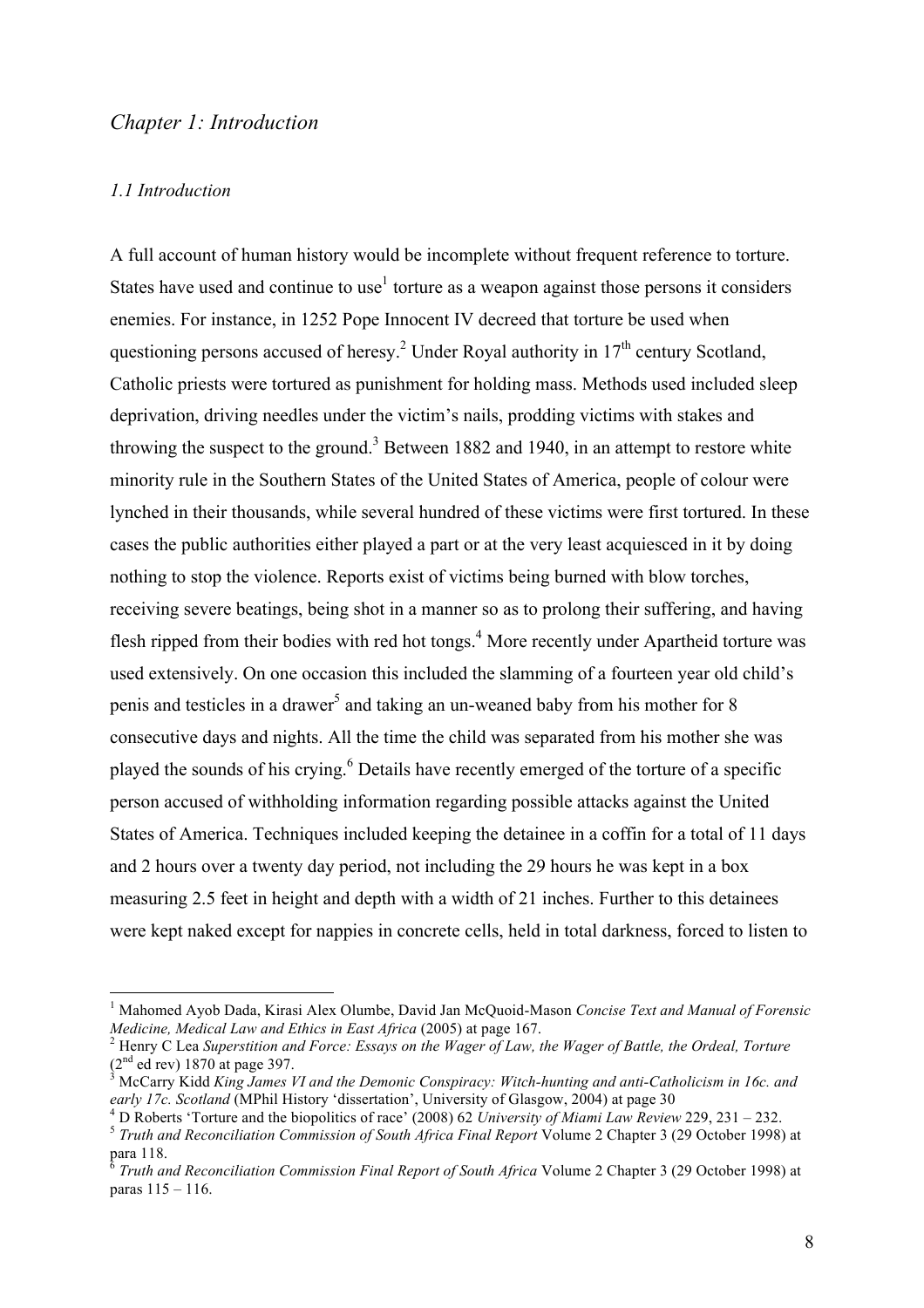## *Chapter 1: Introduction*

#### *1.1 Introduction*

A full account of human history would be incomplete without frequent reference to torture. States have used and continue to use<sup>1</sup> torture as a weapon against those persons it considers enemies. For instance, in 1252 Pope Innocent IV decreed that torture be used when questioning persons accused of heresy.<sup>2</sup> Under Royal authority in  $17<sup>th</sup>$  century Scotland, Catholic priests were tortured as punishment for holding mass. Methods used included sleep deprivation, driving needles under the victim's nails, prodding victims with stakes and throwing the suspect to the ground.<sup>3</sup> Between 1882 and 1940, in an attempt to restore white minority rule in the Southern States of the United States of America, people of colour were lynched in their thousands, while several hundred of these victims were first tortured. In these cases the public authorities either played a part or at the very least acquiesced in it by doing nothing to stop the violence. Reports exist of victims being burned with blow torches, receiving severe beatings, being shot in a manner so as to prolong their suffering, and having flesh ripped from their bodies with red hot tongs.<sup>4</sup> More recently under Apartheid torture was used extensively. On one occasion this included the slamming of a fourteen year old child's penis and testicles in a drawer<sup>5</sup> and taking an un-weaned baby from his mother for 8 consecutive days and nights. All the time the child was separated from his mother she was played the sounds of his crying.<sup>6</sup> Details have recently emerged of the torture of a specific person accused of withholding information regarding possible attacks against the United States of America. Techniques included keeping the detainee in a coffin for a total of 11 days and 2 hours over a twenty day period, not including the 29 hours he was kept in a box measuring 2.5 feet in height and depth with a width of 21 inches. Further to this detainees were kept naked except for nappies in concrete cells, held in total darkness, forced to listen to

 <sup>1</sup> Mahomed Ayob Dada, Kirasi Alex Olumbe, David Jan McQuoid-Mason *Concise Text and Manual of Forensic* 

*Medicine, Medical Law and Ethics in East Africa* (2005) at page 167.<br><sup>2</sup> Henry C Lea *Superstition and Force: Essays on the Wager of Law, the Wager of Battle, the Ordeal, Torture*<br>(2<sup>nd</sup> ed rev) 1870 at page 397.

<sup>&</sup>lt;sup>3</sup> McCarry Kidd *King James VI and the Demonic Conspiracy: Witch-hunting and anti-Catholicism in 16c. and early 17c. Scotland (MPhil History 'dissertation'. University of Glasgow. 2004) at page 30* 

<sup>&</sup>lt;sup>4</sup> D Roberts 'Torture and the biopolitics of race' (2008) 62 University of Miami Law Review 229, 231 – 232.<br><sup>5</sup> Truth and Reconciliation Commission of South Africa Final Report Volume 2 Chapter 3 (29 October 1998) at

para 118.

<sup>6</sup> *Truth and Reconciliation Commission Final Report of South Africa* Volume 2 Chapter 3 (29 October 1998) at paras 115 – 116.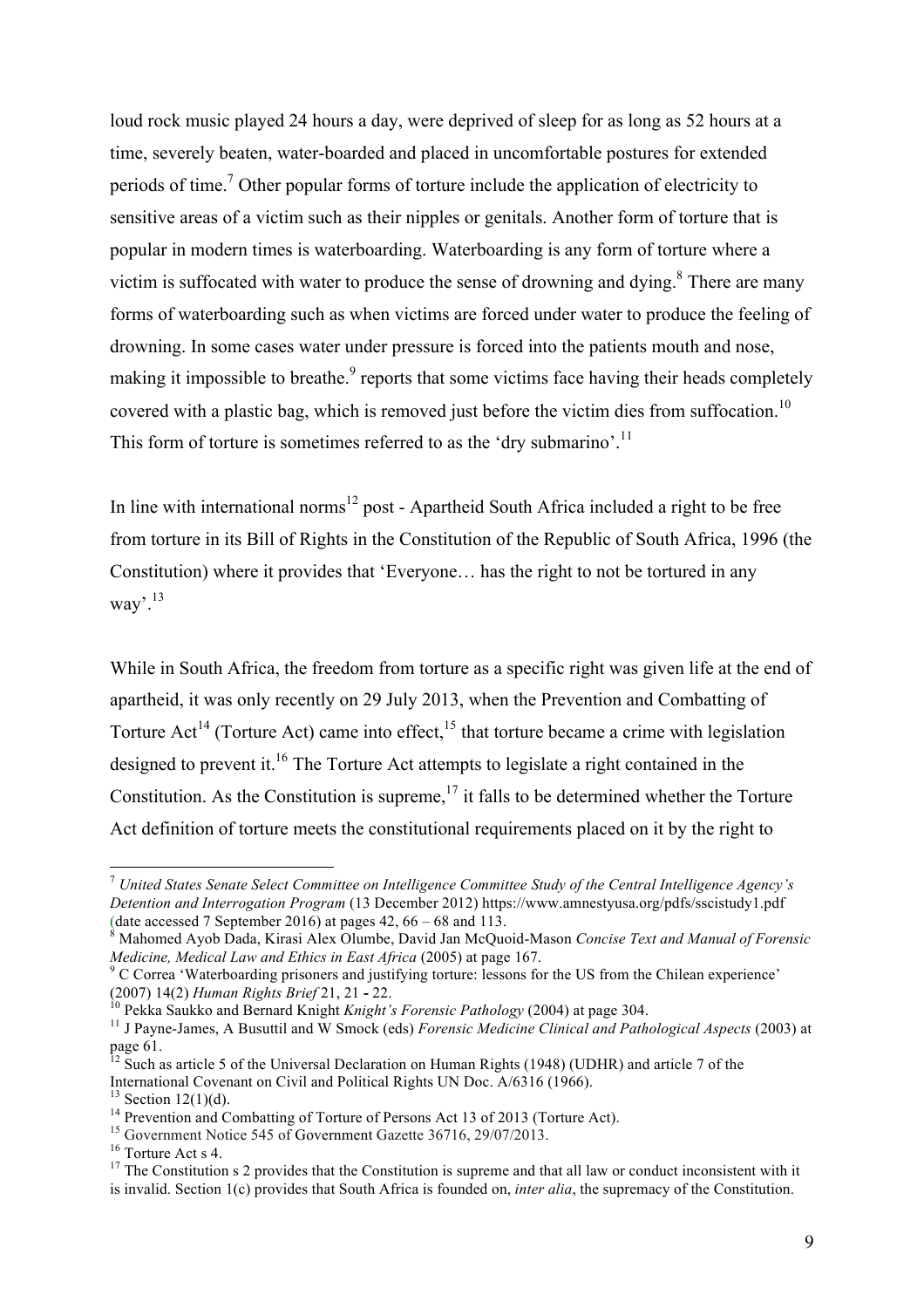loud rock music played 24 hours a day, were deprived of sleep for as long as 52 hours at a time, severely beaten, water-boarded and placed in uncomfortable postures for extended periods of time.7 Other popular forms of torture include the application of electricity to sensitive areas of a victim such as their nipples or genitals. Another form of torture that is popular in modern times is waterboarding. Waterboarding is any form of torture where a victim is suffocated with water to produce the sense of drowning and dying.<sup>8</sup> There are many forms of waterboarding such as when victims are forced under water to produce the feeling of drowning. In some cases water under pressure is forced into the patients mouth and nose, making it impossible to breathe.<sup>9</sup> reports that some victims face having their heads completely covered with a plastic bag, which is removed just before the victim dies from suffocation.<sup>10</sup> This form of torture is sometimes referred to as the 'dry submarino'.<sup>11</sup>

In line with international norms<sup>12</sup> post - Apartheid South Africa included a right to be free from torture in its Bill of Rights in the Constitution of the Republic of South Africa, 1996 (the Constitution) where it provides that 'Everyone… has the right to not be tortured in any way'.13

While in South Africa, the freedom from torture as a specific right was given life at the end of apartheid, it was only recently on 29 July 2013, when the Prevention and Combatting of Torture Act<sup>14</sup> (Torture Act) came into effect,  $15$  that torture became a crime with legislation designed to prevent it.<sup>16</sup> The Torture Act attempts to legislate a right contained in the Constitution. As the Constitution is supreme,  $17$  it falls to be determined whether the Torture Act definition of torture meets the constitutional requirements placed on it by the right to

 <sup>7</sup> *United States Senate Select Committee on Intelligence Committee Study of the Central Intelligence Agency's Detention and Interrogation Program* (13 December 2012) https://www.amnestyusa.org/pdfs/sscistudy1.pdf (date accessed 7 September 2016) at pages 42, 66 – 68 and 113. <sup>8</sup> Mahomed Ayob Dada, Kirasi Alex Olumbe, David Jan McQuoid-Mason *Concise Text and Manual of Forensic* 

*Medicine, Medical Law and Ethics in East Africa* (2005) at page 167.<br><sup>9</sup> C Correa 'Waterboarding prisoners and justifying torture: lessons for the US from the Chilean experience'

<sup>(2007) 14(2)</sup> Human Rights Brief 21, 21 - 22.<br><sup>10</sup> Pekka Saukko and Bernard Knight *Knight's Forensic Pathology* (2004) at page 304.<br><sup>11</sup> J Pavne-James, A Busuttil and W Smock (eds) *Forensic Medicine Clinical and Patholog* 

page 61.

 $12$  Such as article 5 of the Universal Declaration on Human Rights (1948) (UDHR) and article 7 of the International Covenant on Civil and Political Rights UN Doc.  $\angle A/6316$  (1966).<br><sup>13</sup> Section 12(1)(d).<br><sup>14</sup> Prevention and Combatting of Torture of Persons Act 13 of 2013 (Torture Act).<br><sup>15</sup> Government Notice 545 of Gover

is invalid. Section 1(c) provides that South Africa is founded on, *inter alia*, the supremacy of the Constitution.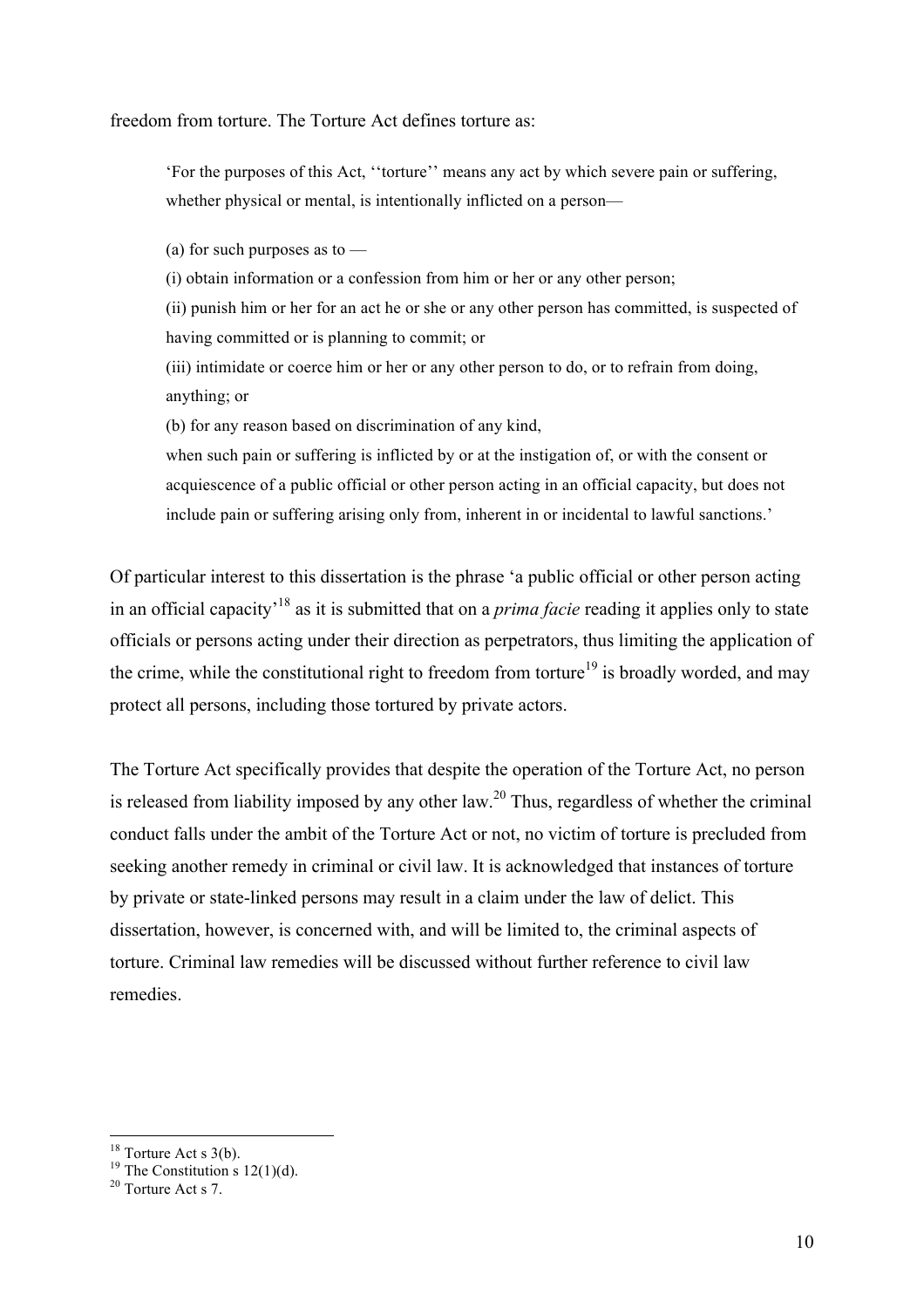freedom from torture. The Torture Act defines torture as:

'For the purposes of this Act, ''torture'' means any act by which severe pain or suffering, whether physical or mental, is intentionally inflicted on a person—

(a) for such purposes as to  $-$ 

(i) obtain information or a confession from him or her or any other person;

(ii) punish him or her for an act he or she or any other person has committed, is suspected of having committed or is planning to commit; or

(iii) intimidate or coerce him or her or any other person to do, or to refrain from doing, anything; or

(b) for any reason based on discrimination of any kind,

when such pain or suffering is inflicted by or at the instigation of, or with the consent or acquiescence of a public official or other person acting in an official capacity, but does not include pain or suffering arising only from, inherent in or incidental to lawful sanctions.'

Of particular interest to this dissertation is the phrase 'a public official or other person acting in an official capacity'18 as it is submitted that on a *prima facie* reading it applies only to state officials or persons acting under their direction as perpetrators, thus limiting the application of the crime, while the constitutional right to freedom from torture<sup>19</sup> is broadly worded, and may protect all persons, including those tortured by private actors.

The Torture Act specifically provides that despite the operation of the Torture Act, no person is released from liability imposed by any other law.<sup>20</sup> Thus, regardless of whether the criminal conduct falls under the ambit of the Torture Act or not, no victim of torture is precluded from seeking another remedy in criminal or civil law. It is acknowledged that instances of torture by private or state-linked persons may result in a claim under the law of delict. This dissertation, however, is concerned with, and will be limited to, the criminal aspects of torture. Criminal law remedies will be discussed without further reference to civil law remedies.

<sup>&</sup>lt;sup>18</sup> Torture Act s 3(b).<br><sup>19</sup> The Constitution s 12(1)(d).<br><sup>20</sup> Torture Act s 7.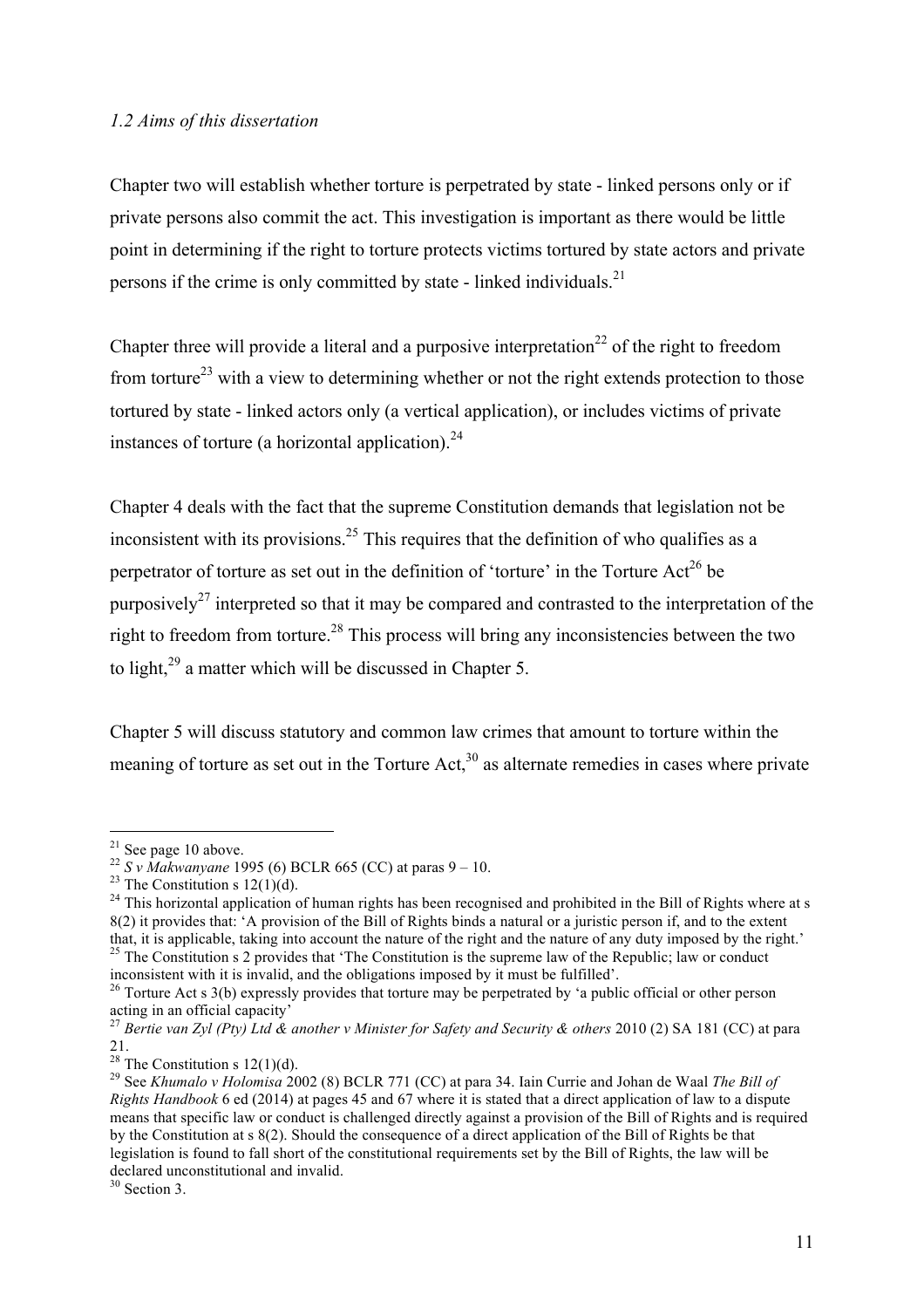#### *1.2 Aims of this dissertation*

Chapter two will establish whether torture is perpetrated by state - linked persons only or if private persons also commit the act. This investigation is important as there would be little point in determining if the right to torture protects victims tortured by state actors and private persons if the crime is only committed by state - linked individuals.<sup>21</sup>

Chapter three will provide a literal and a purposive interpretation<sup>22</sup> of the right to freedom from torture<sup>23</sup> with a view to determining whether or not the right extends protection to those tortured by state - linked actors only (a vertical application), or includes victims of private instances of torture (a horizontal application). $^{24}$ 

Chapter 4 deals with the fact that the supreme Constitution demands that legislation not be inconsistent with its provisions.<sup>25</sup> This requires that the definition of who qualifies as a perpetrator of torture as set out in the definition of 'torture' in the Torture Act<sup>26</sup> be purposively<sup>27</sup> interpreted so that it may be compared and contrasted to the interpretation of the right to freedom from torture.<sup>28</sup> This process will bring any inconsistencies between the two to light,<sup>29</sup> a matter which will be discussed in Chapter 5.

Chapter 5 will discuss statutory and common law crimes that amount to torture within the meaning of torture as set out in the Torture Act, $30$  as alternate remedies in cases where private

<sup>&</sup>lt;sup>21</sup> See page 10 above.<br><sup>22</sup> S v Makwanyane 1995 (6) BCLR 665 (CC) at paras 9 – 10.<br><sup>23</sup> The Constitution s 12(1)(d).<br><sup>23</sup> This horizontal application of human rights has been recognised and prohibited in the Bill of Righ 8(2) it provides that: 'A provision of the Bill of Rights binds a natural or a juristic person if, and to the extent that, it is applicable, taking into account the nature of the right and the nature of any duty imposed by the right.' 25 The Constitution s 2 provides that 'The Constitution is the supreme law of the Republic; law or conduct

inconsistent with it is invalid, and the obligations imposed by it must be fulfilled'.<br><sup>26</sup> Torture Act s 3(b) expressly provides that torture may be perpetrated by 'a public official or other person acting in an official capacity'

<sup>&</sup>lt;sup>27</sup> Bertie van Zyl (Pty) Ltd & another v Minister for Safety and Security & others 2010 (2) SA 181 (CC) at para 21.<br><sup>28</sup> The Constitution s 12(1)(d).

<sup>28</sup> The Constitution s 12(1)(d). <sup>29</sup> See *Khumalo v Holomisa* 2002 (8) BCLR 771 (CC) at para 34. Iain Currie and Johan de Waal *The Bill of Rights Handbook* 6 ed (2014) at pages 45 and 67 where it is stated that a direct application of law to a dispute means that specific law or conduct is challenged directly against a provision of the Bill of Rights and is required by the Constitution at s 8(2). Should the consequence of a direct application of the Bill of Rights be that legislation is found to fall short of the constitutional requirements set by the Bill of Rights, the law will be declared unconstitutional and invalid.

 $30$  Section 3.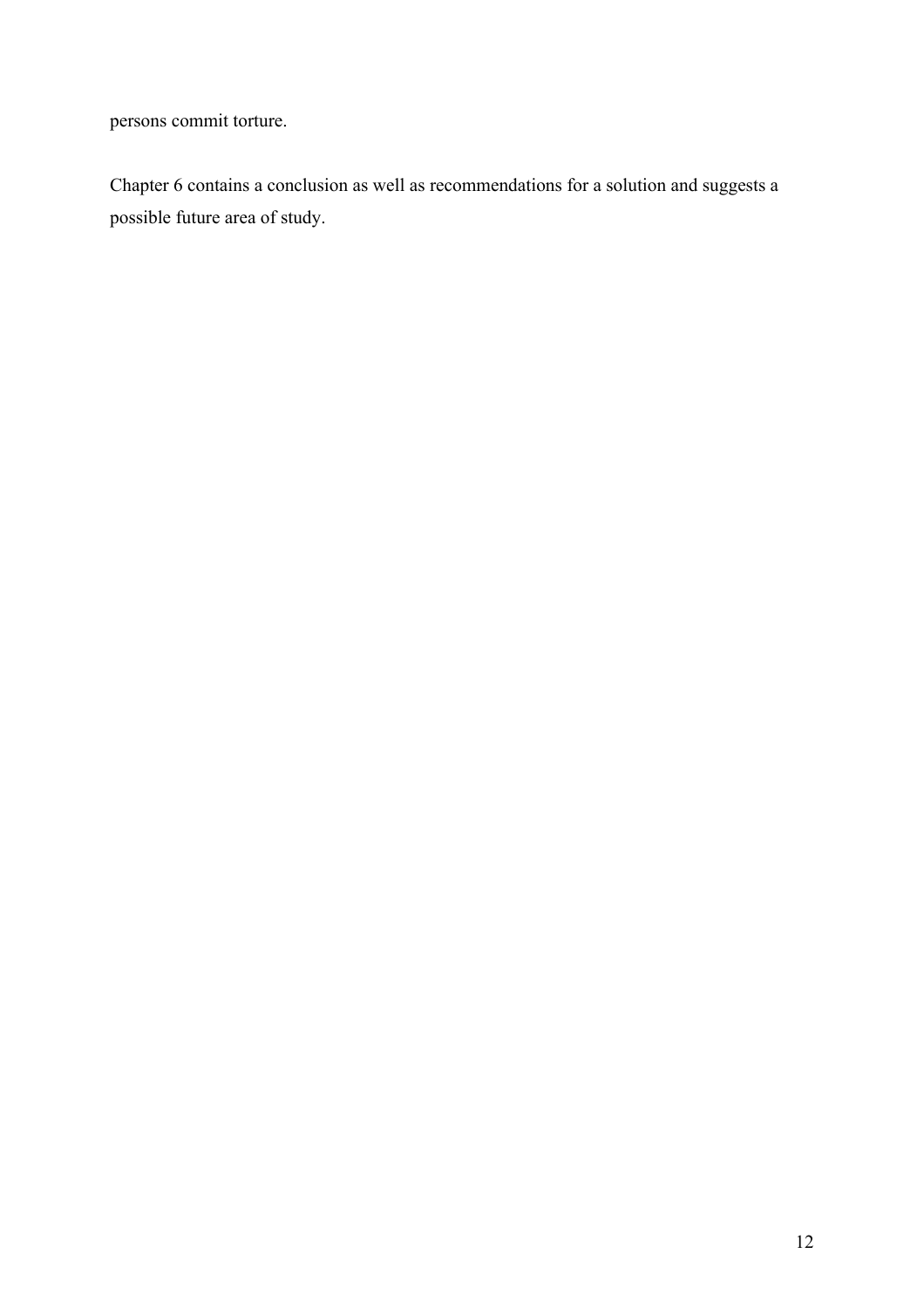persons commit torture.

Chapter 6 contains a conclusion as well as recommendations for a solution and suggests a possible future area of study.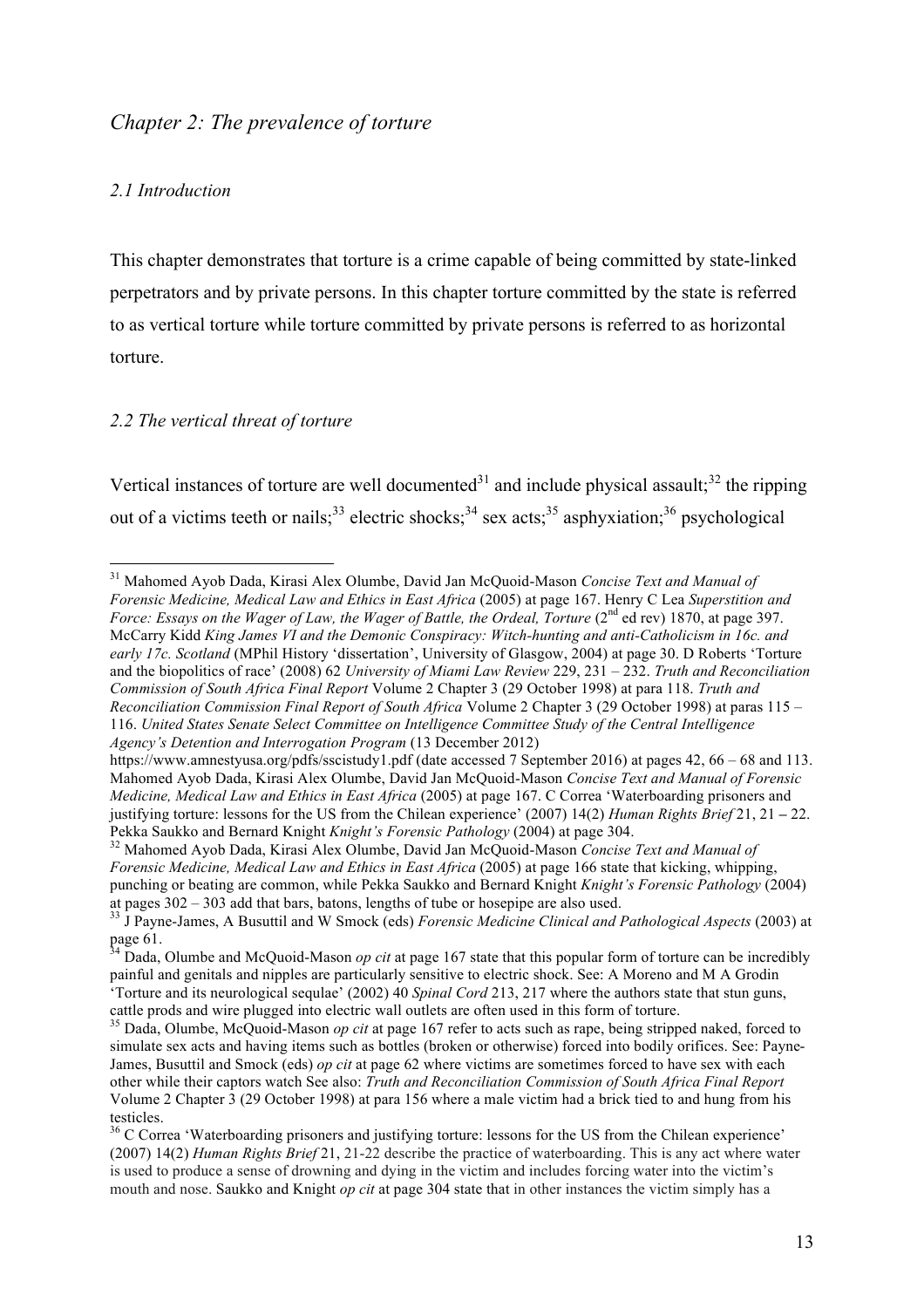## *Chapter 2: The prevalence of torture*

#### *2.1 Introduction*

This chapter demonstrates that torture is a crime capable of being committed by state-linked perpetrators and by private persons. In this chapter torture committed by the state is referred to as vertical torture while torture committed by private persons is referred to as horizontal torture.

#### *2.2 The vertical threat of torture*

Vertical instances of torture are well documented<sup>31</sup> and include physical assault;<sup>32</sup> the ripping out of a victims teeth or nails;<sup>33</sup> electric shocks;<sup>34</sup> sex acts;<sup>35</sup> asphyxiation;<sup>36</sup> psychological

 <sup>31</sup> Mahomed Ayob Dada, Kirasi Alex Olumbe, David Jan McQuoid-Mason *Concise Text and Manual of Forensic Medicine, Medical Law and Ethics in East Africa* (2005) at page 167. Henry C Lea *Superstition and Force: Essays on the Wager of Law, the Wager of Battle, the Ordeal, Torture* (2<sup>nd</sup> ed rev) 1870, at page 397. McCarry Kidd *King James VI and the Demonic Conspiracy: Witch-hunting and anti-Catholicism in 16c. and early 17c. Scotland* (MPhil History 'dissertation', University of Glasgow, 2004) at page 30. D Roberts 'Torture and the biopolitics of race' (2008) 62 *University of Miami Law Review* 229, 231 – 232. *Truth and Reconciliation Commission of South Africa Final Report* Volume 2 Chapter 3 (29 October 1998) at para 118. *Truth and Reconciliation Commission Final Report of South Africa* Volume 2 Chapter 3 (29 October 1998) at paras 115 – 116. *United States Senate Select Committee on Intelligence Committee Study of the Central Intelligence Agency's Detention and Interrogation Program* (13 December 2012)

https://www.amnestyusa.org/pdfs/sscistudy1.pdf (date accessed 7 September 2016) at pages 42, 66 – 68 and 113. Mahomed Ayob Dada, Kirasi Alex Olumbe, David Jan McQuoid-Mason *Concise Text and Manual of Forensic Medicine, Medical Law and Ethics in East Africa* (2005) at page 167. C Correa 'Waterboarding prisoners and justifying torture: lessons for the US from the Chilean experience' (2007) 14(2) *Human Rights Brief* 21, 21 **–** 22. Pekka Saukko and Bernard Knight *Knight's Forensic Pathology* (2004) at page 304. <sup>32</sup> Mahomed Ayob Dada, Kirasi Alex Olumbe, David Jan McQuoid-Mason *Concise Text and Manual of* 

*Forensic Medicine, Medical Law and Ethics in East Africa* (2005) at page 166 state that kicking, whipping, punching or beating are common, while Pekka Saukko and Bernard Knight *Knight's Forensic Pathology* (2004) at pages  $302 - 303$  add that bars, batons, lengths of tube or hosepipe are also used.

<sup>&</sup>lt;sup>33</sup> J Payne-James, A Busuttil and W Smock (eds) *Forensic Medicine Clinical and Pathological Aspects* (2003) at

page 61. <sup>34</sup> Dada, Olumbe and McQuoid-Mason *op cit* at page 167 state that this popular form of torture can be incredibly painful and genitals and nipples are particularly sensitive to electric shock. See: A Moreno and M A Grodin 'Torture and its neurological sequlae' (2002) 40 *Spinal Cord* 213, 217 where the authors state that stun guns,

cattle prods and wire plugged into electric wall outlets are often used in this form of torture. <sup>35</sup> Dada, Olumbe, McQuoid-Mason *op cit* at page 167 refer to acts such as rape, being stripped naked, forced to simulate sex acts and having items such as bottles (broken or otherwise) forced into bodily orifices. See: Payne-James, Busuttil and Smock (eds) *op cit* at page 62 where victims are sometimes forced to have sex with each other while their captors watch See also: *Truth and Reconciliation Commission of South Africa Final Report* Volume 2 Chapter 3 (29 October 1998) at para 156 where a male victim had a brick tied to and hung from his testicles.

<sup>&</sup>lt;sup>36</sup> C Correa 'Waterboarding prisoners and justifying torture: lessons for the US from the Chilean experience' (2007) 14(2) *Human Rights Brief* 21, 21-22 describe the practice of waterboarding. This is any act where water is used to produce a sense of drowning and dying in the victim and includes forcing water into the victim's mouth and nose. Saukko and Knight *op cit* at page 304 state that in other instances the victim simply has a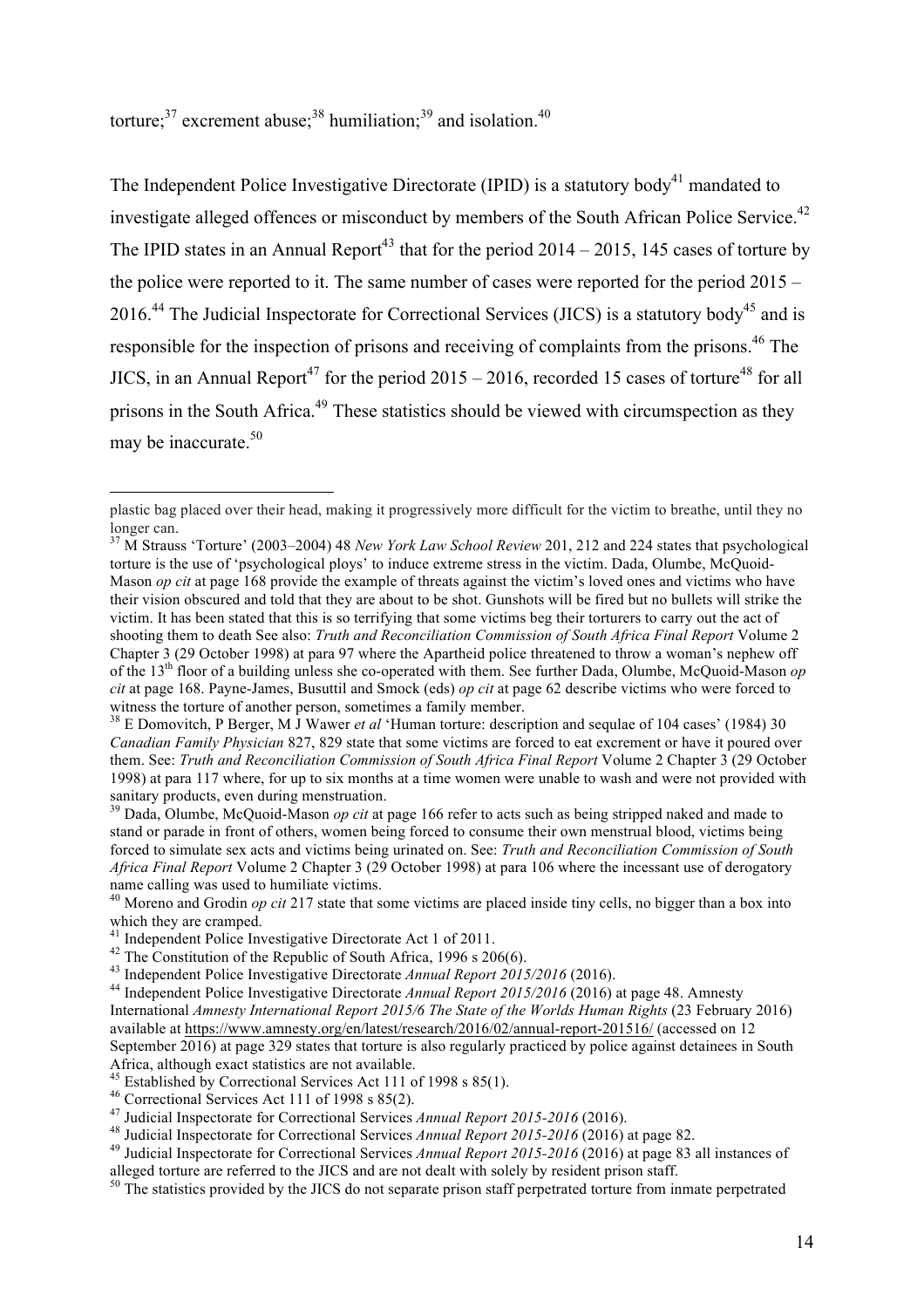torture; $^{37}$  excrement abuse; $^{38}$  humiliation; $^{39}$  and isolation.<sup>40</sup>

The Independent Police Investigative Directorate (IPID) is a statutory body<sup>41</sup> mandated to investigate alleged offences or misconduct by members of the South African Police Service.<sup>42</sup> The IPID states in an Annual Report<sup>43</sup> that for the period  $2014 - 2015$ , 145 cases of torture by the police were reported to it. The same number of cases were reported for the period 2015 –  $2016<sup>44</sup>$  The Judicial Inspectorate for Correctional Services (JICS) is a statutory body<sup>45</sup> and is responsible for the inspection of prisons and receiving of complaints from the prisons.<sup>46</sup> The JICS, in an Annual Report<sup>47</sup> for the period  $2015 - 2016$ , recorded 15 cases of torture<sup>48</sup> for all prisons in the South Africa.<sup>49</sup> These statistics should be viewed with circumspection as they may be inaccurate. 50

plastic bag placed over their head, making it progressively more difficult for the victim to breathe, until they no longer can.

<sup>37</sup> M Strauss 'Torture' (2003–2004) 48 *New York Law School Review* 201, 212 and 224 states that psychological torture is the use of 'psychological ploys' to induce extreme stress in the victim. Dada, Olumbe, McQuoid-Mason *op cit* at page 168 provide the example of threats against the victim's loved ones and victims who have their vision obscured and told that they are about to be shot. Gunshots will be fired but no bullets will strike the victim. It has been stated that this is so terrifying that some victims beg their torturers to carry out the act of shooting them to death See also: *Truth and Reconciliation Commission of South Africa Final Report* Volume 2 Chapter 3 (29 October 1998) at para 97 where the Apartheid police threatened to throw a woman's nephew off of the 13th floor of a building unless she co-operated with them. See further Dada, Olumbe, McQuoid-Mason *op cit* at page 168. Payne-James, Busuttil and Smock (eds) *op cit* at page 62 describe victims who were forced to witness the torture of another person, sometimes a family member.

<sup>&</sup>lt;sup>38</sup> E Domovitch, P Berger, M J Wawer *et al* 'Human torture: description and sequlae of 104 cases' (1984) 30 *Canadian Family Physician* 827, 829 state that some victims are forced to eat excrement or have it poured over them. See: *Truth and Reconciliation Commission of South Africa Final Report* Volume 2 Chapter 3 (29 October 1998) at para 117 where, for up to six months at a time women were unable to wash and were not provided with sanitary products, even during menstruation.

<sup>&</sup>lt;sup>39</sup> Dada, Olumbe, McQuoid-Mason *op cit* at page 166 refer to acts such as being stripped naked and made to stand or parade in front of others, women being forced to consume their own menstrual blood, victims being forced to simulate sex acts and victims being urinated on. See: *Truth and Reconciliation Commission of South Africa Final Report* Volume 2 Chapter 3 (29 October 1998) at para 106 where the incessant use of derogatory name calling was used to humiliate victims.<br><sup>40</sup> Moreno and Grodin *op cit* 217 state that some victims are placed inside tiny cells, no bigger than a box into

which they are cramped.<br><sup>41</sup> Independent Police Investigative Directorate Act 1 of 2011.

<sup>&</sup>lt;sup>42</sup> The Constitution of the Republic of South Africa, 1996 s 206(6).<br><sup>43</sup> Independent Police Investigative Directorate *Annual Report 2015/2016* (2016).<br><sup>44</sup> Independent Police Investigative Directorate *Annual Report 20* International *Amnesty International Report 2015/6 The State of the Worlds Human Rights* (23 February 2016) available at https://www.amnesty.org/en/latest/research/2016/02/annual-report-201516/ (accessed on 12 September 2016) at page 329 states that torture is also regularly practiced by police against detainees in South

Africa, although exact statistics are not available.<br><sup>45</sup> Established by Correctional Services Act 111 of 1998 s 85(1).

<sup>&</sup>lt;sup>46</sup> Correctional Services Act 111 of 1998 s 85(2).<br>
<sup>47</sup> Judicial Inspectorate for Correctional Services Annual Report 2015-2016 (2016).<br>
<sup>48</sup> Judicial Inspectorate for Correctional Services Annual Report 2015-2016 (2016 alleged torture are referred to the JICS and are not dealt with solely by resident prison staff.

<sup>&</sup>lt;sup>50</sup> The statistics provided by the JICS do not separate prison staff perpetrated torture from inmate perpetrated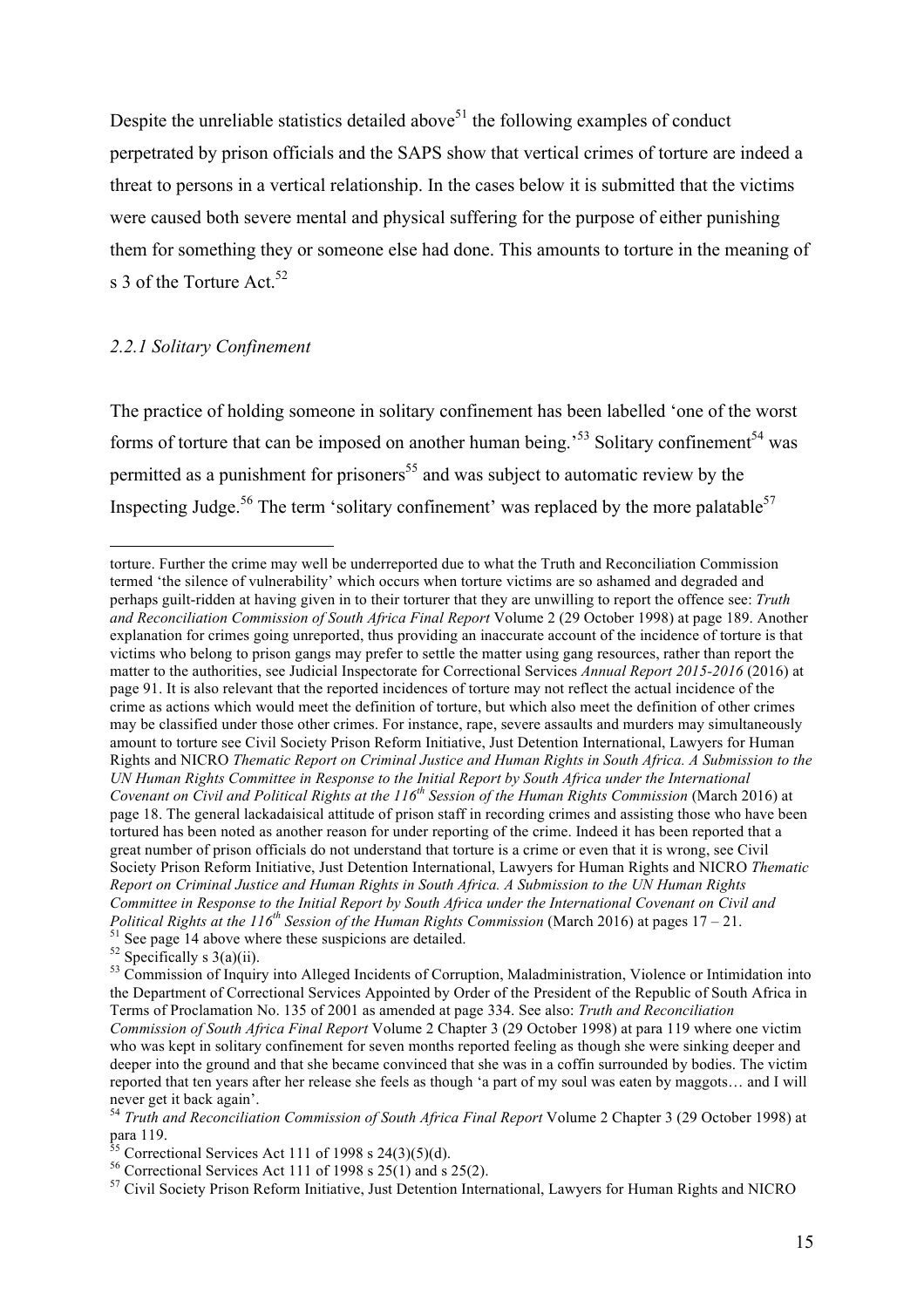Despite the unreliable statistics detailed above<sup>51</sup> the following examples of conduct perpetrated by prison officials and the SAPS show that vertical crimes of torture are indeed a threat to persons in a vertical relationship. In the cases below it is submitted that the victims were caused both severe mental and physical suffering for the purpose of either punishing them for something they or someone else had done. This amounts to torture in the meaning of s 3 of the Torture Act.  $52$ 

#### *2.2.1 Solitary Confinement*

The practice of holding someone in solitary confinement has been labelled 'one of the worst forms of torture that can be imposed on another human being.<sup>53</sup> Solitary confinement<sup>54</sup> was permitted as a punishment for prisoners<sup>55</sup> and was subject to automatic review by the Inspecting Judge.<sup>56</sup> The term 'solitary confinement' was replaced by the more palatable<sup>57</sup>

torture. Further the crime may well be underreported due to what the Truth and Reconciliation Commission termed 'the silence of vulnerability' which occurs when torture victims are so ashamed and degraded and perhaps guilt-ridden at having given in to their torturer that they are unwilling to report the offence see: *Truth and Reconciliation Commission of South Africa Final Report* Volume 2 (29 October 1998) at page 189. Another explanation for crimes going unreported, thus providing an inaccurate account of the incidence of torture is that victims who belong to prison gangs may prefer to settle the matter using gang resources, rather than report the matter to the authorities, see Judicial Inspectorate for Correctional Services *Annual Report 2015-2016* (2016) at page 91. It is also relevant that the reported incidences of torture may not reflect the actual incidence of the crime as actions which would meet the definition of torture, but which also meet the definition of other crimes may be classified under those other crimes. For instance, rape, severe assaults and murders may simultaneously amount to torture see Civil Society Prison Reform Initiative, Just Detention International, Lawyers for Human Rights and NICRO *Thematic Report on Criminal Justice and Human Rights in South Africa. A Submission to the UN Human Rights Committee in Response to the Initial Report by South Africa under the International Covenant on Civil and Political Rights at the 116th Session of the Human Rights Commission* (March 2016) at page 18. The general lackadaisical attitude of prison staff in recording crimes and assisting those who have been tortured has been noted as another reason for under reporting of the crime. Indeed it has been reported that a great number of prison officials do not understand that torture is a crime or even that it is wrong, see Civil Society Prison Reform Initiative, Just Detention International, Lawyers for Human Rights and NICRO *Thematic Report on Criminal Justice and Human Rights in South Africa. A Submission to the UN Human Rights Committee in Response to the Initial Report by South Africa under the International Covenant on Civil and*  Political Rights at the 116<sup>th</sup> Session of the Human Rights Commission (March 2016) at pages 17 – 21.<br><sup>51</sup> See page 14 above where these suspicions are detailed.<br><sup>52</sup> Specifically s 3(a)(ii).<br><sup>53</sup> Commission of Inquiry in

the Department of Correctional Services Appointed by Order of the President of the Republic of South Africa in Terms of Proclamation No. 135 of 2001 as amended at page 334. See also: *Truth and Reconciliation Commission of South Africa Final Report* Volume 2 Chapter 3 (29 October 1998) at para 119 where one victim who was kept in solitary confinement for seven months reported feeling as though she were sinking deeper and deeper into the ground and that she became convinced that she was in a coffin surrounded by bodies. The victim reported that ten years after her release she feels as though 'a part of my soul was eaten by maggots… and I will never get it back again'.

<sup>&</sup>lt;sup>54</sup> *Truth and Reconciliation Commission of South Africa Final Report* Volume 2 Chapter 3 (29 October 1998) at para 119.

<sup>&</sup>lt;sup>55</sup> Correctional Services Act 111 of 1998 s 24(3)(5)(d).<br><sup>56</sup> Correctional Services Act 111 of 1998 s 25(1) and s 25(2).<br><sup>57</sup> Civil Society Prison Reform Initiative. Just Detention International. Lawyers for Human Rights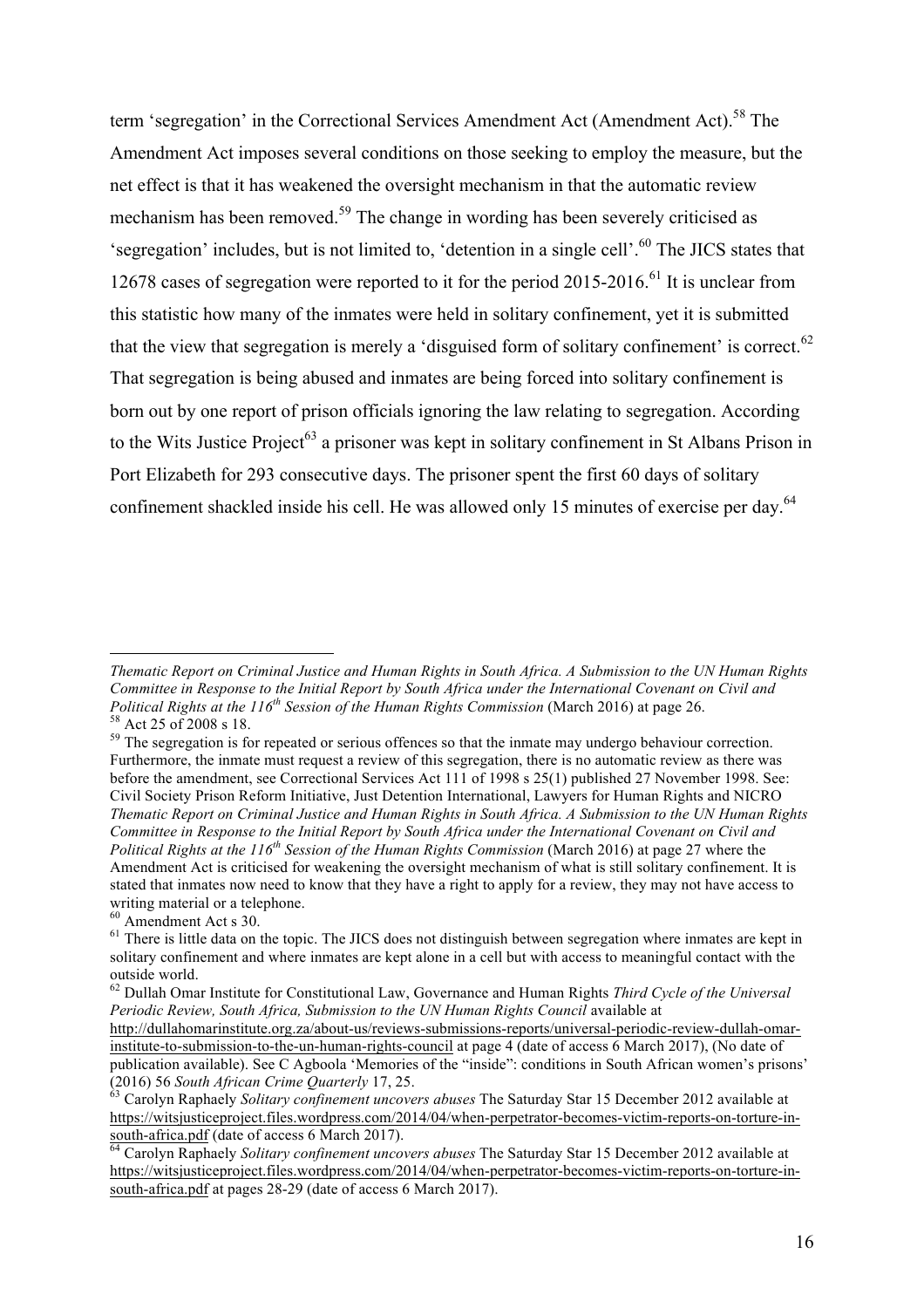term 'segregation' in the Correctional Services Amendment Act (Amendment Act).<sup>58</sup> The Amendment Act imposes several conditions on those seeking to employ the measure, but the net effect is that it has weakened the oversight mechanism in that the automatic review mechanism has been removed.<sup>59</sup> The change in wording has been severely criticised as 'segregation' includes, but is not limited to, 'detention in a single cell'. <sup>60</sup> The JICS states that 12678 cases of segregation were reported to it for the period  $2015$ -2016.<sup>61</sup> It is unclear from this statistic how many of the inmates were held in solitary confinement, yet it is submitted that the view that segregation is merely a 'disguised form of solitary confinement' is correct. $62$ That segregation is being abused and inmates are being forced into solitary confinement is born out by one report of prison officials ignoring the law relating to segregation. According to the Wits Justice Project<sup>63</sup> a prisoner was kept in solitary confinement in St Albans Prison in Port Elizabeth for 293 consecutive days. The prisoner spent the first 60 days of solitary confinement shackled inside his cell. He was allowed only 15 minutes of exercise per day.<sup>64</sup>

 $\overline{a}$ 

*Thematic Report on Criminal Justice and Human Rights in South Africa. A Submission to the UN Human Rights Committee in Response to the Initial Report by South Africa under the International Covenant on Civil and Political Rights at the 116<sup>th</sup> Session of the Human Rights Commission (March 2016) at page 26.*  $58$  Act 25 of 2008 s 18.<br><sup>59</sup> The segregation is for repeated or serious offences so that the inmate may undergo behaviour correction.

Furthermore, the inmate must request a review of this segregation, there is no automatic review as there was before the amendment, see Correctional Services Act 111 of 1998 s 25(1) published 27 November 1998. See: Civil Society Prison Reform Initiative, Just Detention International, Lawyers for Human Rights and NICRO *Thematic Report on Criminal Justice and Human Rights in South Africa. A Submission to the UN Human Rights Committee in Response to the Initial Report by South Africa under the International Covenant on Civil and Political Rights at the 116th Session of the Human Rights Commission* (March 2016) at page 27 where the Amendment Act is criticised for weakening the oversight mechanism of what is still solitary confinement. It is stated that inmates now need to know that they have a right to apply for a review, they may not have access to writing material or a telephone.<br><sup>60</sup> Amendment Act s 30.

 $<sup>61</sup>$  There is little data on the topic. The JICS does not distinguish between segregation where inmates are kept in</sup> solitary confinement and where inmates are kept alone in a cell but with access to meaningful contact with the outside world.

<sup>62</sup> Dullah Omar Institute for Constitutional Law, Governance and Human Rights *Third Cycle of the Universal Periodic Review, South Africa, Submission to the UN Human Rights Council* available at http://dullahomarinstitute.org.za/about-us/reviews-submissions-reports/universal-periodic-review-dullah-omarinstitute-to-submission-to-the-un-human-rights-council at page 4 (date of access 6 March 2017), (No date of publication available). See C Agboola 'Memories of the "inside": conditions in South African women's prisons' (2016) 56 *South African Crime Quarterly* 17, 25. <sup>63</sup> Carolyn Raphaely *Solitary confinement uncovers abuses* The Saturday Star 15 December 2012 available at

https://witsjusticeproject.files.wordpress.com/2014/04/when-perpetrator-becomes-victim-reports-on-torture-in-<br>south-africa.pdf (date of access 6 March 2017).

Carolyn Raphaely *Solitary confinement uncovers abuses* The Saturday Star 15 December 2012 available at https://witsjusticeproject.files.wordpress.com/2014/04/when-perpetrator-becomes-victim-reports-on-torture-insouth-africa.pdf at pages 28-29 (date of access 6 March 2017).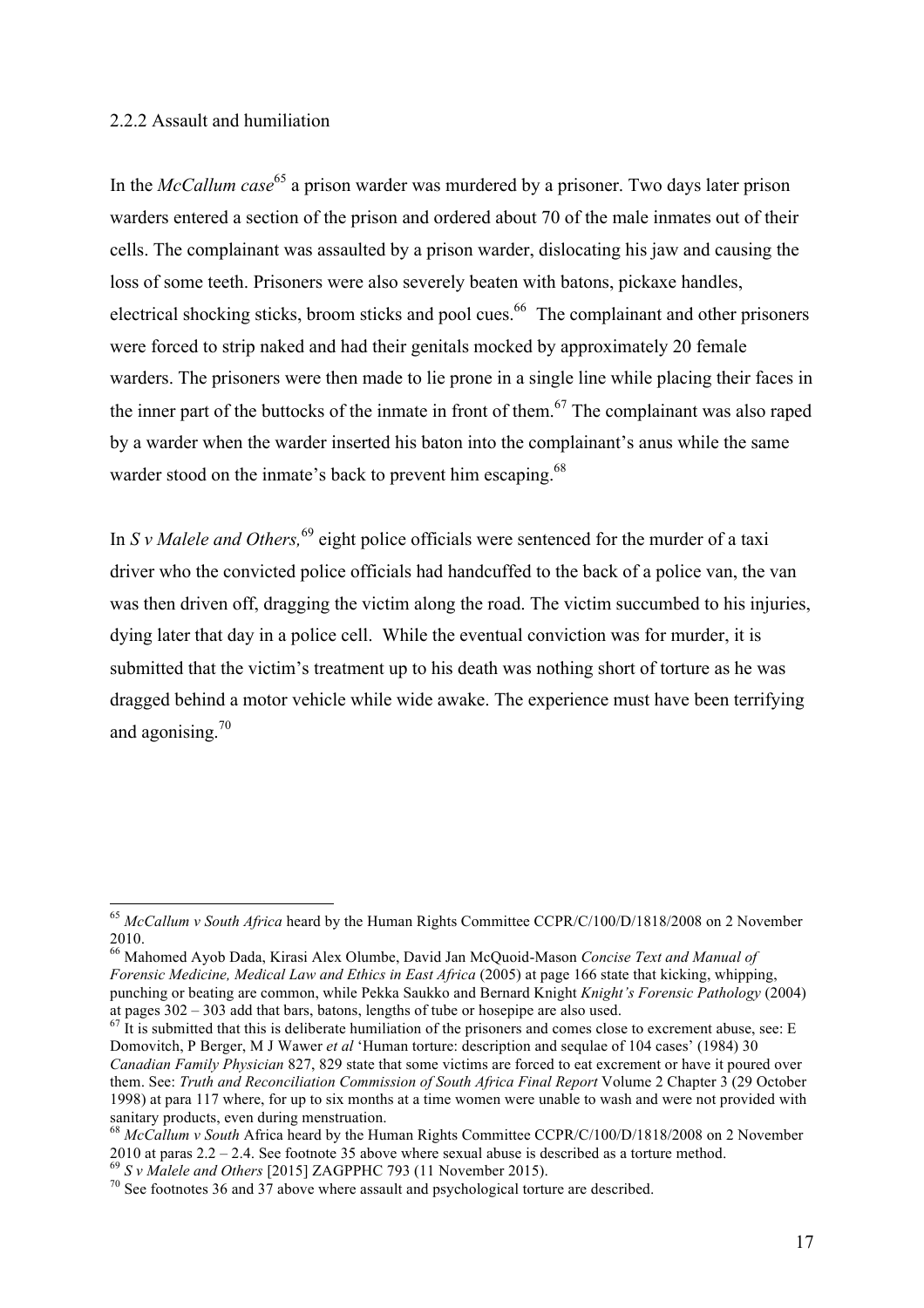#### 2.2.2 Assault and humiliation

In the *McCallum case*<sup>65</sup> a prison warder was murdered by a prisoner. Two days later prison warders entered a section of the prison and ordered about 70 of the male inmates out of their cells. The complainant was assaulted by a prison warder, dislocating his jaw and causing the loss of some teeth. Prisoners were also severely beaten with batons, pickaxe handles, electrical shocking sticks, broom sticks and pool cues.<sup>66</sup> The complainant and other prisoners were forced to strip naked and had their genitals mocked by approximately 20 female warders. The prisoners were then made to lie prone in a single line while placing their faces in the inner part of the buttocks of the inmate in front of them.<sup>67</sup> The complainant was also raped by a warder when the warder inserted his baton into the complainant's anus while the same warder stood on the inmate's back to prevent him escaping.<sup>68</sup>

In *S v Malele and Others*, <sup>69</sup> eight police officials were sentenced for the murder of a taxi driver who the convicted police officials had handcuffed to the back of a police van, the van was then driven off, dragging the victim along the road. The victim succumbed to his injuries, dying later that day in a police cell. While the eventual conviction was for murder, it is submitted that the victim's treatment up to his death was nothing short of torture as he was dragged behind a motor vehicle while wide awake. The experience must have been terrifying and agonising.<sup>70</sup>

 <sup>65</sup> *McCallum v South Africa* heard by the Human Rights Committee CCPR/C/100/D/1818/2008 on 2 November 2010.

<sup>66</sup> Mahomed Ayob Dada, Kirasi Alex Olumbe, David Jan McQuoid-Mason *Concise Text and Manual of Forensic Medicine, Medical Law and Ethics in East Africa* (2005) at page 166 state that kicking, whipping, punching or beating are common, while Pekka Saukko and Bernard Knight *Knight's Forensic Pathology* (2004) at pages  $302 - 303$  add that bars, batons, lengths of tube or hosepipe are also used.

 $67$  It is submitted that this is deliberate humiliation of the prisoners and comes close to excrement abuse, see: E Domovitch, P Berger, M J Wawer *et al* 'Human torture: description and sequlae of 104 cases' (1984) 30 *Canadian Family Physician* 827, 829 state that some victims are forced to eat excrement or have it poured over them. See: *Truth and Reconciliation Commission of South Africa Final Report* Volume 2 Chapter 3 (29 October 1998) at para 117 where, for up to six months at a time women were unable to wash and were not provided with

<sup>&</sup>lt;sup>68</sup> *McCallum v South* Africa heard by the Human Rights Committee CCPR/C/100/D/1818/2008 on 2 November 2010 at paras  $2.2 - 2.4$ . See footnote 35 above where sexual abuse is described as a torture method.<br><sup>69</sup> S v *Malele and Others* [2015] ZAGPPHC 793 (11 November 2015).<br><sup>70</sup> See footnotes 36 and 37 above where assault and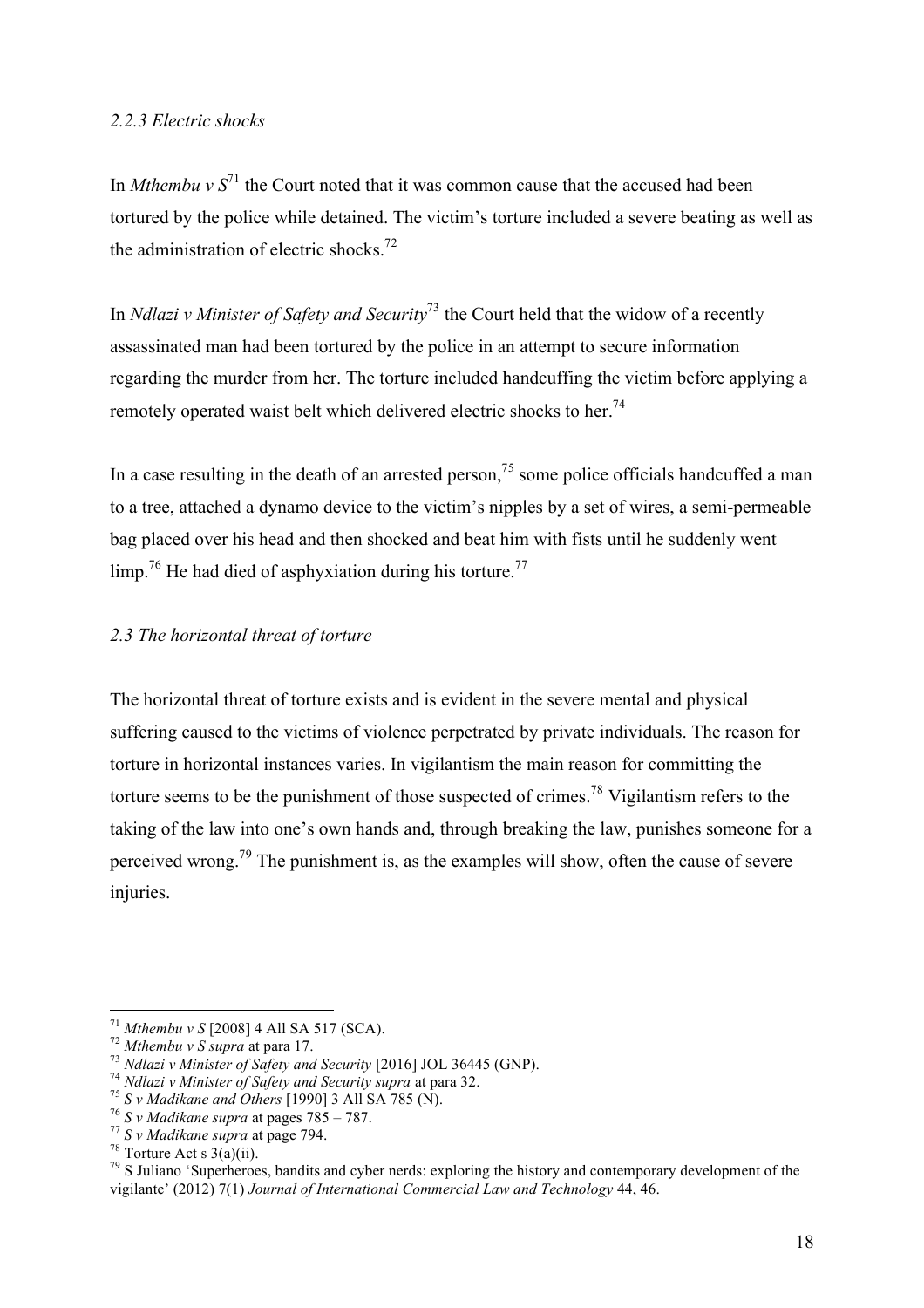#### *2.2.3 Electric shocks*

In *Mthembu v*  $S^{71}$  the Court noted that it was common cause that the accused had been tortured by the police while detained. The victim's torture included a severe beating as well as the administration of electric shocks.<sup>72</sup>

In *Ndlazi v Minister of Safety and Security*<sup>73</sup> the Court held that the widow of a recently assassinated man had been tortured by the police in an attempt to secure information regarding the murder from her. The torture included handcuffing the victim before applying a remotely operated waist belt which delivered electric shocks to her.<sup>74</sup>

In a case resulting in the death of an arrested person,  $^{75}$  some police officials handcuffed a man to a tree, attached a dynamo device to the victim's nipples by a set of wires, a semi-permeable bag placed over his head and then shocked and beat him with fists until he suddenly went  $\lim_{2}$ <sup>76</sup> He had died of asphyxiation during his torture.<sup>77</sup>

## *2.3 The horizontal threat of torture*

The horizontal threat of torture exists and is evident in the severe mental and physical suffering caused to the victims of violence perpetrated by private individuals. The reason for torture in horizontal instances varies. In vigilantism the main reason for committing the torture seems to be the punishment of those suspected of crimes.<sup>78</sup> Vigilantism refers to the taking of the law into one's own hands and, through breaking the law, punishes someone for a perceived wrong.79 The punishment is, as the examples will show, often the cause of severe injuries.

<sup>&</sup>lt;sup>71</sup> Mthembu v S [2008] 4 All SA 517 (SCA).<br><sup>72</sup> Mthembu v S supra at para 17.<br><sup>73</sup> Ndlazi v Minister of Safety and Security [2016] JOL 36445 (GNP).<br><sup>74</sup> Ndlazi v Minister of Safety and Security supra at para 32.<br><sup>75</sup> S v vigilante' (2012) 7(1) *Journal of International Commercial Law and Technology* 44, 46.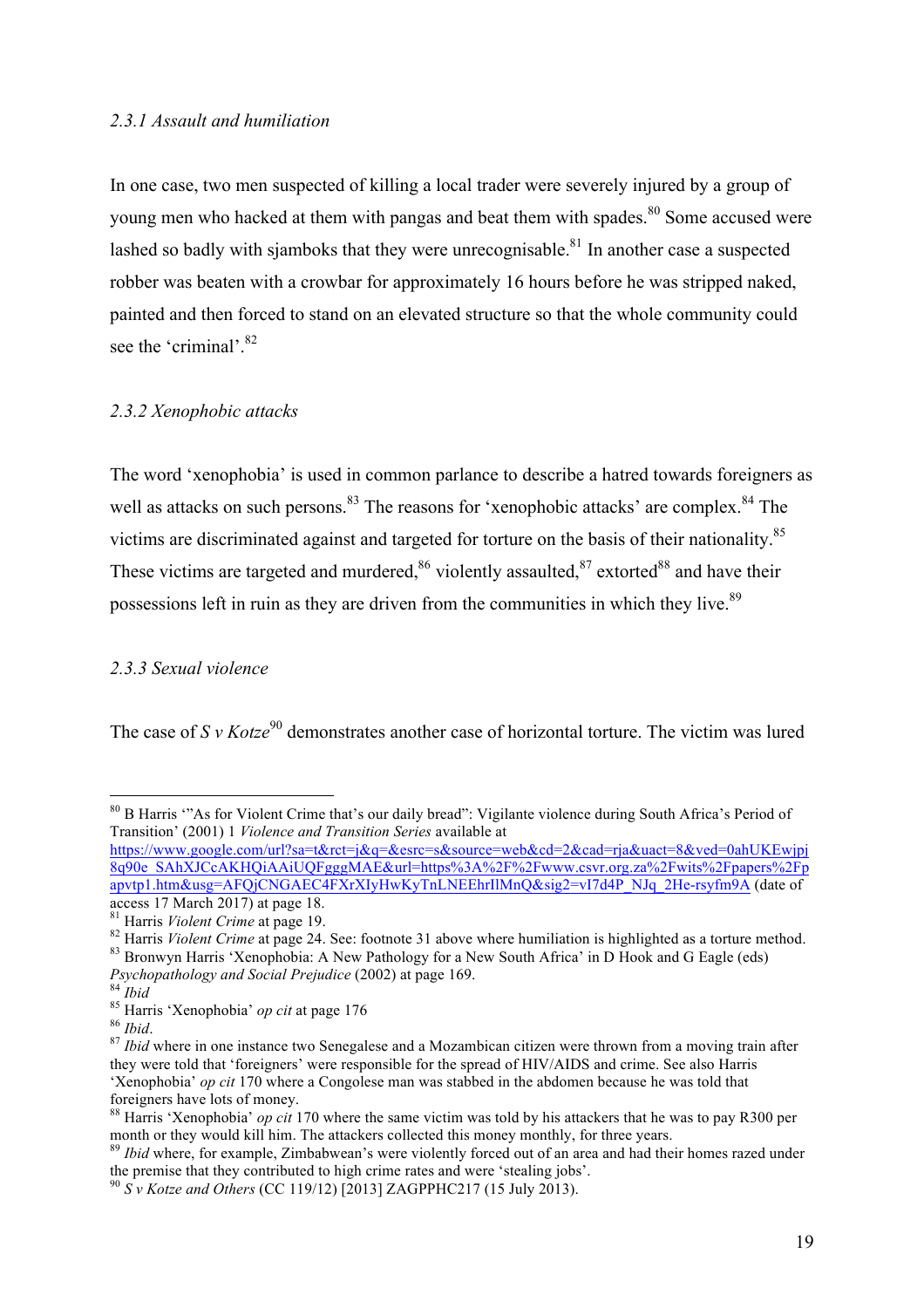#### *2.3.1 Assault and humiliation*

In one case, two men suspected of killing a local trader were severely injured by a group of young men who hacked at them with pangas and beat them with spades.<sup>80</sup> Some accused were lashed so badly with sjamboks that they were unrecognisable.<sup>81</sup> In another case a suspected robber was beaten with a crowbar for approximately 16 hours before he was stripped naked. painted and then forced to stand on an elevated structure so that the whole community could see the 'criminal'.<sup>82</sup>

#### *2.3.2 Xenophobic attacks*

The word 'xenophobia' is used in common parlance to describe a hatred towards foreigners as well as attacks on such persons.<sup>83</sup> The reasons for 'xenophobic attacks' are complex.<sup>84</sup> The victims are discriminated against and targeted for torture on the basis of their nationality.<sup>85</sup> These victims are targeted and murdered.<sup>86</sup> violently assaulted.<sup>87</sup> extorted<sup>88</sup> and have their possessions left in ruin as they are driven from the communities in which they live.<sup>89</sup>

#### *2.3.3 Sexual violence*

The case of  $S v Kotze^{90}$  demonstrates another case of horizontal torture. The victim was lured

https://www.google.com/url?sa=t&rct=j&q=&esrc=s&source=web&cd=2&cad=rja&uact=8&ved=0ahUKEwjpj 8q90e\_SAhXJCcAKHQiAAiUQFgggMAE&url=https%3A%2F%2Fwww.csvr.org.za%2Fwits%2Fpapers%2Fp apvtp1.htm&usg=AFQjCNGAEC4FXrXIyHwKyTnLNEEhrIlMnQ&sig2=vI7d4P\_NJq\_2He-rsyfm9A (date of access 17 March 2017) at page 18.

 <sup>80</sup> <sup>B</sup> Harris '"As for Violent Crime that's our daily bread": Vigilante violence during South Africa's Period of Transition' (2001) 1 *Violence and Transition Series* available at

<sup>&</sup>lt;sup>81</sup> Harris *Violent Crime* at page 19.<br><sup>82</sup> Harris *Violent Crime* at page 24. See: footnote 31 above where humiliation is highlighted as a torture method.<br><sup>83</sup> Bronwyn Harris 'Xenophobia: A New Pathology for a New South

<sup>&</sup>lt;sup>85</sup> Harris 'Xenophobia' *op cit* at page 176<br><sup>86</sup> *Ibid.*<br><sup>87</sup> *Ibid* where in one instance two Senegalese and a Mozambican citizen were thrown from a moving train after  $\frac{87}{100}$ they were told that 'foreigners' were responsible for the spread of HIV/AIDS and crime. See also Harris 'Xenophobia' *op cit* 170 where a Congolese man was stabbed in the abdomen because he was told that foreigners have lots of money.

<sup>&</sup>lt;sup>88</sup> Harris 'Xenophobia' *op cit* 170 where the same victim was told by his attackers that he was to pay R300 per month or they would kill him. The attackers collected this money monthly, for three years.

<sup>&</sup>lt;sup>89</sup> *Ibid* where, for example, Zimbabwean's were violently forced out of an area and had their homes razed under the premise that they contributed to high crime rates and were 'stealing jobs'.

<sup>90</sup> *S v Kotze and Others* (CC 119/12) [2013] ZAGPPHC217 (15 July 2013).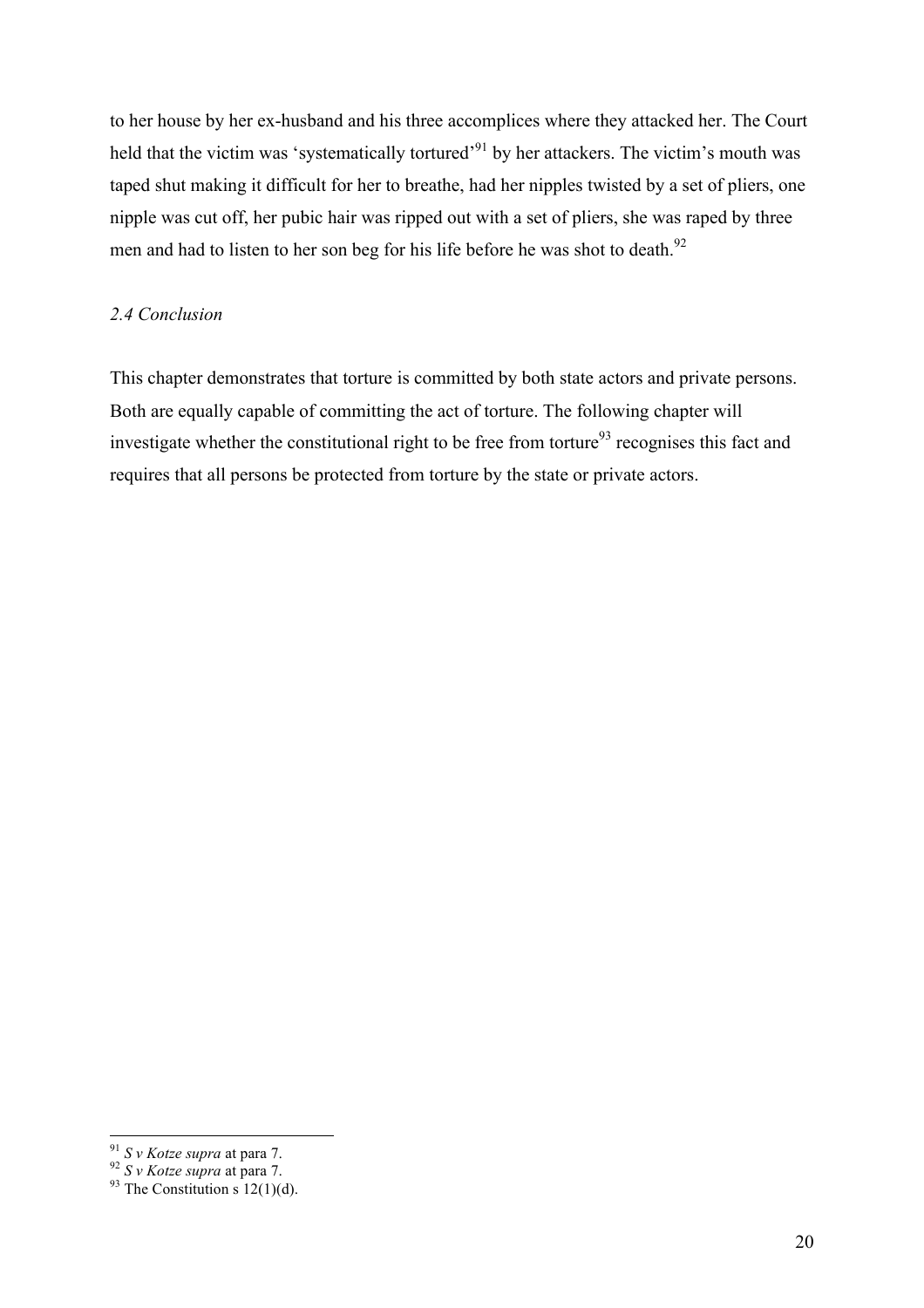to her house by her ex-husband and his three accomplices where they attacked her. The Court held that the victim was 'systematically tortured'<sup>91</sup> by her attackers. The victim's mouth was taped shut making it difficult for her to breathe, had her nipples twisted by a set of pliers, one nipple was cut off, her pubic hair was ripped out with a set of pliers, she was raped by three men and had to listen to her son beg for his life before he was shot to death.<sup>92</sup>

## *2.4 Conclusion*

This chapter demonstrates that torture is committed by both state actors and private persons. Both are equally capable of committing the act of torture. The following chapter will investigate whether the constitutional right to be free from torture<sup>93</sup> recognises this fact and requires that all persons be protected from torture by the state or private actors.

<sup>&</sup>lt;sup>91</sup> *S v Kotze supra* at para 7.<br><sup>92</sup> *S v Kotze supra* at para 7.<br><sup>93</sup> The Constitution s 12(1)(d).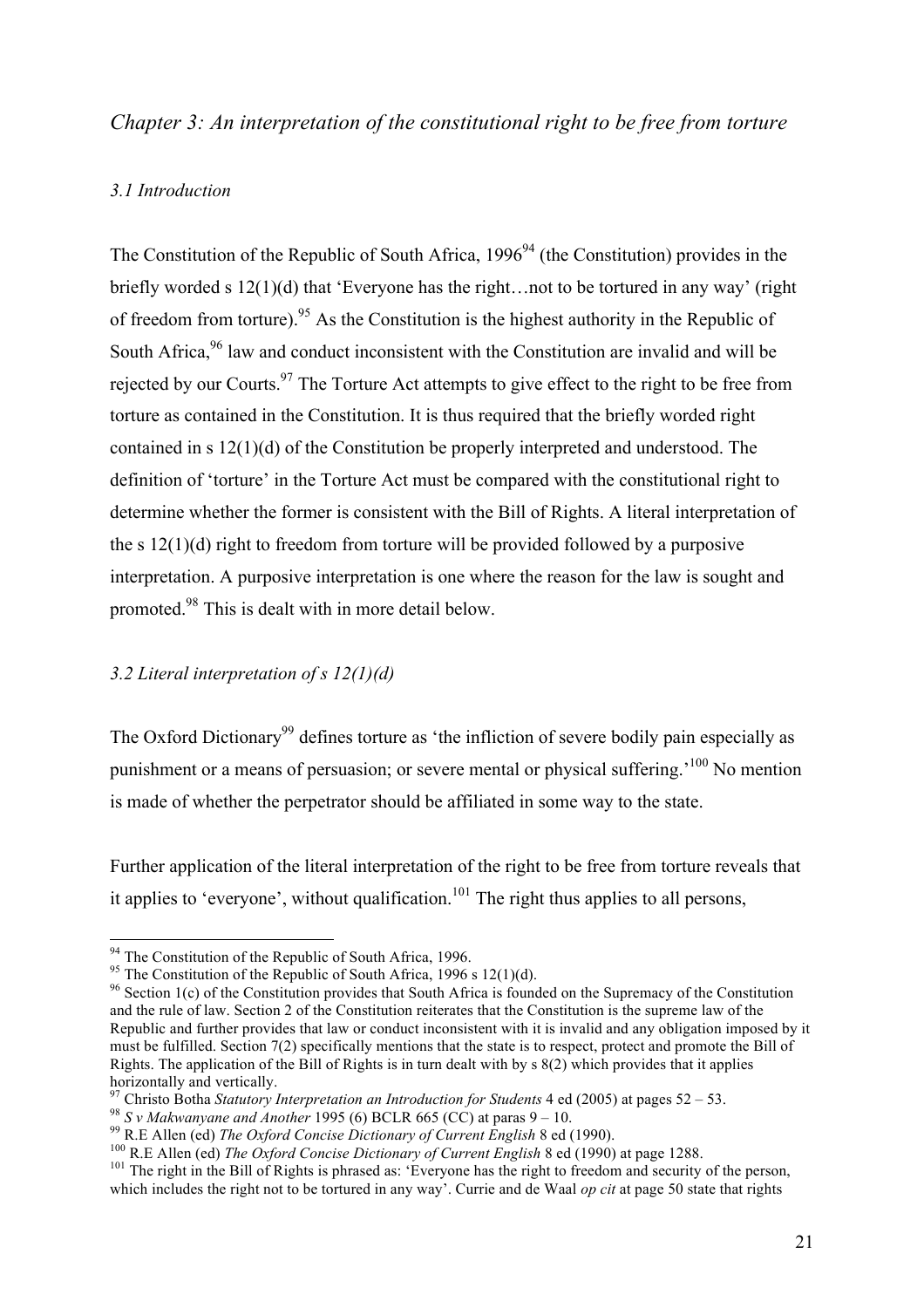## *Chapter 3: An interpretation of the constitutional right to be free from torture*

## *3.1 Introduction*

The Constitution of the Republic of South Africa,  $1996<sup>94</sup>$  (the Constitution) provides in the briefly worded s 12(1)(d) that 'Everyone has the right…not to be tortured in any way' (right of freedom from torture).<sup>95</sup> As the Constitution is the highest authority in the Republic of South Africa,<sup>96</sup> law and conduct inconsistent with the Constitution are invalid and will be rejected by our Courts.<sup>97</sup> The Torture Act attempts to give effect to the right to be free from torture as contained in the Constitution. It is thus required that the briefly worded right contained in s 12(1)(d) of the Constitution be properly interpreted and understood. The definition of 'torture' in the Torture Act must be compared with the constitutional right to determine whether the former is consistent with the Bill of Rights. A literal interpretation of the s 12(1)(d) right to freedom from torture will be provided followed by a purposive interpretation. A purposive interpretation is one where the reason for the law is sought and promoted.98 This is dealt with in more detail below.

#### *3.2 Literal interpretation of s 12(1)(d)*

The Oxford Dictionary<sup>99</sup> defines torture as 'the infliction of severe bodily pain especially as punishment or a means of persuasion; or severe mental or physical suffering.'100 No mention is made of whether the perpetrator should be affiliated in some way to the state.

Further application of the literal interpretation of the right to be free from torture reveals that it applies to 'everyone', without qualification.<sup>101</sup> The right thus applies to all persons,

<sup>&</sup>lt;sup>94</sup> The Constitution of the Republic of South Africa, 1996.<br><sup>95</sup> The Constitution of the Republic of South Africa, 1996 s 12(1)(d).<br><sup>96</sup> Section 1(c) of the Constitution provides that South Africa is founded on the Supre and the rule of law. Section 2 of the Constitution reiterates that the Constitution is the supreme law of the Republic and further provides that law or conduct inconsistent with it is invalid and any obligation imposed by it must be fulfilled. Section 7(2) specifically mentions that the state is to respect, protect and promote the Bill of Rights. The application of the Bill of Rights is in turn dealt with by  $\frac{8(2)}{2}$  which provides that it applies horizontally and vertically.<br><sup>97</sup> Christo Botha *Statutory Interpretation an Introduction for Students* 4 ed (2005) at pages 52 – 53.

<sup>&</sup>lt;sup>98</sup> S v Makwanyane and Another 1995 (6) BCLR 665 (CC) at paras 9 – 10.<br><sup>99</sup> R.E Allen (ed) *The Oxford Concise Dictionary of Current English* 8 ed (1990).<br><sup>100</sup> R.E Allen (ed) *The Oxford Concise Dictionary of Current En* which includes the right not to be tortured in any way'. Currie and de Waal *op cit* at page 50 state that rights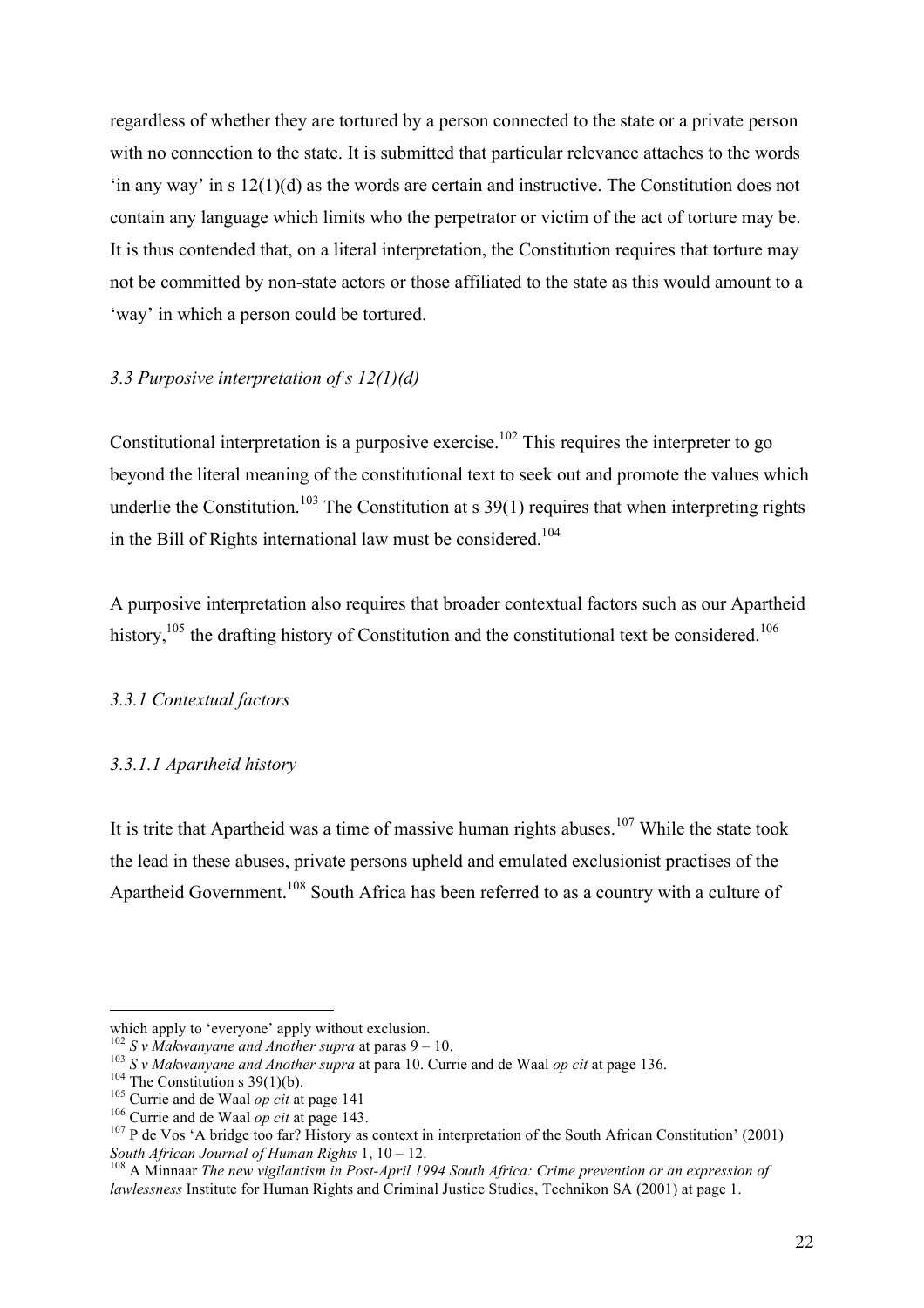regardless of whether they are tortured by a person connected to the state or a private person with no connection to the state. It is submitted that particular relevance attaches to the words 'in any way' in s 12(1)(d) as the words are certain and instructive. The Constitution does not contain any language which limits who the perpetrator or victim of the act of torture may be. It is thus contended that, on a literal interpretation, the Constitution requires that torture may not be committed by non-state actors or those affiliated to the state as this would amount to a 'way' in which a person could be tortured.

## *3.3 Purposive interpretation of s 12(1)(d)*

Constitutional interpretation is a purposive exercise.<sup>102</sup> This requires the interpreter to go beyond the literal meaning of the constitutional text to seek out and promote the values which underlie the Constitution.<sup>103</sup> The Constitution at s  $39(1)$  requires that when interpreting rights in the Bill of Rights international law must be considered. 104

A purposive interpretation also requires that broader contextual factors such as our Apartheid history,  $105$  the drafting history of Constitution and the constitutional text be considered.<sup>106</sup>

#### *3.3.1 Contextual factors*

#### *3.3.1.1 Apartheid history*

It is trite that Apartheid was a time of massive human rights abuses.<sup>107</sup> While the state took the lead in these abuses, private persons upheld and emulated exclusionist practises of the Apartheid Government.<sup>108</sup> South Africa has been referred to as a country with a culture of

 $\overline{a}$ 

which apply to 'everyone' apply without exclusion.<br> $^{102}$  S v Makwanyane and Another supra at paras 9 – 10.

<sup>&</sup>lt;sup>103</sup> S v Makwanyane and Another supra at para 10. Currie and de Waal op cit at page 136.<br><sup>104</sup> The Constitution s 39(1)(b).<br><sup>105</sup> Currie and de Waal op cit at page 141<br><sup>106</sup> Currie and de Waal op cit at page 143.<br><sup>107</sup> P

<sup>&</sup>lt;sup>108</sup> A Minnaar *The new vigilantism in Post-April 1994 South Africa: Crime prevention or an expression of lawlessness* Institute for Human Rights and Criminal Justice Studies, Technikon SA (2001) at page 1.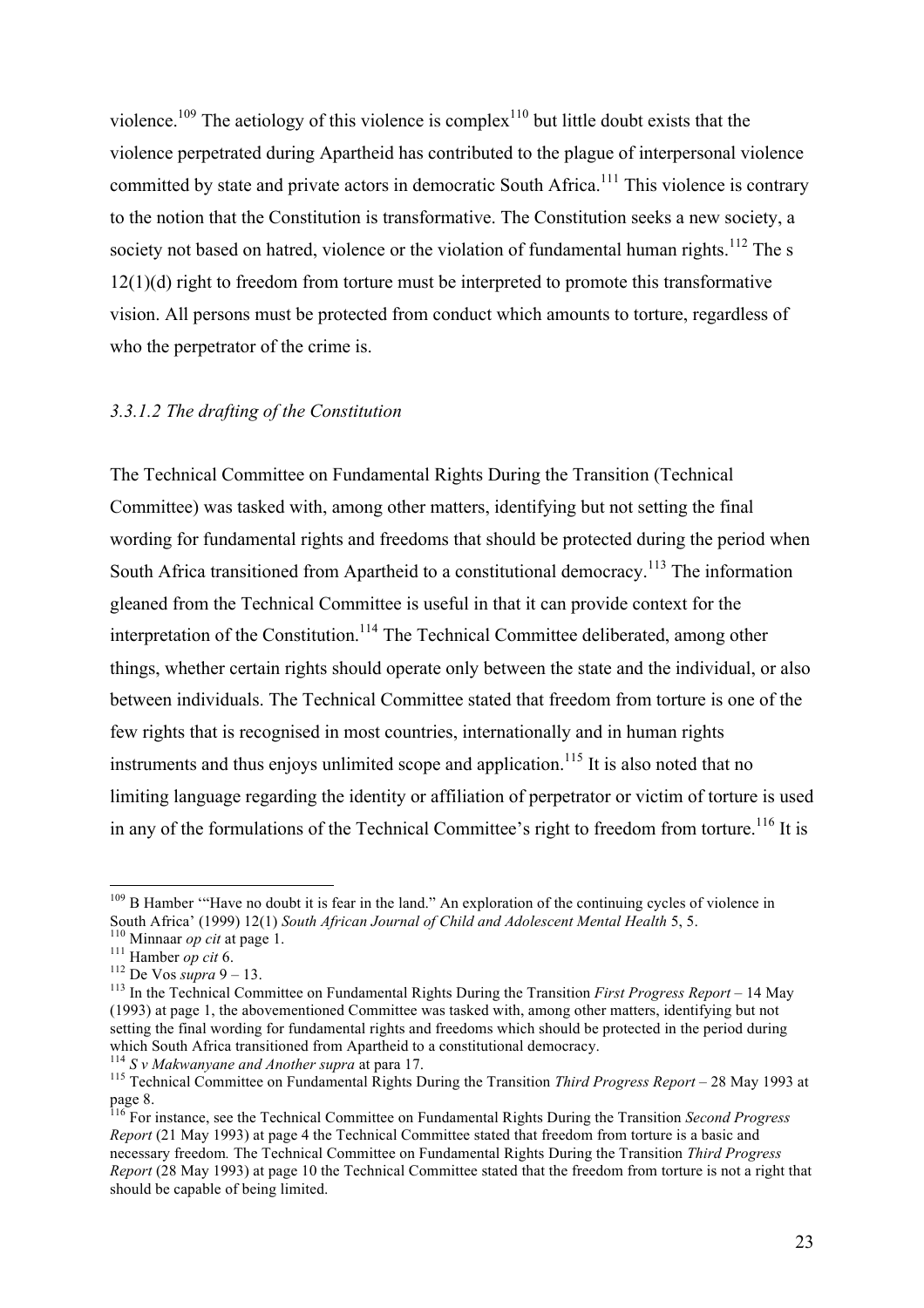violence.<sup>109</sup> The aetiology of this violence is complex<sup>110</sup> but little doubt exists that the violence perpetrated during Apartheid has contributed to the plague of interpersonal violence committed by state and private actors in democratic South Africa.<sup>111</sup> This violence is contrary to the notion that the Constitution is transformative. The Constitution seeks a new society, a society not based on hatred, violence or the violation of fundamental human rights.<sup>112</sup> The s 12(1)(d) right to freedom from torture must be interpreted to promote this transformative vision. All persons must be protected from conduct which amounts to torture, regardless of who the perpetrator of the crime is.

#### *3.3.1.2 The drafting of the Constitution*

The Technical Committee on Fundamental Rights During the Transition (Technical Committee) was tasked with, among other matters, identifying but not setting the final wording for fundamental rights and freedoms that should be protected during the period when South Africa transitioned from Apartheid to a constitutional democracy.<sup>113</sup> The information gleaned from the Technical Committee is useful in that it can provide context for the interpretation of the Constitution.<sup>114</sup> The Technical Committee deliberated, among other things, whether certain rights should operate only between the state and the individual, or also between individuals. The Technical Committee stated that freedom from torture is one of the few rights that is recognised in most countries, internationally and in human rights instruments and thus enjoys unlimited scope and application.<sup>115</sup> It is also noted that no limiting language regarding the identity or affiliation of perpetrator or victim of torture is used in any of the formulations of the Technical Committee's right to freedom from torture.<sup>116</sup> It is

<sup>&</sup>lt;sup>109</sup> B Hamber "Have no doubt it is fear in the land." An exploration of the continuing cycles of violence in South Africa' (1999) 12(1) South African Journal of Child and Adolescent Mental Health 5, 5.<br><sup>110</sup> Minnaar op cit at page 1.<br><sup>111</sup> Hamber op cit 6.<br><sup>112</sup> De Vos *supra* 9 – 13.<br><sup>113</sup> In the Technical Committee on Fundamen

<sup>(1993)</sup> at page 1, the abovementioned Committee was tasked with, among other matters, identifying but not setting the final wording for fundamental rights and freedoms which should be protected in the period during which South Africa transitioned from Apartheid to a constitutional democracy.<br>
<sup>114</sup> S v Makwanyane and Another supra at para 17.<br>
<sup>115</sup> Technical Committee on Fundamental Rights During the Transition *Third Progress Repo* 

page 8.

<sup>116</sup> For instance, see the Technical Committee on Fundamental Rights During the Transition *Second Progress Report* (21 May 1993) at page 4 the Technical Committee stated that freedom from torture is a basic and necessary freedom*.* The Technical Committee on Fundamental Rights During the Transition *Third Progress Report* (28 May 1993) at page 10 the Technical Committee stated that the freedom from torture is not a right that should be capable of being limited.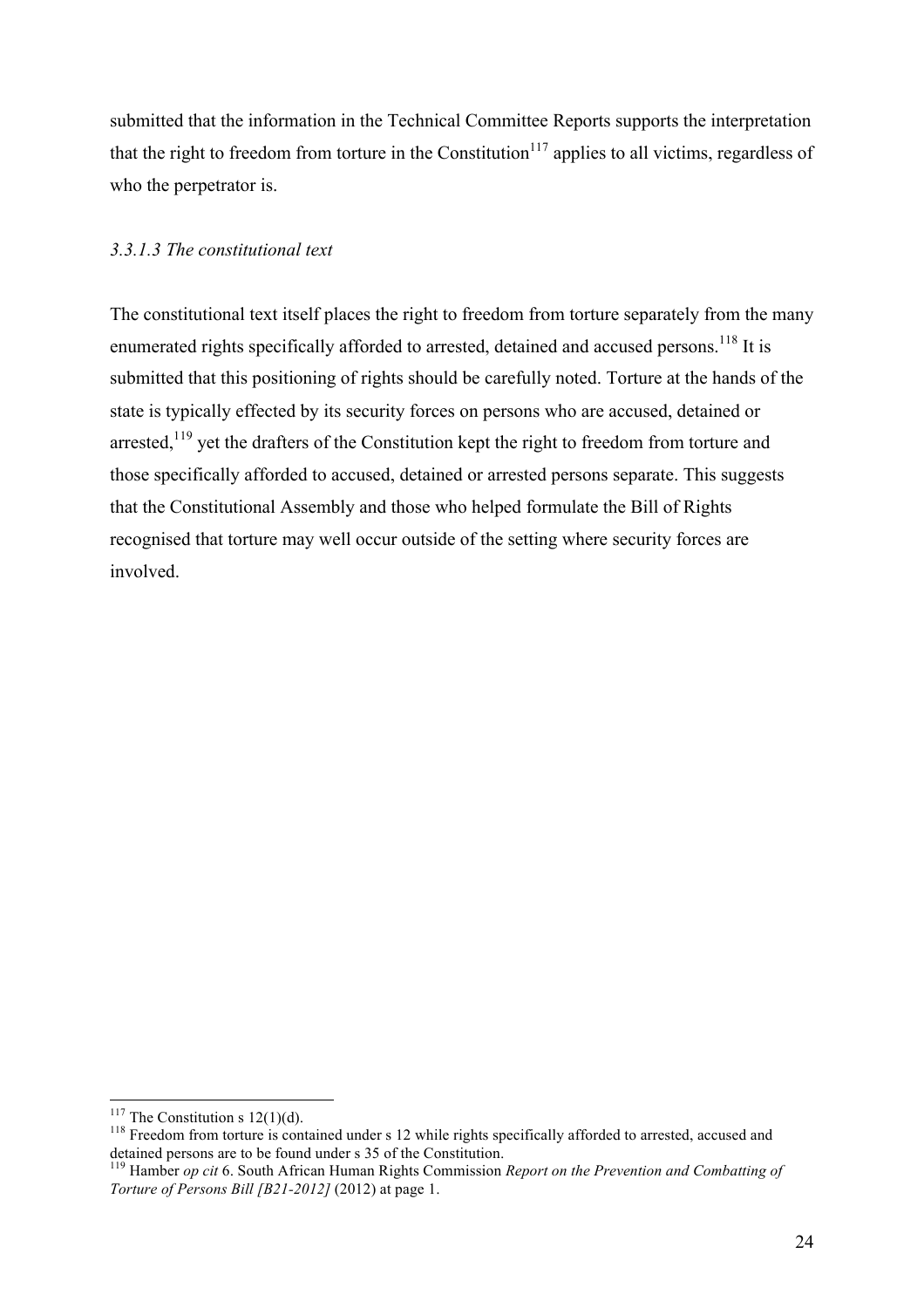submitted that the information in the Technical Committee Reports supports the interpretation that the right to freedom from torture in the Constitution<sup>117</sup> applies to all victims, regardless of who the perpetrator is.

## *3.3.1.3 The constitutional text*

The constitutional text itself places the right to freedom from torture separately from the many enumerated rights specifically afforded to arrested, detained and accused persons.<sup>118</sup> It is submitted that this positioning of rights should be carefully noted. Torture at the hands of the state is typically effected by its security forces on persons who are accused, detained or arrested, $119$  yet the drafters of the Constitution kept the right to freedom from torture and those specifically afforded to accused, detained or arrested persons separate. This suggests that the Constitutional Assembly and those who helped formulate the Bill of Rights recognised that torture may well occur outside of the setting where security forces are involved.

<sup>&</sup>lt;sup>117</sup> The Constitution s 12(1)(d).<br><sup>118</sup> Freedom from torture is contained under s 12 while rights specifically afforded to arrested, accused and detained persons are to be found under s 35 of the Constitution.<br><sup>119</sup> Hamber *op cit* 6. South African Human Rights Commission *Report on the Prevention and Combatting of* 

*Torture of Persons Bill [B21-2012]* (2012) at page 1.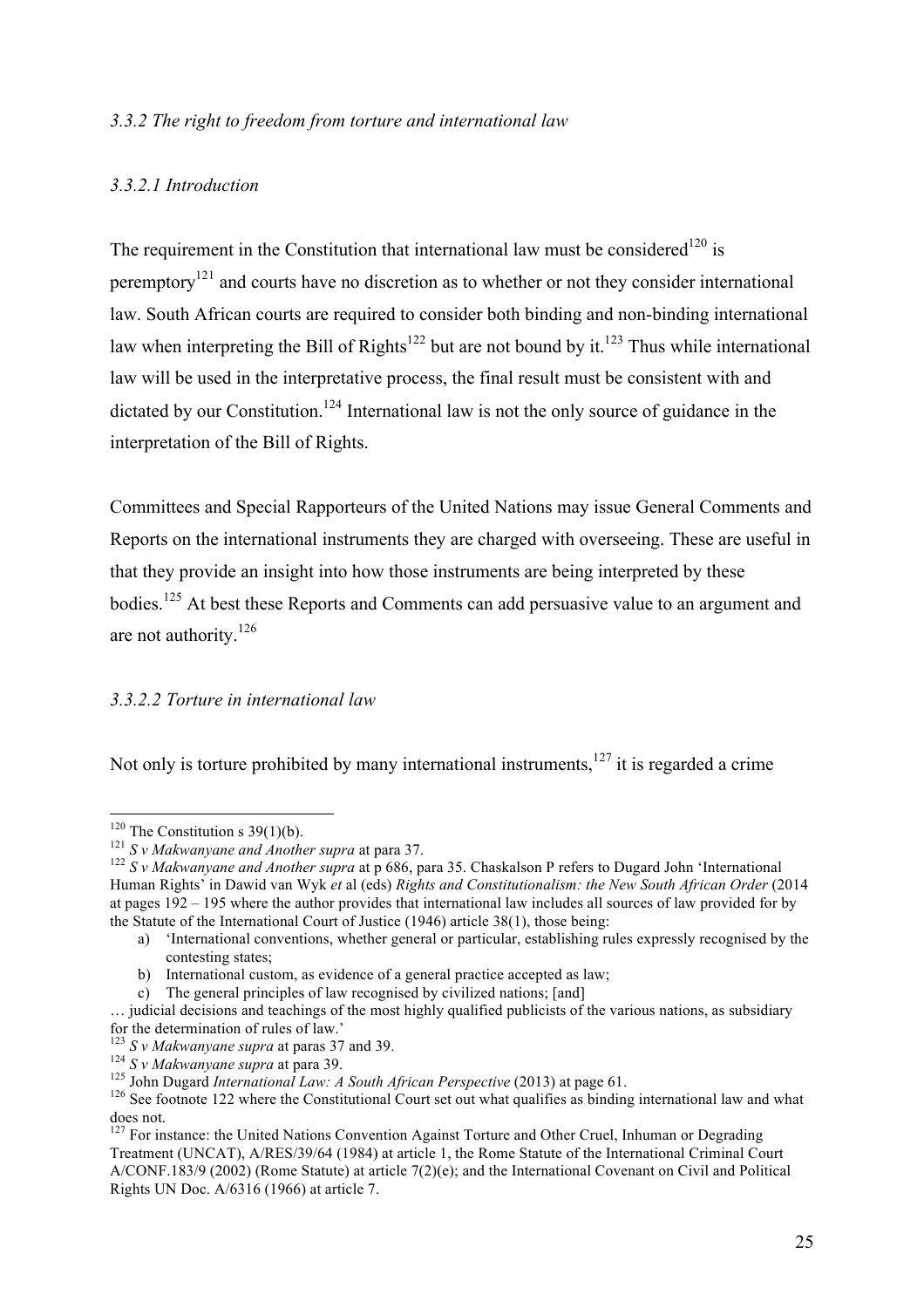#### *3.3.2 The right to freedom from torture and international law*

#### *3.3.2.1 Introduction*

The requirement in the Constitution that international law must be considered<sup>120</sup> is peremptory<sup>121</sup> and courts have no discretion as to whether or not they consider international law. South African courts are required to consider both binding and non-binding international law when interpreting the Bill of Rights<sup>122</sup> but are not bound by it.<sup>123</sup> Thus while international law will be used in the interpretative process, the final result must be consistent with and dictated by our Constitution.<sup>124</sup> International law is not the only source of guidance in the interpretation of the Bill of Rights.

Committees and Special Rapporteurs of the United Nations may issue General Comments and Reports on the international instruments they are charged with overseeing. These are useful in that they provide an insight into how those instruments are being interpreted by these bodies.125 At best these Reports and Comments can add persuasive value to an argument and are not authority.<sup>126</sup>

#### *3.3.2.2 Torture in international law*

Not only is torture prohibited by many international instruments,  $127$  it is regarded a crime

<sup>&</sup>lt;sup>120</sup> The Constitution s 39(1)(b).<br><sup>121</sup> *S v Makwanyane and Another supra* at para 37.<br><sup>122</sup> *S v Makwanyane and Another supra* at p 686, para 35. Chaskalson P refers to Dugard John 'International Human Rights' in Dawid van Wyk *et* al (eds) *Rights and Constitutionalism: the New South African Order* (2014 at pages 192 – 195 where the author provides that international law includes all sources of law provided for by the Statute of the International Court of Justice (1946) article 38(1), those being:

a) 'International conventions, whether general or particular, establishing rules expressly recognised by the contesting states;

b) International custom, as evidence of a general practice accepted as law;

c) The general principles of law recognised by civilized nations; [and]

<sup>…</sup> judicial decisions and teachings of the most highly qualified publicists of the various nations, as subsidiary for the determination of rules of law.'<br> $\frac{123}{123}$  S v Makwanyane supra at paras 37 and 39.

<sup>&</sup>lt;sup>124</sup> S v Makwanyane supra at para 39.<br><sup>125</sup> John Dugard *International Law: A South African Perspective* (2013) at page 61.<br><sup>126</sup> See footnote 122 where the Constitutional Court set out what qualifies as binding internat does not.

 $127$  For instance: the United Nations Convention Against Torture and Other Cruel, Inhuman or Degrading Treatment (UNCAT), A/RES/39/64 (1984) at article 1, the Rome Statute of the International Criminal Court A/CONF.183/9 (2002) (Rome Statute) at article 7(2)(e); and the International Covenant on Civil and Political Rights UN Doc. A/6316 (1966) at article 7.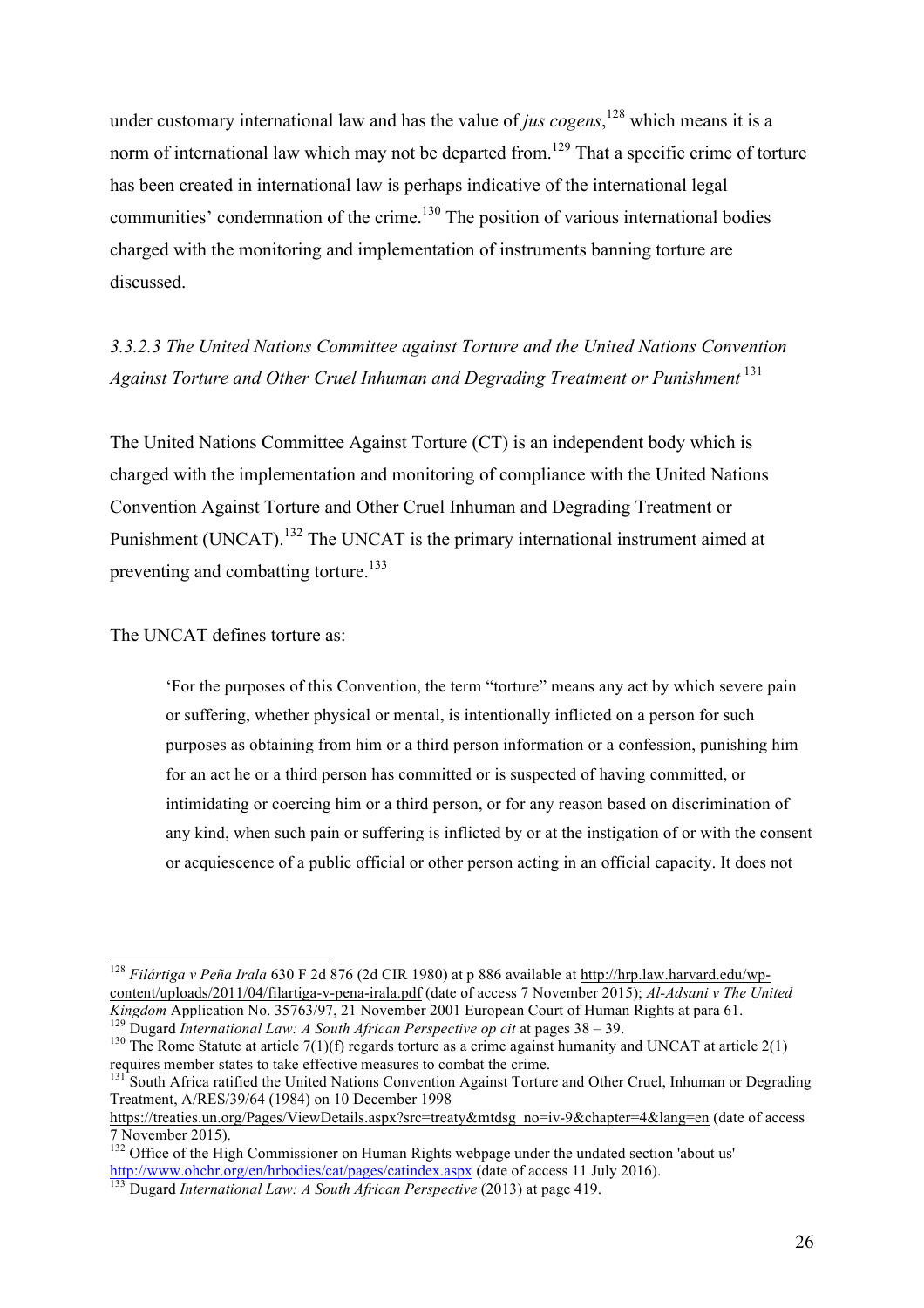under customary international law and has the value of *jus cogens*, <sup>128</sup> which means it is a norm of international law which may not be departed from.<sup>129</sup> That a specific crime of torture has been created in international law is perhaps indicative of the international legal communities' condemnation of the crime.<sup>130</sup> The position of various international bodies charged with the monitoring and implementation of instruments banning torture are discussed.

*3.3.2.3 The United Nations Committee against Torture and the United Nations Convention Against Torture and Other Cruel Inhuman and Degrading Treatment or Punishment* <sup>131</sup>

The United Nations Committee Against Torture (CT) is an independent body which is charged with the implementation and monitoring of compliance with the United Nations Convention Against Torture and Other Cruel Inhuman and Degrading Treatment or Punishment (UNCAT).<sup>132</sup> The UNCAT is the primary international instrument aimed at preventing and combatting torture.<sup>133</sup>

The UNCAT defines torture as:

'For the purposes of this Convention, the term "torture" means any act by which severe pain or suffering, whether physical or mental, is intentionally inflicted on a person for such purposes as obtaining from him or a third person information or a confession, punishing him for an act he or a third person has committed or is suspected of having committed, or intimidating or coercing him or a third person, or for any reason based on discrimination of any kind, when such pain or suffering is inflicted by or at the instigation of or with the consent or acquiescence of a public official or other person acting in an official capacity. It does not

 <sup>128</sup> *Filártiga v Peña Irala* 630 F 2d 876 (2d CIR 1980) at p 886 available at http://hrp.law.harvard.edu/wpcontent/uploads/2011/04/filartiga-v-pena-irala.pdf (date of access 7 November 2015); *Al-Adsani v The United* 

<sup>&</sup>lt;sup>129</sup> Dugard *International Law: A South African Perspective op cit* at pages  $38 - 39$ .<br><sup>130</sup> The Rome Statute at article 7(1)(f) regards torture as a crime against humanity and UNCAT at article 2(1) requires member states to take effective measures to combat the crime.

<sup>&</sup>lt;sup>131</sup> South Africa ratified the United Nations Convention Against Torture and Other Cruel, Inhuman or Degrading Treatment, A/RES/39/64 (1984) on 10 December 1998

https://treaties.un.org/Pages/ViewDetails.aspx?src=treaty&mtdsg\_no=iv-9&chapter=4&lang=en (date of access 7 November 2015).

<sup>&</sup>lt;sup>132</sup> Office of the High Commissioner on Human Rights webpage under the undated section 'about us' http://www.ohchr.org/en/hrbodies/cat/pages/catindex.aspx (date of access 11 July 2016). <sup>133</sup> Dugard *International Law: A South African Perspective* (2013) at page 419.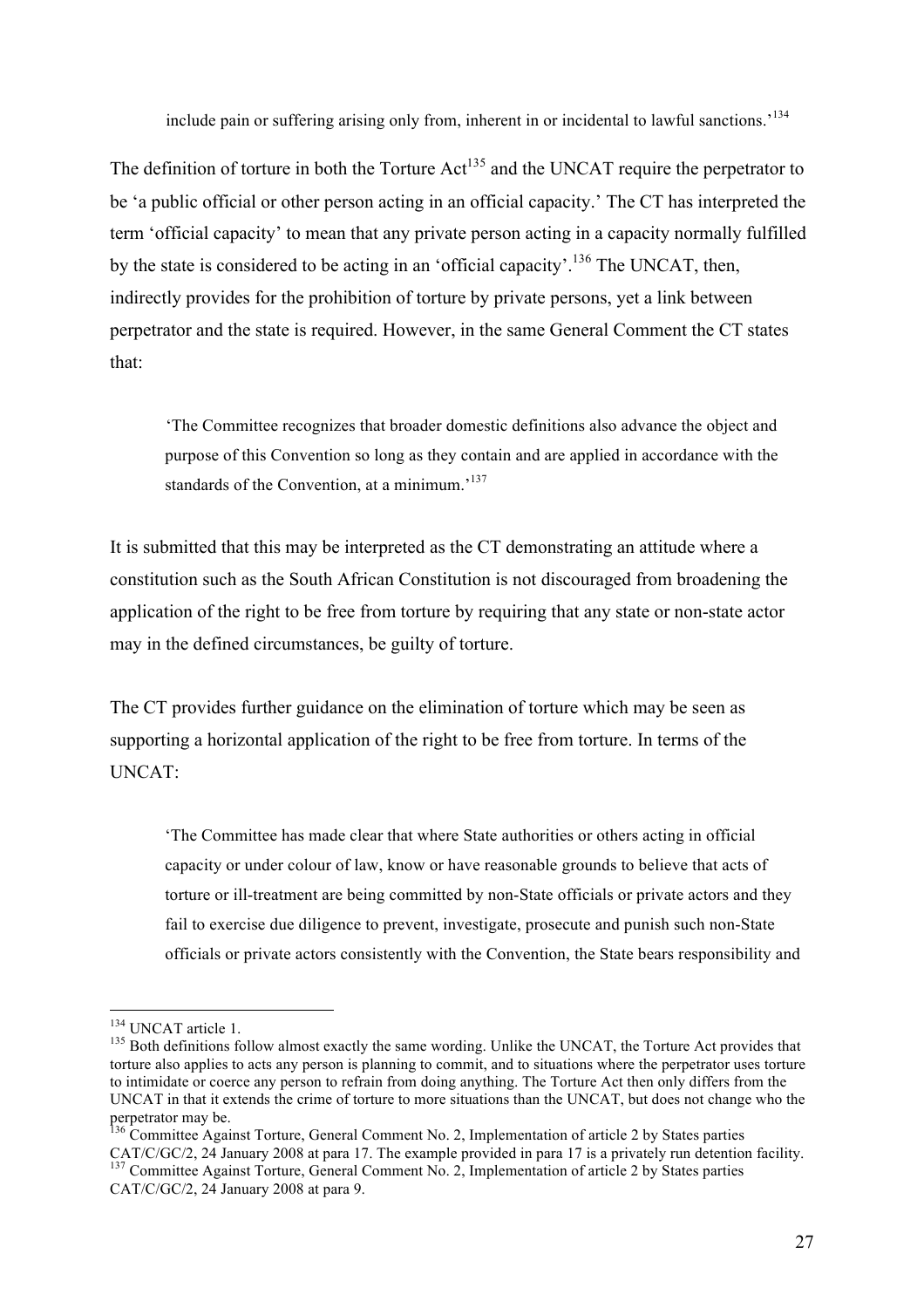include pain or suffering arising only from, inherent in or incidental to lawful sanctions.<sup>134</sup>

The definition of torture in both the Torture Act<sup>135</sup> and the UNCAT require the perpetrator to be 'a public official or other person acting in an official capacity.' The CT has interpreted the term 'official capacity' to mean that any private person acting in a capacity normally fulfilled by the state is considered to be acting in an 'official capacity'.<sup>136</sup> The UNCAT, then, indirectly provides for the prohibition of torture by private persons, yet a link between perpetrator and the state is required. However, in the same General Comment the CT states that:

'The Committee recognizes that broader domestic definitions also advance the object and purpose of this Convention so long as they contain and are applied in accordance with the standards of the Convention, at a minimum.<sup>137</sup>

It is submitted that this may be interpreted as the CT demonstrating an attitude where a constitution such as the South African Constitution is not discouraged from broadening the application of the right to be free from torture by requiring that any state or non-state actor may in the defined circumstances, be guilty of torture.

The CT provides further guidance on the elimination of torture which may be seen as supporting a horizontal application of the right to be free from torture. In terms of the UNCAT:

'The Committee has made clear that where State authorities or others acting in official capacity or under colour of law, know or have reasonable grounds to believe that acts of torture or ill-treatment are being committed by non-State officials or private actors and they fail to exercise due diligence to prevent, investigate, prosecute and punish such non-State officials or private actors consistently with the Convention, the State bears responsibility and

 $134$  UNCAT article 1.<br> $135$  Both definitions follow almost exactly the same wording. Unlike the UNCAT, the Torture Act provides that torture also applies to acts any person is planning to commit, and to situations where the perpetrator uses torture to intimidate or coerce any person to refrain from doing anything. The Torture Act then only differs from the UNCAT in that it extends the crime of torture to more situations than the UNCAT, but does not change who the perpetrator may be.

<sup>&</sup>lt;sup>136</sup> Committee Against Torture, General Comment No. 2, Implementation of article 2 by States parties CAT/C/GC/2, 24 January 2008 at para 17. The example provided in para 17 is a privately run detention facility. <sup>137</sup> Committee Against Torture, General Comment No. 2, Implementation of article 2 by States parties CAT/C/GC/2, 24 January 2008 at para 9.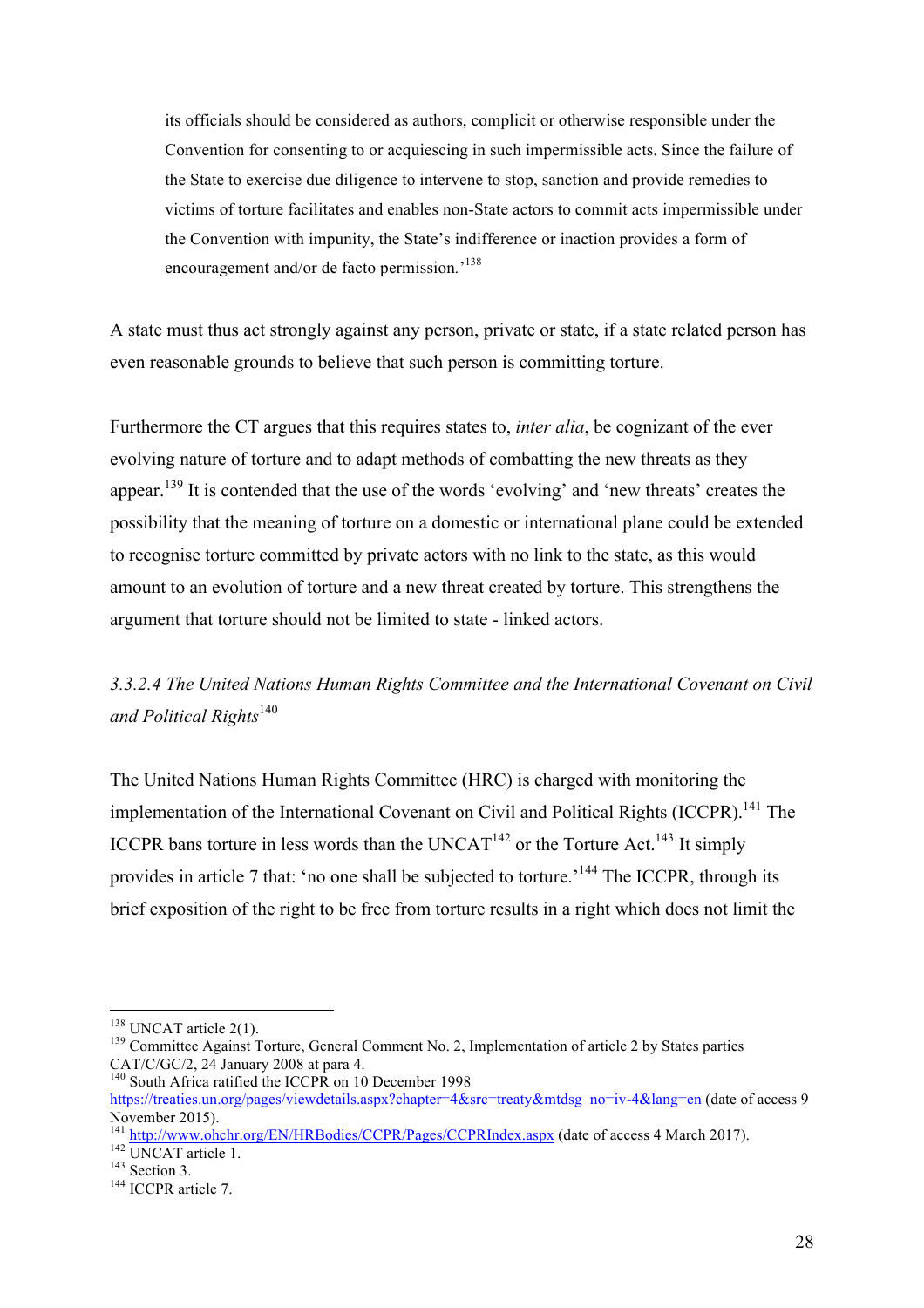its officials should be considered as authors, complicit or otherwise responsible under the Convention for consenting to or acquiescing in such impermissible acts. Since the failure of the State to exercise due diligence to intervene to stop, sanction and provide remedies to victims of torture facilitates and enables non-State actors to commit acts impermissible under the Convention with impunity, the State's indifference or inaction provides a form of encouragement and/or de facto permission*.*' 138

A state must thus act strongly against any person, private or state, if a state related person has even reasonable grounds to believe that such person is committing torture.

Furthermore the CT argues that this requires states to, *inter alia*, be cognizant of the ever evolving nature of torture and to adapt methods of combatting the new threats as they appear.<sup>139</sup> It is contended that the use of the words 'evolving' and 'new threats' creates the possibility that the meaning of torture on a domestic or international plane could be extended to recognise torture committed by private actors with no link to the state, as this would amount to an evolution of torture and a new threat created by torture. This strengthens the argument that torture should not be limited to state - linked actors.

*3.3.2.4 The United Nations Human Rights Committee and the International Covenant on Civil*  and Political Rights<sup>140</sup>

The United Nations Human Rights Committee (HRC) is charged with monitoring the implementation of the International Covenant on Civil and Political Rights (ICCPR).<sup>141</sup> The ICCPR bans torture in less words than the UNCAT<sup>142</sup> or the Torture Act.<sup>143</sup> It simply provides in article 7 that: 'no one shall be subjected to torture.'<sup>144</sup> The ICCPR, through its brief exposition of the right to be free from torture results in a right which does not limit the

<sup>&</sup>lt;sup>138</sup> UNCAT article 2(1).<br><sup>139</sup> Committee Against Torture, General Comment No. 2, Implementation of article 2 by States parties CAT/C/GC/2, 24 January 2008 at para 4.

<sup>&</sup>lt;sup>140</sup> South Africa ratified the ICCPR on 10 December 1998

https://treaties.un.org/pages/viewdetails.aspx?chapter=4&src=treaty&mtdsg\_no=iv-4&lang=en (date of access 9 November 2015).

<sup>141</sup> http://www.ohchr.org/EN/HRBodies/CCPR/Pages/CCPRIndex.aspx (date of access 4 March 2017).<br>
142 UNCAT article 1.<br>
<sup>143</sup> Section 3.<br>
<sup>144</sup> ICCPR article 7.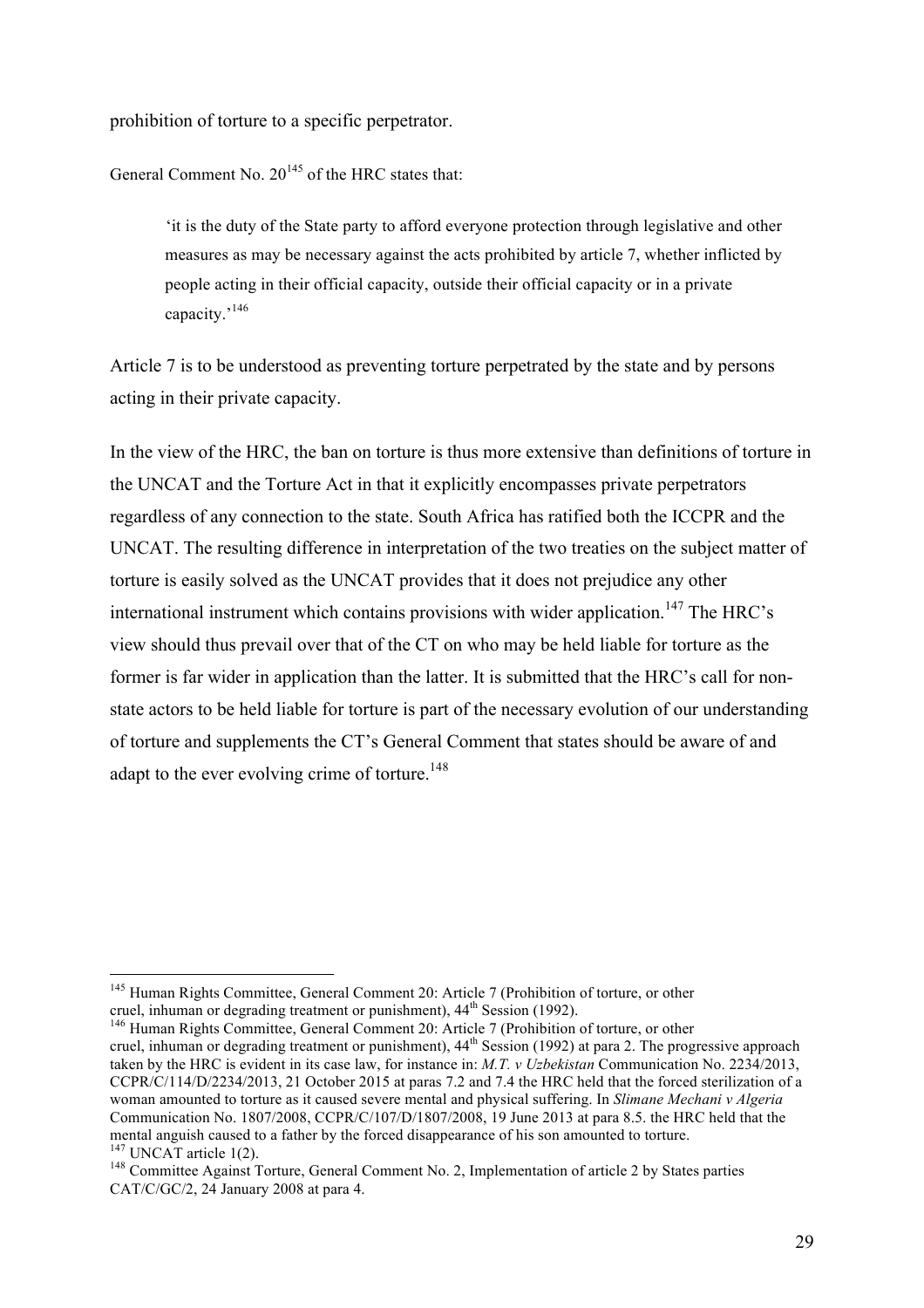prohibition of torture to a specific perpetrator.

General Comment No.  $20^{145}$  of the HRC states that:

'it is the duty of the State party to afford everyone protection through legislative and other measures as may be necessary against the acts prohibited by article 7, whether inflicted by people acting in their official capacity, outside their official capacity or in a private capacity.'<sup>146</sup>

Article 7 is to be understood as preventing torture perpetrated by the state and by persons acting in their private capacity.

In the view of the HRC, the ban on torture is thus more extensive than definitions of torture in the UNCAT and the Torture Act in that it explicitly encompasses private perpetrators regardless of any connection to the state. South Africa has ratified both the ICCPR and the UNCAT. The resulting difference in interpretation of the two treaties on the subject matter of torture is easily solved as the UNCAT provides that it does not prejudice any other international instrument which contains provisions with wider application.<sup>147</sup> The HRC's view should thus prevail over that of the CT on who may be held liable for torture as the former is far wider in application than the latter. It is submitted that the HRC's call for nonstate actors to be held liable for torture is part of the necessary evolution of our understanding of torture and supplements the CT's General Comment that states should be aware of and adapt to the ever evolving crime of torture.<sup>148</sup>

<sup>&</sup>lt;sup>145</sup> Human Rights Committee, General Comment 20: Article 7 (Prohibition of torture, or other cruel, inhuman or degrading treatment or punishment),  $44<sup>th</sup>$  Session (1992).

 $^{146}$  Human Rights Committee, General Comment 20: Article 7 (Prohibition of torture, or other

cruel, inhuman or degrading treatment or punishment), 44<sup>th</sup> Session (1992) at para 2. The progressive approach taken by the HRC is evident in its case law, for instance in: *M.T. v Uzbekistan* Communication No. 2234/2013, CCPR/C/114/D/2234/2013, 21 October 2015 at paras 7.2 and 7.4 the HRC held that the forced sterilization of a woman amounted to torture as it caused severe mental and physical suffering. In *Slimane Mechani v Algeria*  Communication No. 1807/2008, CCPR/C/107/D/1807/2008, 19 June 2013 at para 8.5. the HRC held that the mental anguish caused to a father by the forced disappearance of his son amounted to torture.<br><sup>147</sup> UNCAT article 1(2).

<sup>&</sup>lt;sup>148</sup> Committee Against Torture, General Comment No. 2, Implementation of article 2 by States parties CAT/C/GC/2, 24 January 2008 at para 4.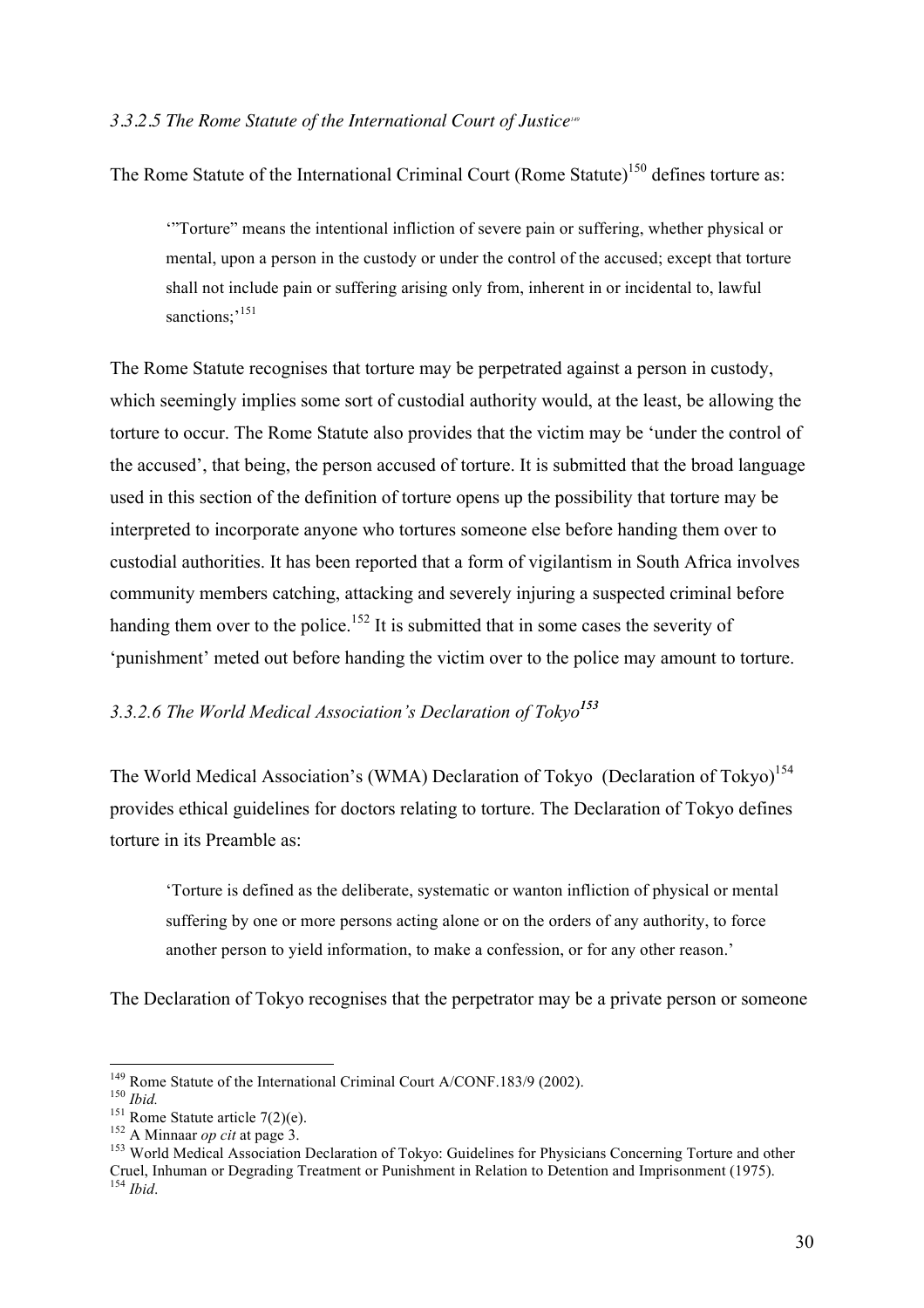#### *3.3.2.5 The Rome Statute of the International Court of Justice149*

The Rome Statute of the International Criminal Court (Rome Statute)<sup>150</sup> defines torture as:

'"Torture" means the intentional infliction of severe pain or suffering, whether physical or mental, upon a person in the custody or under the control of the accused; except that torture shall not include pain or suffering arising only from, inherent in or incidental to, lawful sanctions;<sup>151</sup>

The Rome Statute recognises that torture may be perpetrated against a person in custody, which seemingly implies some sort of custodial authority would, at the least, be allowing the torture to occur. The Rome Statute also provides that the victim may be 'under the control of the accused', that being, the person accused of torture. It is submitted that the broad language used in this section of the definition of torture opens up the possibility that torture may be interpreted to incorporate anyone who tortures someone else before handing them over to custodial authorities. It has been reported that a form of vigilantism in South Africa involves community members catching, attacking and severely injuring a suspected criminal before handing them over to the police.<sup>152</sup> It is submitted that in some cases the severity of 'punishment' meted out before handing the victim over to the police may amount to torture.

## *3.3.2.6 The World Medical Association's Declaration of Tokyo<sup>153</sup>*

The World Medical Association's (WMA) Declaration of Tokyo (Declaration of Tokyo)<sup>154</sup> provides ethical guidelines for doctors relating to torture. The Declaration of Tokyo defines torture in its Preamble as:

'Torture is defined as the deliberate, systematic or wanton infliction of physical or mental suffering by one or more persons acting alone or on the orders of any authority, to force another person to yield information, to make a confession, or for any other reason.'

The Declaration of Tokyo recognises that the perpetrator may be a private person or someone

<sup>&</sup>lt;sup>149</sup> Rome Statute of the International Criminal Court A/CONF.183/9 (2002).<br><sup>150</sup> *Ibid.*<br><sup>151</sup> Rome Statute article 7(2)(e).<br><sup>151</sup> Rome Statute article 7(2)(e).<br><sup>151</sup> A Minnaar *op cit* at page 3.<br><sup>152</sup> A Minnaar *op cit* Cruel, Inhuman or Degrading Treatment or Punishment in Relation to Detention and Imprisonment (1975).  $^{154}$  *Ibid.*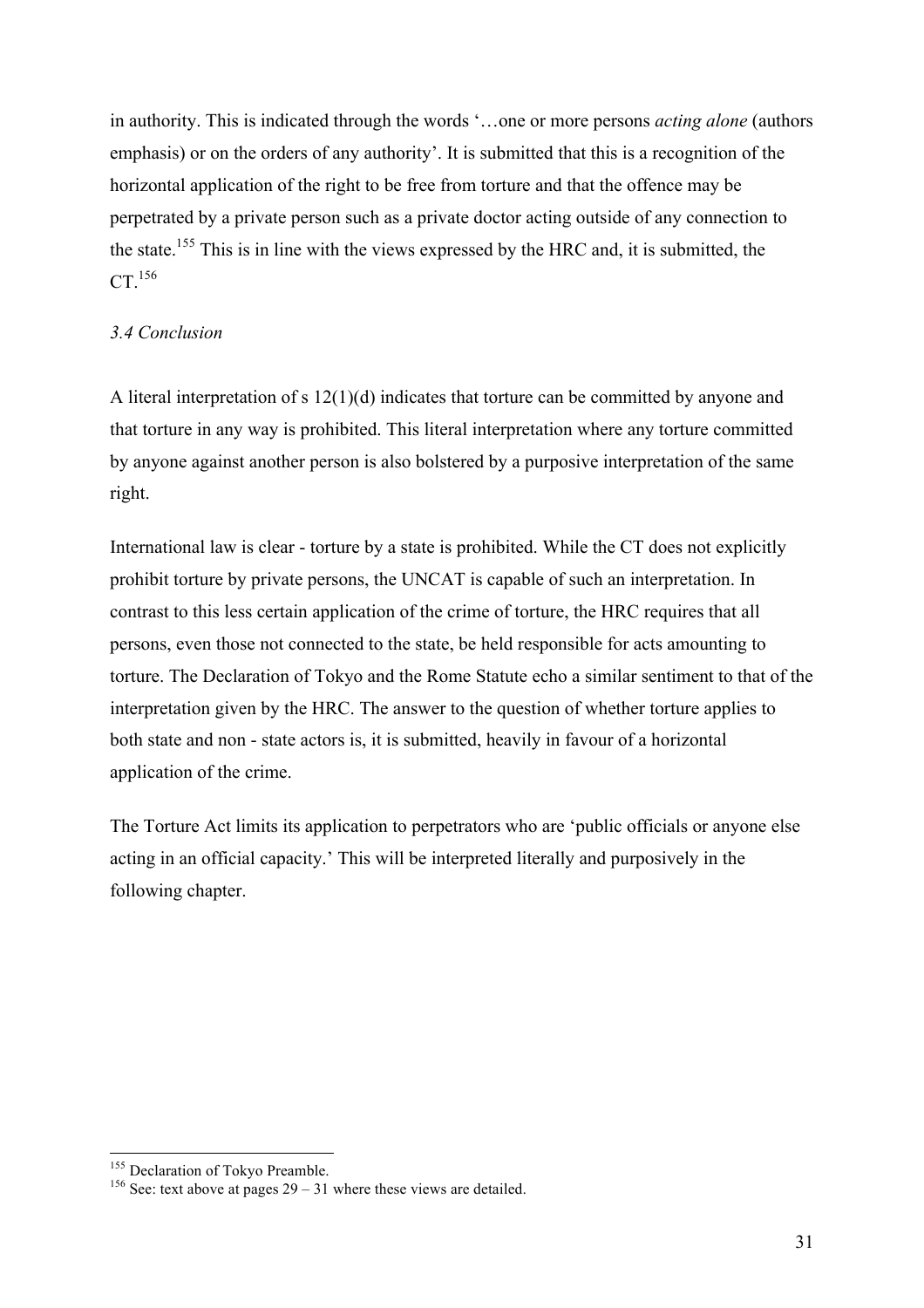in authority. This is indicated through the words '…one or more persons *acting alone* (authors emphasis) or on the orders of any authority'. It is submitted that this is a recognition of the horizontal application of the right to be free from torture and that the offence may be perpetrated by a private person such as a private doctor acting outside of any connection to the state.<sup>155</sup> This is in line with the views expressed by the HRC and, it is submitted, the  $CT<sup>156</sup>$ 

## *3.4 Conclusion*

A literal interpretation of s 12(1)(d) indicates that torture can be committed by anyone and that torture in any way is prohibited. This literal interpretation where any torture committed by anyone against another person is also bolstered by a purposive interpretation of the same right.

International law is clear - torture by a state is prohibited. While the CT does not explicitly prohibit torture by private persons, the UNCAT is capable of such an interpretation. In contrast to this less certain application of the crime of torture, the HRC requires that all persons, even those not connected to the state, be held responsible for acts amounting to torture. The Declaration of Tokyo and the Rome Statute echo a similar sentiment to that of the interpretation given by the HRC. The answer to the question of whether torture applies to both state and non - state actors is, it is submitted, heavily in favour of a horizontal application of the crime.

The Torture Act limits its application to perpetrators who are 'public officials or anyone else acting in an official capacity.' This will be interpreted literally and purposively in the following chapter.

<sup>&</sup>lt;sup>155</sup> Declaration of Tokyo Preamble.<br><sup>156</sup> See: text above at pages  $29 - 31$  where these views are detailed.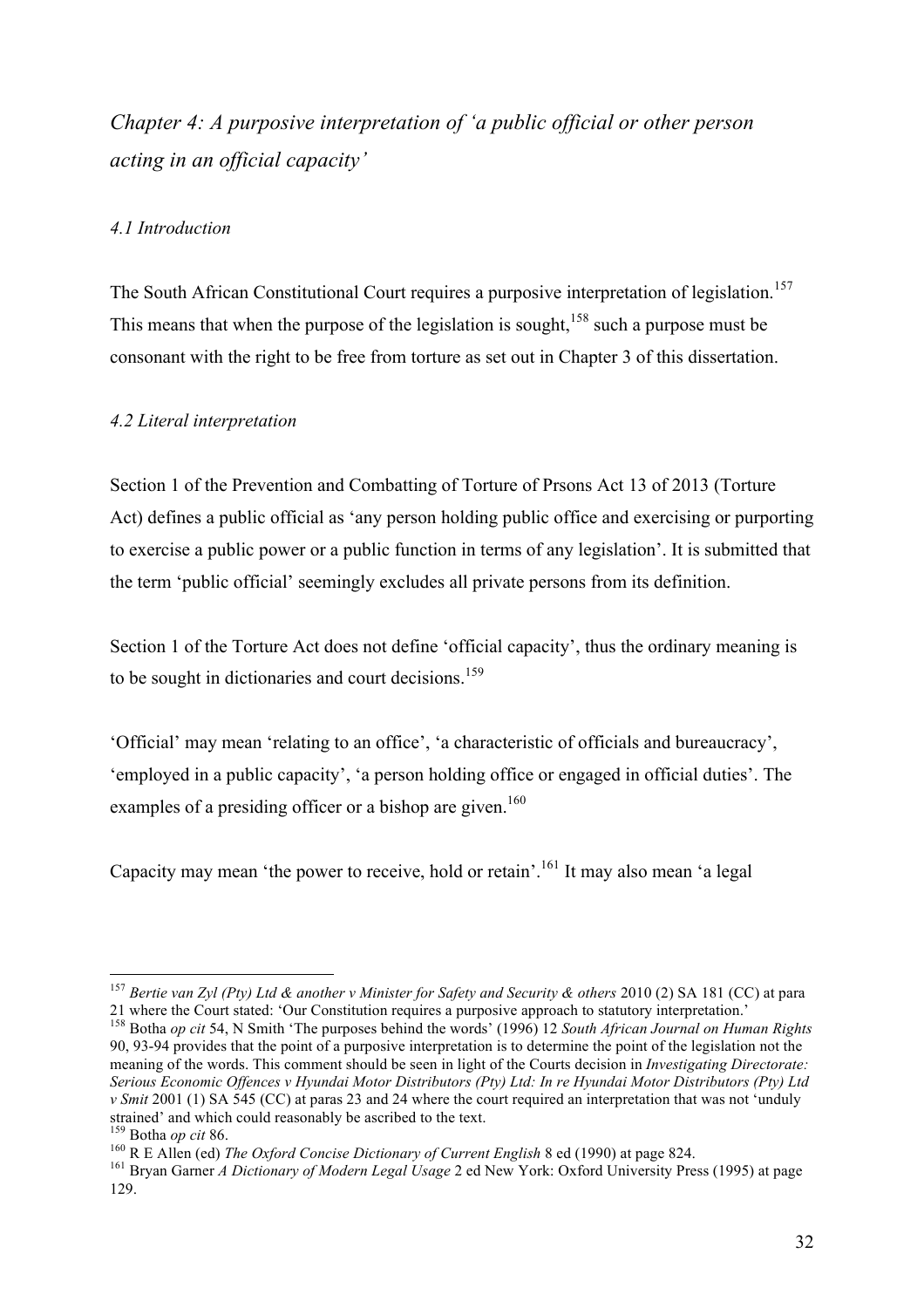*Chapter 4: A purposive interpretation of 'a public official or other person acting in an official capacity'*

## *4.1 Introduction*

The South African Constitutional Court requires a purposive interpretation of legislation.<sup>157</sup> This means that when the purpose of the legislation is sought,  $158$  such a purpose must be consonant with the right to be free from torture as set out in Chapter 3 of this dissertation.

## *4.2 Literal interpretation*

Section 1 of the Prevention and Combatting of Torture of Prsons Act 13 of 2013 (Torture Act) defines a public official as 'any person holding public office and exercising or purporting to exercise a public power or a public function in terms of any legislation'. It is submitted that the term 'public official' seemingly excludes all private persons from its definition.

Section 1 of the Torture Act does not define 'official capacity', thus the ordinary meaning is to be sought in dictionaries and court decisions.<sup>159</sup>

'Official' may mean 'relating to an office', 'a characteristic of officials and bureaucracy', 'employed in a public capacity', 'a person holding office or engaged in official duties'. The examples of a presiding officer or a bishop are given.<sup>160</sup>

Capacity may mean 'the power to receive, hold or retain'.<sup>161</sup> It may also mean 'a legal

<sup>&</sup>lt;sup>157</sup> Bertie van Zyl (Pty) Ltd & another v Minister for Safety and Security & others 2010 (2) SA 181 (CC) at para 21 where the Court stated: 'Our Constitution requires a purposive approach to statutory interpretation.'

<sup>158</sup> Botha *op cit* 54, N Smith 'The purposes behind the words' (1996) 12 *South African Journal on Human Rights*  90, 93-94 provides that the point of a purposive interpretation is to determine the point of the legislation not the meaning of the words. This comment should be seen in light of the Courts decision in *Investigating Directorate: Serious Economic Offences v Hyundai Motor Distributors (Pty) Ltd: In re Hyundai Motor Distributors (Pty) Ltd v Smit* 2001 (1) SA 545 (CC) at paras 23 and 24 where the court required an interpretation that was not 'unduly strained' and which could reasonably be ascribed to the text.  $^{159}$  Botha *op cit* 86.

<sup>&</sup>lt;sup>160</sup> R E Allen (ed) *The Oxford Concise Dictionary of Current English* 8 ed (1990) at page 824.<br><sup>161</sup> Bryan Garner *A Dictionary of Modern Legal Usage* 2 ed New York: Oxford University Press (1995) at page 129.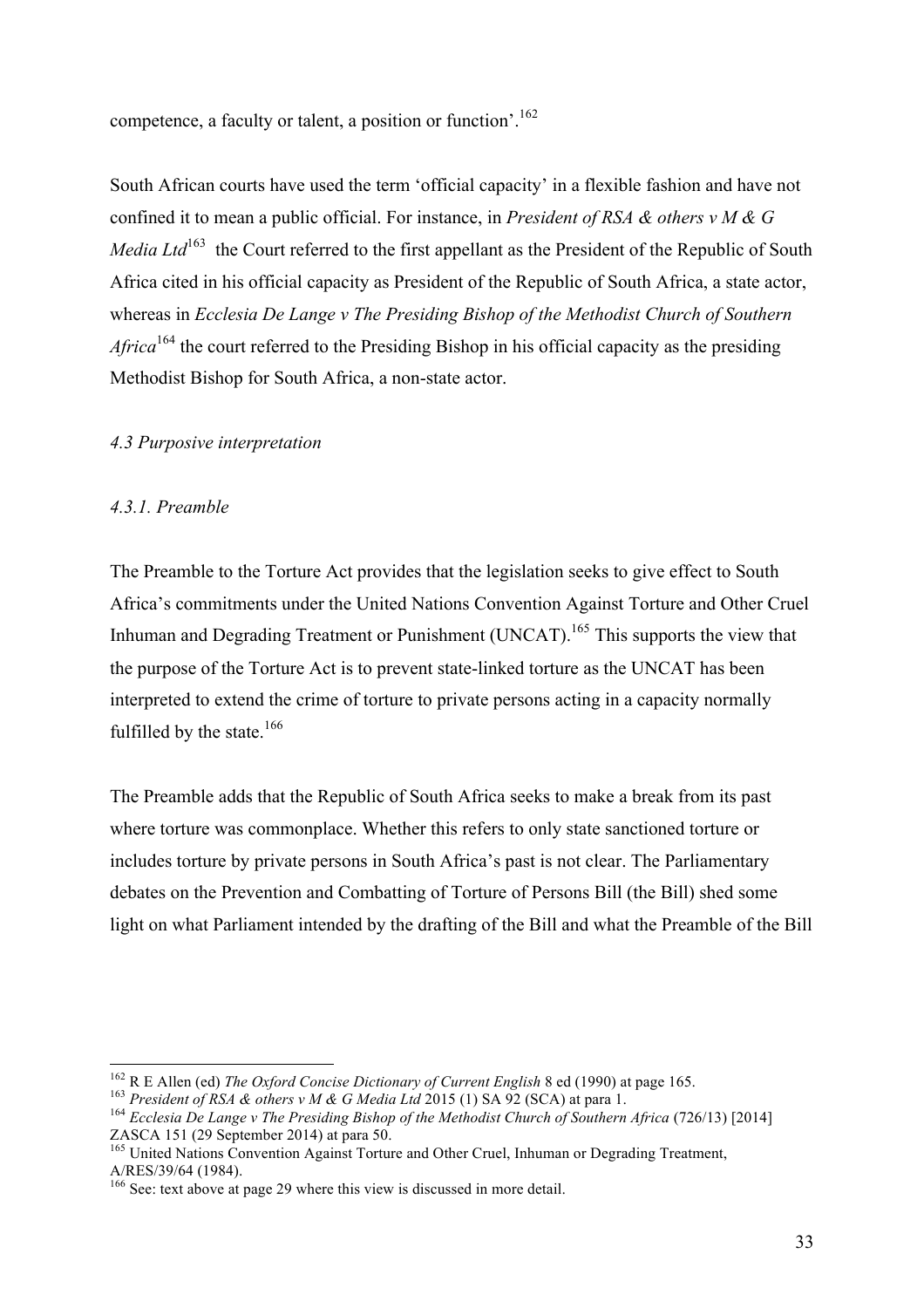competence, a faculty or talent, a position or function'.<sup>162</sup>

South African courts have used the term 'official capacity' in a flexible fashion and have not confined it to mean a public official. For instance, in *President of RSA & others v M & G Media Ltd*<sup>163</sup> the Court referred to the first appellant as the President of the Republic of South Africa cited in his official capacity as President of the Republic of South Africa, a state actor, whereas in *Ecclesia De Lange v The Presiding Bishop of the Methodist Church of Southern Africa*<sup>164</sup> the court referred to the Presiding Bishop in his official capacity as the presiding Methodist Bishop for South Africa, a non-state actor.

#### *4.3 Purposive interpretation*

## *4.3.1. Preamble*

The Preamble to the Torture Act provides that the legislation seeks to give effect to South Africa's commitments under the United Nations Convention Against Torture and Other Cruel Inhuman and Degrading Treatment or Punishment (UNCAT).<sup>165</sup> This supports the view that the purpose of the Torture Act is to prevent state-linked torture as the UNCAT has been interpreted to extend the crime of torture to private persons acting in a capacity normally fulfilled by the state.<sup>166</sup>

The Preamble adds that the Republic of South Africa seeks to make a break from its past where torture was commonplace. Whether this refers to only state sanctioned torture or includes torture by private persons in South Africa's past is not clear. The Parliamentary debates on the Prevention and Combatting of Torture of Persons Bill (the Bill) shed some light on what Parliament intended by the drafting of the Bill and what the Preamble of the Bill

<sup>&</sup>lt;sup>162</sup> R E Allen (ed) *The Oxford Concise Dictionary of Current English* 8 ed (1990) at page 165.<br><sup>163</sup> President of RSA & others v M & G Media Ltd 2015 (1) SA 92 (SCA) at para 1.<br><sup>164</sup> Ecclesia De Lange v The Presiding Bi

<sup>&</sup>lt;sup>165</sup> United Nations Convention Against Torture and Other Cruel, Inhuman or Degrading Treatment, A/RES/39/64 (1984).

 $166$  See: text above at page 29 where this view is discussed in more detail.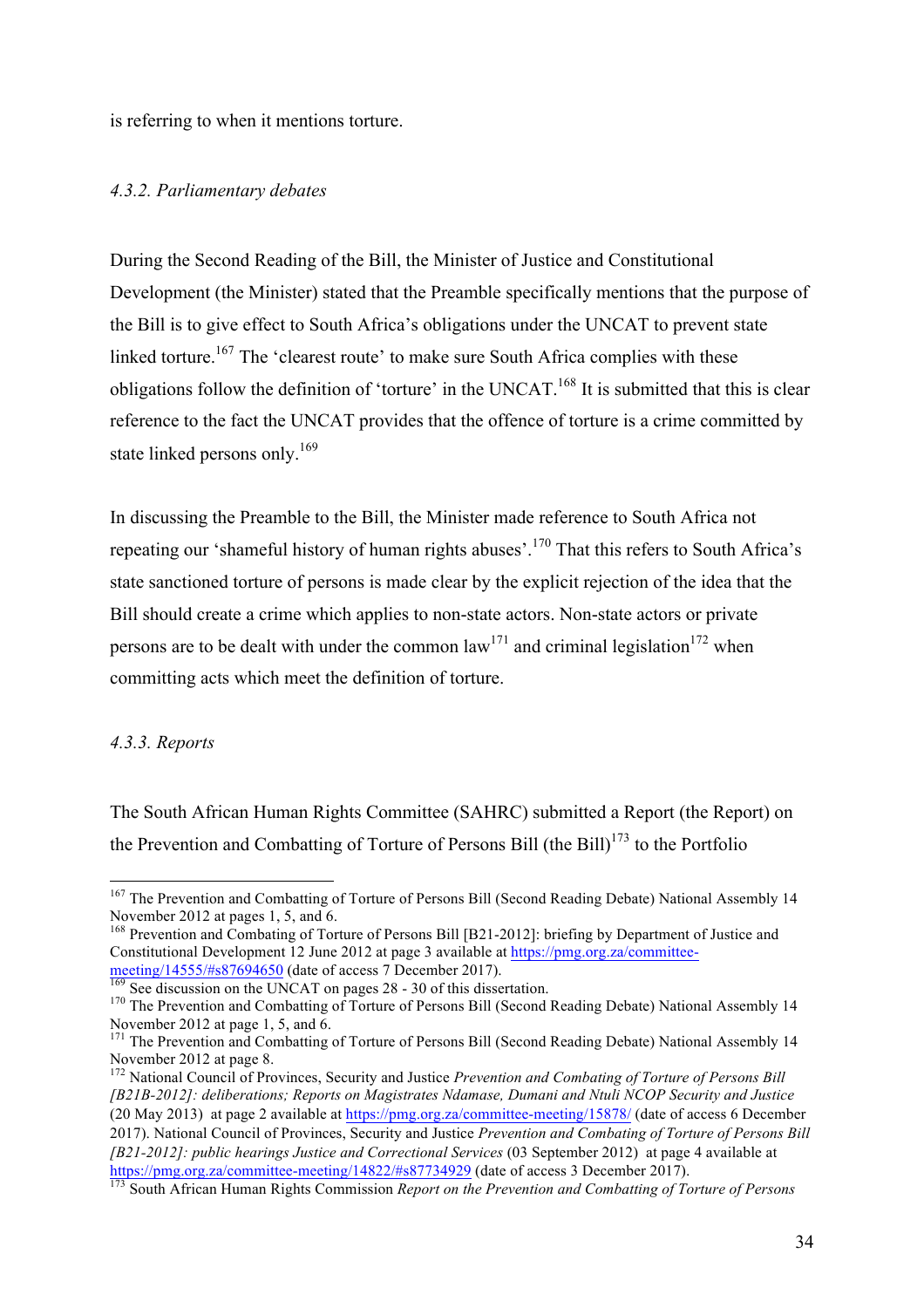is referring to when it mentions torture.

#### *4.3.2. Parliamentary debates*

During the Second Reading of the Bill, the Minister of Justice and Constitutional Development (the Minister) stated that the Preamble specifically mentions that the purpose of the Bill is to give effect to South Africa's obligations under the UNCAT to prevent state linked torture.<sup>167</sup> The 'clearest route' to make sure South Africa complies with these obligations follow the definition of 'torture' in the UNCAT.168 It is submitted that this is clear reference to the fact the UNCAT provides that the offence of torture is a crime committed by state linked persons only.<sup>169</sup>

In discussing the Preamble to the Bill, the Minister made reference to South Africa not repeating our 'shameful history of human rights abuses'.<sup>170</sup> That this refers to South Africa's state sanctioned torture of persons is made clear by the explicit rejection of the idea that the Bill should create a crime which applies to non-state actors. Non-state actors or private persons are to be dealt with under the common law<sup>171</sup> and criminal legislation<sup>172</sup> when committing acts which meet the definition of torture.

## *4.3.3. Reports*

The South African Human Rights Committee (SAHRC) submitted a Report (the Report) on the Prevention and Combatting of Torture of Persons Bill (the Bill)<sup>173</sup> to the Portfolio

<sup>&</sup>lt;sup>167</sup> The Prevention and Combatting of Torture of Persons Bill (Second Reading Debate) National Assembly 14 November 2012 at pages 1, 5, and 6.

November 2012 at pages 1, 5, and 6. <sup>168</sup> Prevention and Combating of Torture of Persons Bill [B21-2012]: briefing by Department of Justice and Constitutional Development 12 June 2012 at page 3 available at  $\frac{https://pmg.org.za/committed-  
meeting/14555/\#s87694650}$  (date of access 7 December 2017).

 $\frac{169}{109}$  See discussion on the UNCAT on pages 28 - 30 of this dissertation.<br><sup>170</sup> The Prevention and Combatting of Torture of Persons Bill (Second Reading Debate) National Assembly 14 November 2012 at page 1, 5, and 6.

<sup>&</sup>lt;sup>171</sup> The Prevention and Combatting of Torture of Persons Bill (Second Reading Debate) National Assembly 14 November 2012 at page 8.

<sup>172</sup> National Council of Provinces, Security and Justice *Prevention and Combating of Torture of Persons Bill [B21B-2012]: deliberations; Reports on Magistrates Ndamase, Dumani and Ntuli NCOP Security and Justice* (20 May 2013) at page 2 available at https://pmg.org.za/committee-meeting/15878/ (date of access 6 December 2017). National Council of Provinces, Security and Justice *Prevention and Combating of Torture of Persons Bill [B21-2012]: public hearings Justice and Correctional Services* (03 September 2012) at page 4 available at https://pmg.org.za/committee-meeting/14822/#s87734929 (date of access 3 December 2017). <sup>173</sup> South African Human Rights Commission *Report on the Prevention and Combatting of Torture of Persons*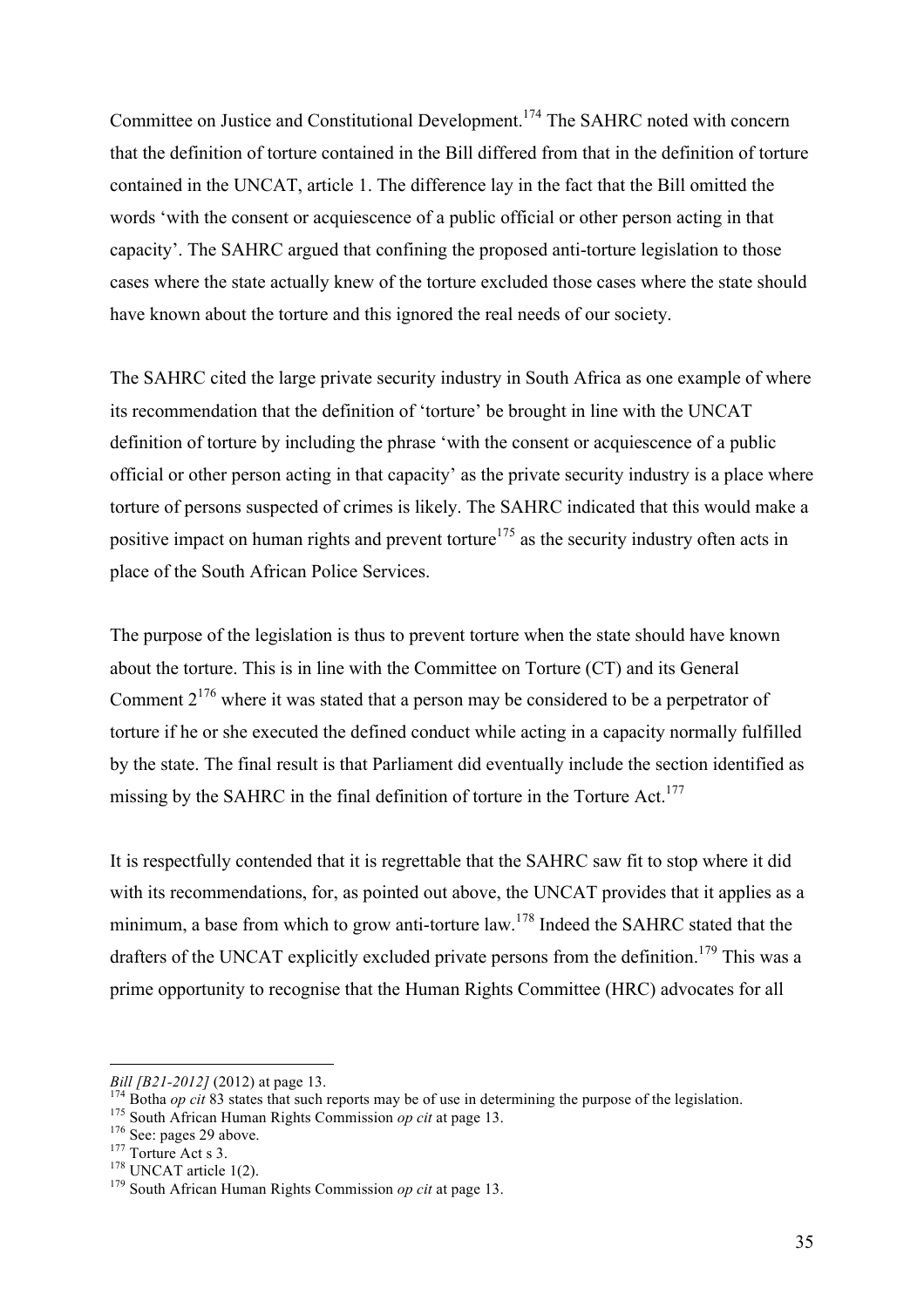Committee on Justice and Constitutional Development.174 The SAHRC noted with concern that the definition of torture contained in the Bill differed from that in the definition of torture contained in the UNCAT, article 1. The difference lay in the fact that the Bill omitted the words 'with the consent or acquiescence of a public official or other person acting in that capacity'. The SAHRC argued that confining the proposed anti-torture legislation to those cases where the state actually knew of the torture excluded those cases where the state should have known about the torture and this ignored the real needs of our society.

The SAHRC cited the large private security industry in South Africa as one example of where its recommendation that the definition of 'torture' be brought in line with the UNCAT definition of torture by including the phrase 'with the consent or acquiescence of a public official or other person acting in that capacity' as the private security industry is a place where torture of persons suspected of crimes is likely. The SAHRC indicated that this would make a positive impact on human rights and prevent torture<sup>175</sup> as the security industry often acts in place of the South African Police Services.

The purpose of the legislation is thus to prevent torture when the state should have known about the torture. This is in line with the Committee on Torture (CT) and its General Comment  $2^{176}$  where it was stated that a person may be considered to be a perpetrator of torture if he or she executed the defined conduct while acting in a capacity normally fulfilled by the state. The final result is that Parliament did eventually include the section identified as missing by the SAHRC in the final definition of torture in the Torture Act.<sup>177</sup>

It is respectfully contended that it is regrettable that the SAHRC saw fit to stop where it did with its recommendations, for, as pointed out above, the UNCAT provides that it applies as a minimum, a base from which to grow anti-torture law.<sup>178</sup> Indeed the SAHRC stated that the drafters of the UNCAT explicitly excluded private persons from the definition.<sup>179</sup> This was a prime opportunity to recognise that the Human Rights Committee (HRC) advocates for all

 $\overline{a}$ 

Bill [B21-2012] (2012) at page 13.<br>
<sup>174</sup> Botha *op cit* 83 states that such reports may be of use in determining the purpose of the legislation.<br>
<sup>175</sup> South African Human Rights Commission *op cit* at page 13.<br>
<sup>176</sup> Se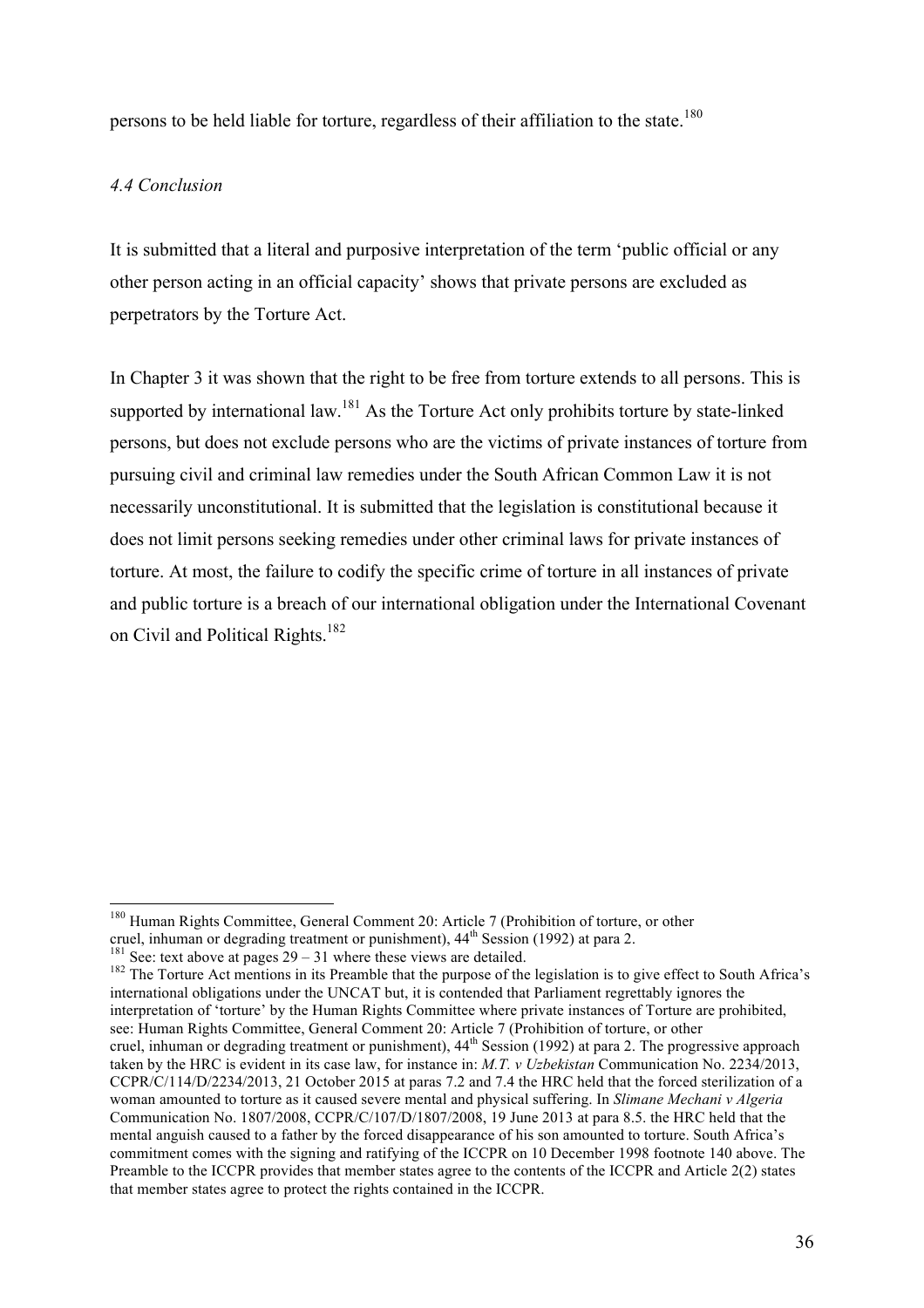persons to be held liable for torture, regardless of their affiliation to the state.<sup>180</sup>

## *4.4 Conclusion*

It is submitted that a literal and purposive interpretation of the term 'public official or any other person acting in an official capacity' shows that private persons are excluded as perpetrators by the Torture Act.

In Chapter 3 it was shown that the right to be free from torture extends to all persons. This is supported by international law.<sup>181</sup> As the Torture Act only prohibits torture by state-linked persons, but does not exclude persons who are the victims of private instances of torture from pursuing civil and criminal law remedies under the South African Common Law it is not necessarily unconstitutional. It is submitted that the legislation is constitutional because it does not limit persons seeking remedies under other criminal laws for private instances of torture. At most, the failure to codify the specific crime of torture in all instances of private and public torture is a breach of our international obligation under the International Covenant on Civil and Political Rights.<sup>182</sup>

<sup>181</sup> See: text above at pages  $29 - 31$  where these views are detailed.<br><sup>182</sup> The Torture Act mentions in its Preamble that the purpose of the legislation is to give effect to South Africa's international obligations under the UNCAT but, it is contended that Parliament regrettably ignores the interpretation of 'torture' by the Human Rights Committee where private instances of Torture are prohibited, see: Human Rights Committee, General Comment 20: Article 7 (Prohibition of torture, or other cruel, inhuman or degrading treatment or punishment), 44<sup>th</sup> Session (1992) at para 2. The progressive approach taken by the HRC is evident in its case law, for instance in: *M.T. v Uzbekistan* Communication No. 2234/2013, CCPR/C/114/D/2234/2013, 21 October 2015 at paras 7.2 and 7.4 the HRC held that the forced sterilization of a woman amounted to torture as it caused severe mental and physical suffering. In *Slimane Mechani v Algeria*  Communication No. 1807/2008, CCPR/C/107/D/1807/2008, 19 June 2013 at para 8.5. the HRC held that the mental anguish caused to a father by the forced disappearance of his son amounted to torture. South Africa's commitment comes with the signing and ratifying of the ICCPR on 10 December 1998 footnote 140 above. The Preamble to the ICCPR provides that member states agree to the contents of the ICCPR and Article 2(2) states that member states agree to protect the rights contained in the ICCPR.

<sup>&</sup>lt;sup>180</sup> Human Rights Committee, General Comment 20: Article 7 (Prohibition of torture, or other cruel, inhuman or degrading treatment or punishment),  $44<sup>th</sup>$  Session (1992) at para 2.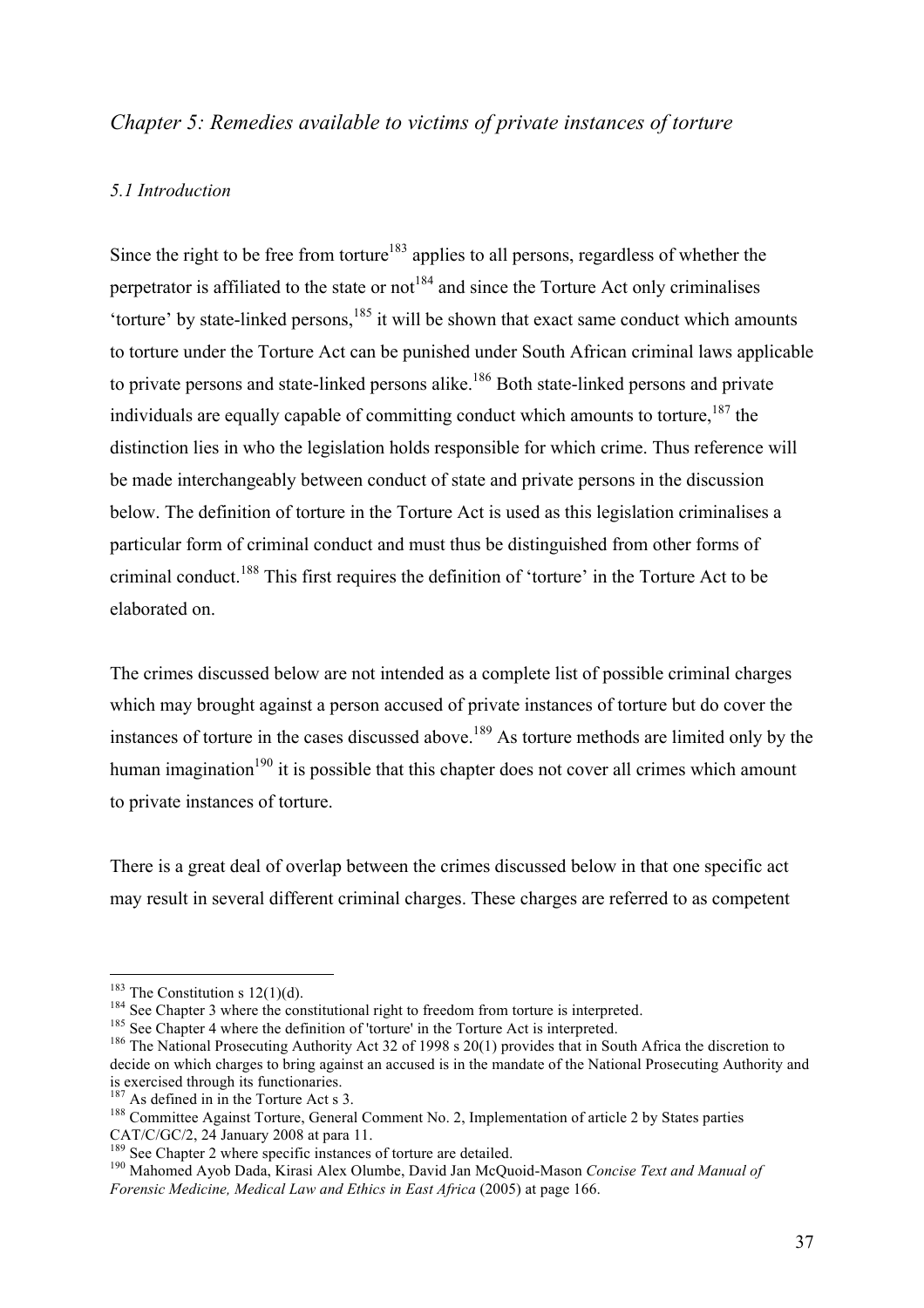## *Chapter 5: Remedies available to victims of private instances of torture*

#### *5.1 Introduction*

Since the right to be free from torture<sup>183</sup> applies to all persons, regardless of whether the perpetrator is affiliated to the state or not<sup>184</sup> and since the Torture Act only criminalises 'torture' by state-linked persons,<sup>185</sup> it will be shown that exact same conduct which amounts to torture under the Torture Act can be punished under South African criminal laws applicable to private persons and state-linked persons alike.<sup>186</sup> Both state-linked persons and private individuals are equally capable of committing conduct which amounts to torture, <sup>187</sup> the distinction lies in who the legislation holds responsible for which crime. Thus reference will be made interchangeably between conduct of state and private persons in the discussion below. The definition of torture in the Torture Act is used as this legislation criminalises a particular form of criminal conduct and must thus be distinguished from other forms of criminal conduct.<sup>188</sup> This first requires the definition of 'torture' in the Torture Act to be elaborated on.

The crimes discussed below are not intended as a complete list of possible criminal charges which may brought against a person accused of private instances of torture but do cover the instances of torture in the cases discussed above.<sup>189</sup> As torture methods are limited only by the human imagination<sup>190</sup> it is possible that this chapter does not cover all crimes which amount to private instances of torture.

There is a great deal of overlap between the crimes discussed below in that one specific act may result in several different criminal charges. These charges are referred to as competent

<sup>&</sup>lt;sup>183</sup> The Constitution s 12(1)(d).<br><sup>184</sup> See Chapter 3 where the constitutional right to freedom from torture is interpreted.<br><sup>185</sup> See Chapter 4 where the definition of 'torture' in the Torture Act is interpreted.<br><sup>186</sup> decide on which charges to bring against an accused is in the mandate of the National Prosecuting Authority and is exercised through its functionaries.<br><sup>187</sup> As defined in in the Torture Act s 3.

<sup>&</sup>lt;sup>188</sup> Committee Against Torture, General Comment No. 2, Implementation of article 2 by States parties CAT/C/GC/2, 24 January 2008 at para 11.<br><sup>189</sup> See Chapter 2 where specific instances of torture are detailed.

<sup>&</sup>lt;sup>190</sup> Mahomed Ayob Dada, Kirasi Alex Olumbe, David Jan McQuoid-Mason *Concise Text and Manual of Forensic Medicine, Medical Law and Ethics in East Africa* (2005) at page 166.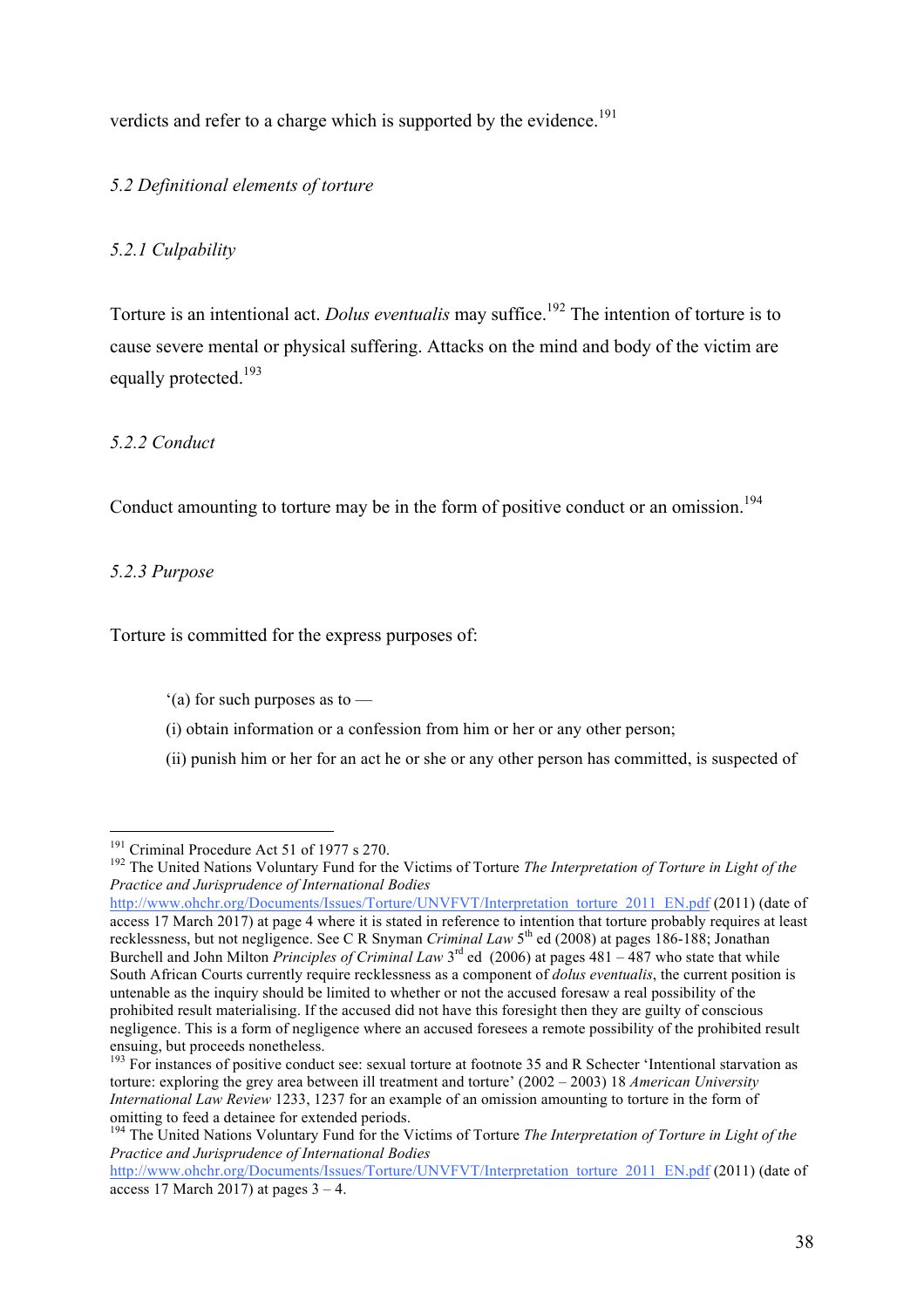verdicts and refer to a charge which is supported by the evidence.<sup>191</sup>

## *5.2 Definitional elements of torture*

## *5.2.1 Culpability*

Torture is an intentional act. *Dolus eventualis* may suffice.<sup>192</sup> The intention of torture is to cause severe mental or physical suffering. Attacks on the mind and body of the victim are equally protected.<sup>193</sup>

## *5.2.2 Conduct*

Conduct amounting to torture may be in the form of positive conduct or an omission.<sup>194</sup>

## *5.2.3 Purpose*

Torture is committed for the express purposes of:

- '(a) for such purposes as to —
- (i) obtain information or a confession from him or her or any other person;
- (ii) punish him or her for an act he or she or any other person has committed, is suspected of

http://www.ohchr.org/Documents/Issues/Torture/UNVFVT/Interpretation\_torture\_2011\_EN.pdf (2011) (date of access 17 March 2017) at page 4 where it is stated in reference to intention that torture probably requires at least recklessness, but not negligence. See C R Snyman *Criminal Law* 5th ed (2008) at pages 186-188; Jonathan Burchell and John Milton *Principles of Criminal Law* 3rd ed (2006) at pages 481 – 487 who state that while South African Courts currently require recklessness as a component of *dolus eventualis*, the current position is untenable as the inquiry should be limited to whether or not the accused foresaw a real possibility of the prohibited result materialising. If the accused did not have this foresight then they are guilty of conscious negligence. This is a form of negligence where an accused foresees a remote possibility of the prohibited result ensuing, but proceeds nonetheless.

<sup>&</sup>lt;sup>191</sup> Criminal Procedure Act 51 of 1977 s 270.<br><sup>192</sup> The United Nations Voluntary Fund for the Victims of Torture *The Interpretation of Torture in Light of the Practice and Jurisprudence of International Bodies*

<sup>&</sup>lt;sup>193</sup> For instances of positive conduct see: sexual torture at footnote 35 and R Schecter 'Intentional starvation as torture: exploring the grey area between ill treatment and torture' (2002 – 2003) 18 *American University International Law Review* 1233, 1237 for an example of an omission amounting to torture in the form of omitting to feed a detainee for extended periods.

<sup>194</sup> The United Nations Voluntary Fund for the Victims of Torture *The Interpretation of Torture in Light of the Practice and Jurisprudence of International Bodies*

http://www.ohchr.org/Documents/Issues/Torture/UNVFVT/Interpretation\_torture\_2011\_EN.pdf (2011) (date of access 17 March 2017) at pages  $3 - 4$ .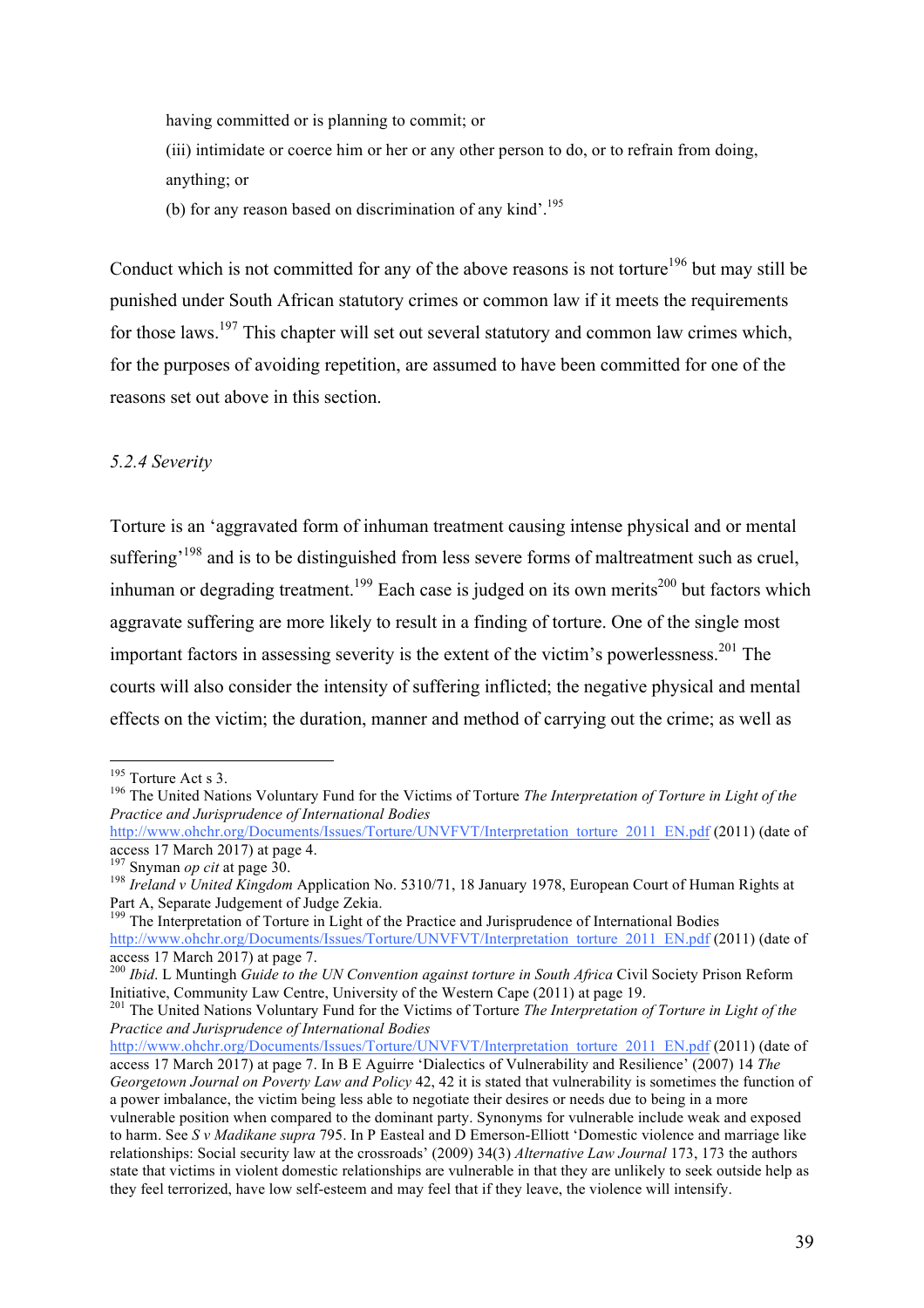having committed or is planning to commit; or (iii) intimidate or coerce him or her or any other person to do, or to refrain from doing, anything; or (b) for any reason based on discrimination of any kind'.<sup>195</sup>

Conduct which is not committed for any of the above reasons is not torture<sup>196</sup> but may still be punished under South African statutory crimes or common law if it meets the requirements for those laws.<sup>197</sup> This chapter will set out several statutory and common law crimes which, for the purposes of avoiding repetition, are assumed to have been committed for one of the reasons set out above in this section.

## *5.2.4 Severity*

Torture is an 'aggravated form of inhuman treatment causing intense physical and or mental suffering<sup>198</sup> and is to be distinguished from less severe forms of maltreatment such as cruel. inhuman or degrading treatment.<sup>199</sup> Each case is judged on its own merits<sup>200</sup> but factors which aggravate suffering are more likely to result in a finding of torture. One of the single most important factors in assessing severity is the extent of the victim's powerlessness. <sup>201</sup> The courts will also consider the intensity of suffering inflicted; the negative physical and mental effects on the victim; the duration, manner and method of carrying out the crime; as well as

<sup>&</sup>lt;sup>195</sup> Torture Act s 3.<br><sup>196</sup> The United Nations Voluntary Fund for the Victims of Torture *The Interpretation of Torture in Light of the Practice and Jurisprudence of International Bodies*

http://www.ohchr.org/Documents/Issues/Torture/UNVFVT/Interpretation\_torture\_2011\_EN.pdf (2011) (date of access 17 March 2017) at page 4.

<sup>&</sup>lt;sup>197</sup> Snyman *op cit* at page 30.<br><sup>198</sup> *Ireland v United Kingdom Application No.* 5310/71, 18 January 1978, European Court of Human Rights at Part A, Separate Judgement of Judge Zekia.

<sup>&</sup>lt;sup>199</sup> The Interpretation of Torture in Light of the Practice and Jurisprudence of International Bodies http://www.ohchr.org/Documents/Issues/Torture/UNVFVT/Interpretation\_torture\_2011\_EN.pdf (2011) (date of access 17 March 2017) at page 7.

<sup>200</sup> *Ibid*. L Muntingh *Guide to the UN Convention against torture in South Africa* Civil Society Prison Reform Initiative, Community Law Centre, University of the Western Cape (2011) at page 19.

<sup>201</sup> The United Nations Voluntary Fund for the Victims of Torture *The Interpretation of Torture in Light of the Practice and Jurisprudence of International Bodies*

http://www.ohchr.org/Documents/Issues/Torture/UNVFVT/Interpretation\_torture\_2011\_EN.pdf (2011) (date of access 17 March 2017) at page 7. In B E Aguirre 'Dialectics of Vulnerability and Resilience' (2007) 14 *The Georgetown Journal on Poverty Law and Policy* 42, 42 it is stated that vulnerability is sometimes the function of a power imbalance, the victim being less able to negotiate their desires or needs due to being in a more vulnerable position when compared to the dominant party. Synonyms for vulnerable include weak and exposed to harm. See *S v Madikane supra* 795. In P Easteal and D Emerson-Elliott 'Domestic violence and marriage like relationships: Social security law at the crossroads' (2009) 34(3) *Alternative Law Journal* 173, 173 the authors state that victims in violent domestic relationships are vulnerable in that they are unlikely to seek outside help as they feel terrorized, have low self-esteem and may feel that if they leave, the violence will intensify.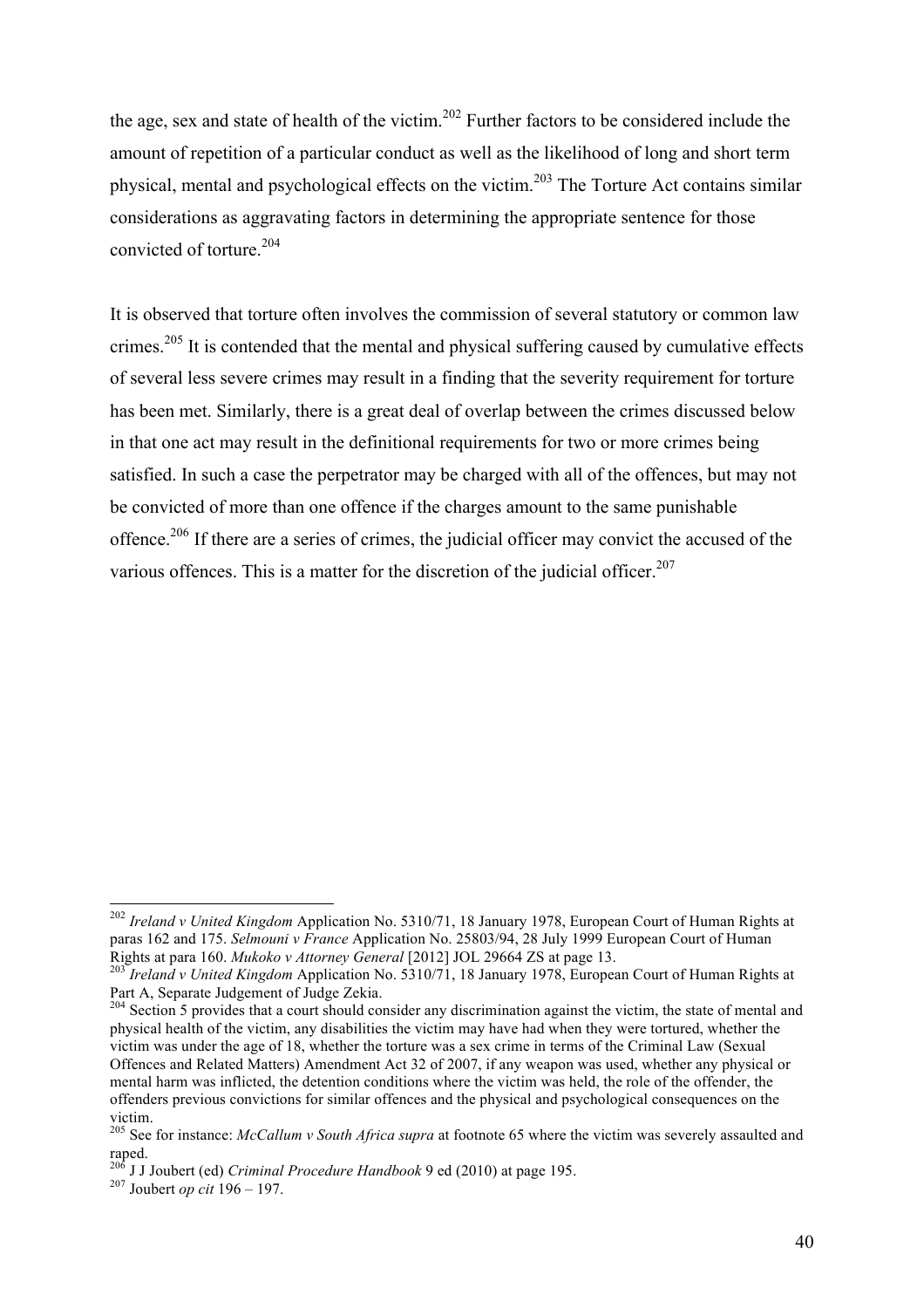the age, sex and state of health of the victim. <sup>202</sup> Further factors to be considered include the amount of repetition of a particular conduct as well as the likelihood of long and short term physical, mental and psychological effects on the victim.203 The Torture Act contains similar considerations as aggravating factors in determining the appropriate sentence for those convicted of torture.<sup>204</sup>

It is observed that torture often involves the commission of several statutory or common law crimes.<sup>205</sup> It is contended that the mental and physical suffering caused by cumulative effects of several less severe crimes may result in a finding that the severity requirement for torture has been met. Similarly, there is a great deal of overlap between the crimes discussed below in that one act may result in the definitional requirements for two or more crimes being satisfied. In such a case the perpetrator may be charged with all of the offences, but may not be convicted of more than one offence if the charges amount to the same punishable offence.<sup>206</sup> If there are a series of crimes, the judicial officer may convict the accused of the various offences. This is a matter for the discretion of the judicial officer.<sup>207</sup>

 <sup>202</sup> *Ireland v United Kingdom* Application No. 5310/71, 18 January 1978, European Court of Human Rights at paras 162 and 175. *Selmouni v France* Application No. 25803/94, 28 July 1999 European Court of Human

<sup>&</sup>lt;sup>203</sup> *Ireland v United Kingdom Application No.* 5310/71, 18 January 1978, European Court of Human Rights at Part A, Separate Judgement of Judge Zekia.

<sup>&</sup>lt;sup>204</sup> Section 5 provides that a court should consider any discrimination against the victim, the state of mental and physical health of the victim, any disabilities the victim may have had when they were tortured, whether the victim was under the age of 18, whether the torture was a sex crime in terms of the Criminal Law (Sexual Offences and Related Matters) Amendment Act 32 of 2007, if any weapon was used, whether any physical or mental harm was inflicted, the detention conditions where the victim was held, the role of the offender, the offenders previous convictions for similar offences and the physical and psychological consequences on the victim.

<sup>205</sup> See for instance: *McCallum v South Africa supra* at footnote 65 where the victim was severely assaulted and raped. 206 J J Joubert (ed) *Criminal Procedure Handbook* 9 ed (2010) at page 195. <sup>207</sup> Joubert *op cit* 196 – 197.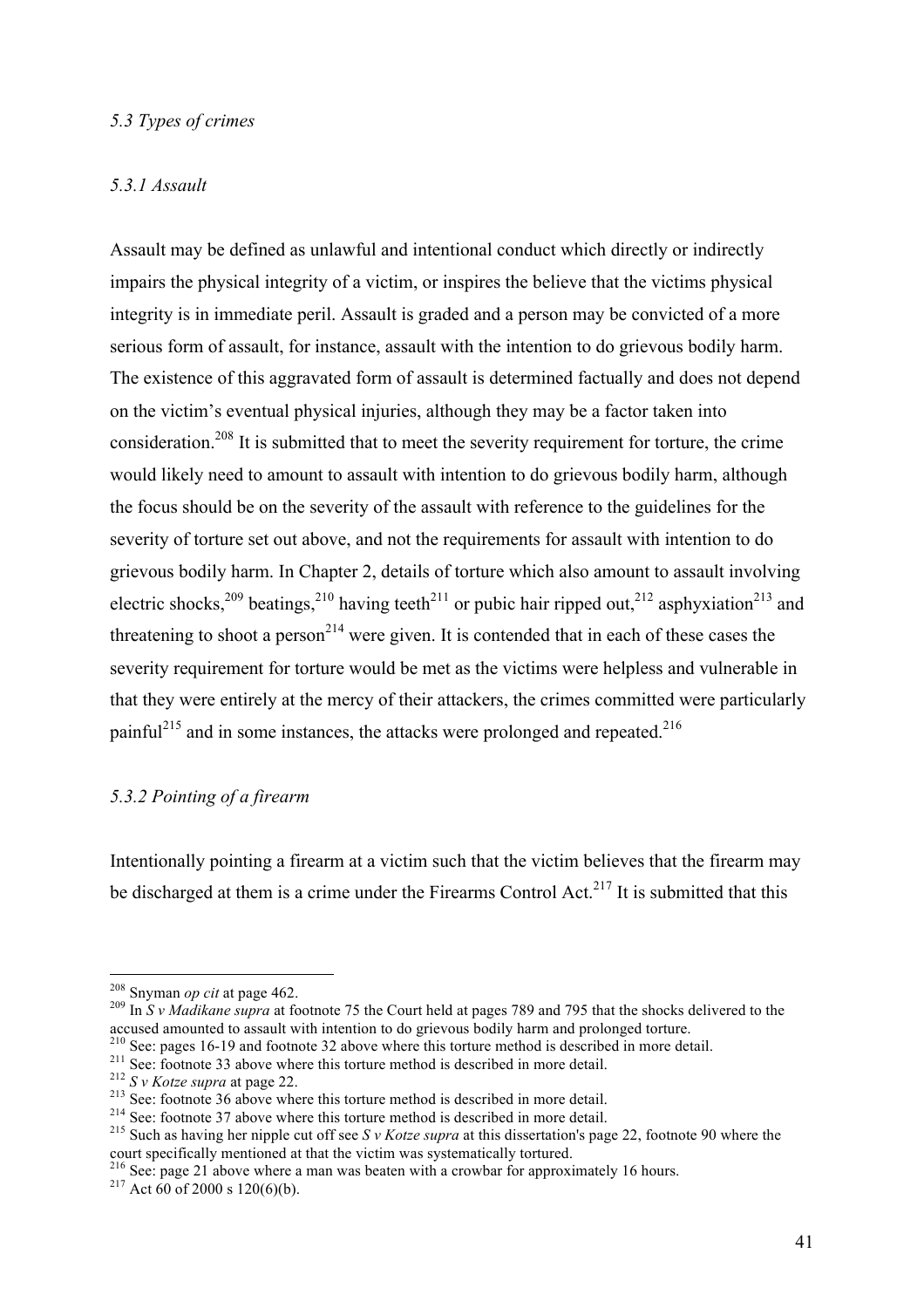## *5.3 Types of crimes*

#### *5.3.1 Assault*

Assault may be defined as unlawful and intentional conduct which directly or indirectly impairs the physical integrity of a victim, or inspires the believe that the victims physical integrity is in immediate peril. Assault is graded and a person may be convicted of a more serious form of assault, for instance, assault with the intention to do grievous bodily harm. The existence of this aggravated form of assault is determined factually and does not depend on the victim's eventual physical injuries, although they may be a factor taken into consideration.<sup>208</sup> It is submitted that to meet the severity requirement for torture, the crime would likely need to amount to assault with intention to do grievous bodily harm, although the focus should be on the severity of the assault with reference to the guidelines for the severity of torture set out above, and not the requirements for assault with intention to do grievous bodily harm. In Chapter 2, details of torture which also amount to assault involving electric shocks,<sup>209</sup> beatings,<sup>210</sup> having teeth<sup>211</sup> or pubic hair ripped out,<sup>212</sup> asphyxiation<sup>213</sup> and threatening to shoot a person<sup>214</sup> were given. It is contended that in each of these cases the severity requirement for torture would be met as the victims were helpless and vulnerable in that they were entirely at the mercy of their attackers, the crimes committed were particularly painful<sup>215</sup> and in some instances, the attacks were prolonged and repeated.<sup>216</sup>

#### *5.3.2 Pointing of a firearm*

Intentionally pointing a firearm at a victim such that the victim believes that the firearm may be discharged at them is a crime under the Firearms Control Act.<sup>217</sup> It is submitted that this

<sup>208</sup> Snyman *op cit* at page 462. <sup>209</sup> In *S v Madikane supra* at footnote 75 the Court held at pages 789 and 795 that the shocks delivered to the accused amounted to assault with intention to do grievous bodily harm and prolonged torture.<br><sup>210</sup> See: pages 16-19 and footnote 32 above where this torture method is described in more detail.

<sup>&</sup>lt;sup>211</sup> See: footnote 33 above where this torture method is described in more detail.<br><sup>212</sup> S v Kotze supra at page 22.<br><sup>213</sup> See: footnote 36 above where this torture method is described in more detail.<br><sup>214</sup> See: footnote court specifically mentioned at that the victim was systematically tortured.

<sup>&</sup>lt;sup>216</sup> See: page 21 above where a man was beaten with a crowbar for approximately 16 hours.<br><sup>217</sup> Act 60 of 2000 s 120(6)(b).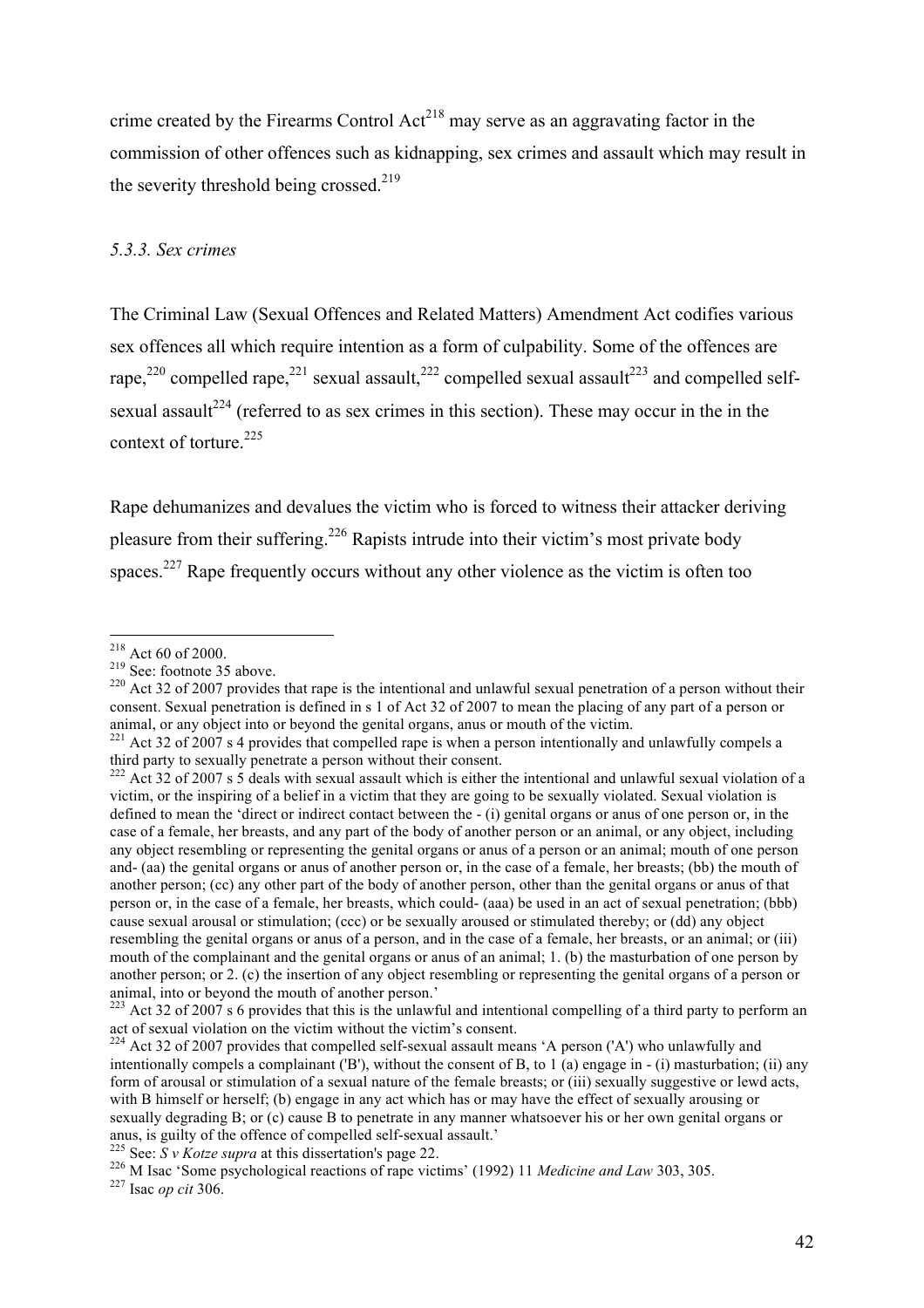crime created by the Firearms Control  $Act^{218}$  may serve as an aggravating factor in the commission of other offences such as kidnapping, sex crimes and assault which may result in the severity threshold being crossed.<sup>219</sup>

#### *5.3.3. Sex crimes*

The Criminal Law (Sexual Offences and Related Matters) Amendment Act codifies various sex offences all which require intention as a form of culpability. Some of the offences are rape,<sup>220</sup> compelled rape,<sup>221</sup> sexual assault,<sup>222</sup> compelled sexual assault<sup>223</sup> and compelled selfsexual assault<sup>224</sup> (referred to as sex crimes in this section). These may occur in the in the context of torture. $225$ 

Rape dehumanizes and devalues the victim who is forced to witness their attacker deriving pleasure from their suffering.<sup>226</sup> Rapists intrude into their victim's most private body spaces.<sup>227</sup> Rape frequently occurs without any other violence as the victim is often too

<sup>&</sup>lt;sup>218</sup> Act 60 of 2000.<br><sup>219</sup> See: footnote 35 above.<br><sup>220</sup> Act 32 of 2007 provides that rape is the intentional and unlawful sexual penetration of a person without their consent. Sexual penetration is defined in s 1 of Act 32 of 2007 to mean the placing of any part of a person or animal, or any object into or beyond the genital organs, anus or mouth of the victim.

 $221$  Act 32 of 2007 s 4 provides that compelled rape is when a person intentionally and unlawfully compels a third party to sexually penetrate a person without their consent.

 $222$  Act 32 of 2007 s 5 deals with sexual assault which is either the intentional and unlawful sexual violation of a victim, or the inspiring of a belief in a victim that they are going to be sexually violated. Sexual violation is defined to mean the 'direct or indirect contact between the - (i) genital organs or anus of one person or, in the case of a female, her breasts, and any part of the body of another person or an animal, or any object, including any object resembling or representing the genital organs or anus of a person or an animal; mouth of one person and- (aa) the genital organs or anus of another person or, in the case of a female, her breasts; (bb) the mouth of another person; (cc) any other part of the body of another person, other than the genital organs or anus of that person or, in the case of a female, her breasts, which could- (aaa) be used in an act of sexual penetration; (bbb) cause sexual arousal or stimulation; (ccc) or be sexually aroused or stimulated thereby; or (dd) any object resembling the genital organs or anus of a person, and in the case of a female, her breasts, or an animal; or (iii) mouth of the complainant and the genital organs or anus of an animal; 1. (b) the masturbation of one person by another person; or 2. (c) the insertion of any object resembling or representing the genital organs of a person or animal, into or beyond the mouth of another person.'

 $223$  Act 32 of 2007 s 6 provides that this is the unlawful and intentional compelling of a third party to perform an act of sexual violation on the victim without the victim's consent.

 $224$  Act 32 of 2007 provides that compelled self-sexual assault means 'A person ('A') who unlawfully and intentionally compels a complainant ('B'), without the consent of B, to 1 (a) engage in - (i) masturbation; (ii) any form of arousal or stimulation of a sexual nature of the female breasts; or (iii) sexually suggestive or lewd acts with B himself or herself; (b) engage in any act which has or may have the effect of sexually arousing or sexually degrading B; or (c) cause B to penetrate in any manner whatsoever his or her own genital organs or anus, is guilty of the offence of compelled self-sexual assault.

<sup>&</sup>lt;sup>225</sup> See:  $S$  *v Kotze supra* at this dissertation's page 22.<br><sup>226</sup> M Isac 'Some psychological reactions of rape victims' (1992) 11 *Medicine and Law* 303, 305.<br><sup>227</sup> Isac *op cit* 306.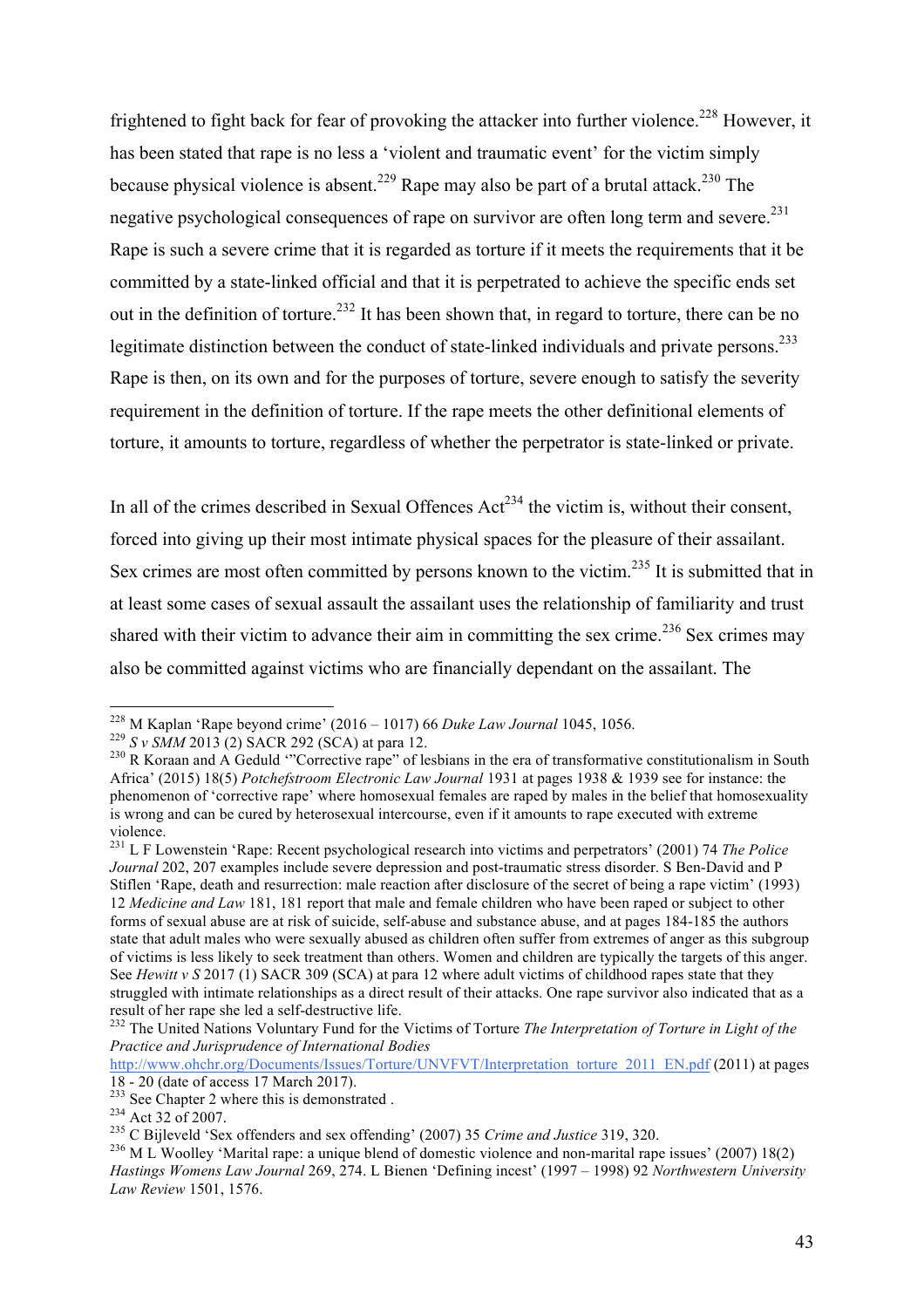frightened to fight back for fear of provoking the attacker into further violence.<sup>228</sup> However, it has been stated that rape is no less a 'violent and traumatic event' for the victim simply because physical violence is absent.<sup>229</sup> Rape may also be part of a brutal attack.<sup>230</sup> The negative psychological consequences of rape on survivor are often long term and severe.<sup>231</sup> Rape is such a severe crime that it is regarded as torture if it meets the requirements that it be committed by a state-linked official and that it is perpetrated to achieve the specific ends set out in the definition of torture.<sup>232</sup> It has been shown that, in regard to torture, there can be no legitimate distinction between the conduct of state-linked individuals and private persons.<sup>233</sup> Rape is then, on its own and for the purposes of torture, severe enough to satisfy the severity requirement in the definition of torture. If the rape meets the other definitional elements of torture, it amounts to torture, regardless of whether the perpetrator is state-linked or private.

In all of the crimes described in Sexual Offences  $Act^{234}$  the victim is, without their consent, forced into giving up their most intimate physical spaces for the pleasure of their assailant. Sex crimes are most often committed by persons known to the victim.<sup>235</sup> It is submitted that in at least some cases of sexual assault the assailant uses the relationship of familiarity and trust shared with their victim to advance their aim in committing the sex crime.<sup>236</sup> Sex crimes may also be committed against victims who are financially dependant on the assailant. The

<sup>&</sup>lt;sup>228</sup> M Kaplan 'Rape beyond crime' (2016 – 1017) 66 Duke Law Journal 1045, 1056.<br><sup>229</sup> S v SMM 2013 (2) SACR 292 (SCA) at para 12.<br><sup>230</sup> R Koraan and A Geduld "Corrective rape" of lesbians in the era of transformative con Africa' (2015) 18(5) *Potchefstroom Electronic Law Journal* 1931 at pages 1938 & 1939 see for instance: the phenomenon of 'corrective rape' where homosexual females are raped by males in the belief that homosexuality is wrong and can be cured by heterosexual intercourse, even if it amounts to rape executed with extreme violence.

<sup>231</sup> L F Lowenstein 'Rape: Recent psychological research into victims and perpetrators' (2001) 74 *The Police Journal* 202, 207 examples include severe depression and post-traumatic stress disorder. S Ben-David and P Stiflen 'Rape, death and resurrection: male reaction after disclosure of the secret of being a rape victim' (1993) 12 *Medicine and Law* 181, 181 report that male and female children who have been raped or subject to other forms of sexual abuse are at risk of suicide, self-abuse and substance abuse, and at pages 184-185 the authors state that adult males who were sexually abused as children often suffer from extremes of anger as this subgroup of victims is less likely to seek treatment than others. Women and children are typically the targets of this anger. See *Hewitt v S* 2017 (1) SACR 309 (SCA) at para 12 where adult victims of childhood rapes state that they struggled with intimate relationships as a direct result of their attacks. One rape survivor also indicated that as a

<sup>&</sup>lt;sup>232</sup> The United Nations Voluntary Fund for the Victims of Torture *The Interpretation of Torture in Light of the Practice and Jurisprudence of International Bodies*

http://www.ohchr.org/Documents/Issues/Torture/UNVFVT/Interpretation\_torture\_2011\_EN.pdf (2011) at pages 18 - 20 (date of access 17 March 2017)

<sup>&</sup>lt;sup>233</sup> See Chapter 2 where this is demonstrated .<br><sup>234</sup> Act 32 of 2007.<br><sup>235</sup> C Bijleveld 'Sex offenders and sex offending' (2007) 35 *Crime and Justice* 319, 320.<br><sup>236</sup> M L Woolley 'Marital rape: a unique blend of domestic *Hastings Womens Law Journal* 269, 274. L Bienen 'Defining incest' (1997 – 1998) 92 *Northwestern University Law Review* 1501, 1576.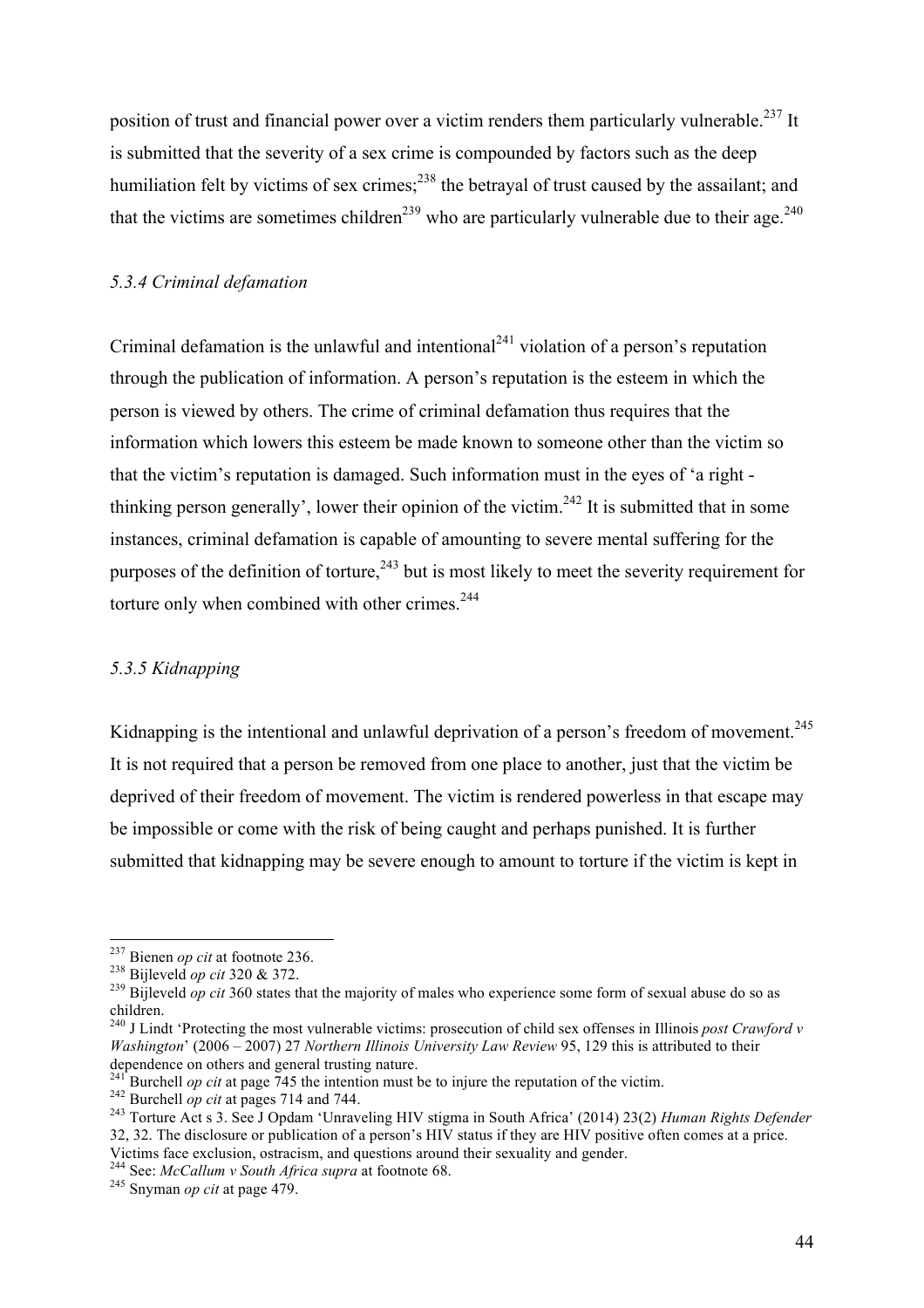position of trust and financial power over a victim renders them particularly vulnerable.<sup>237</sup> It is submitted that the severity of a sex crime is compounded by factors such as the deep humiliation felt by victims of sex crimes;<sup>238</sup> the betrayal of trust caused by the assailant; and that the victims are sometimes children<sup>239</sup> who are particularly vulnerable due to their age.<sup>240</sup>

## *5.3.4 Criminal defamation*

Criminal defamation is the unlawful and intentional<sup>241</sup> violation of a person's reputation through the publication of information. A person's reputation is the esteem in which the person is viewed by others. The crime of criminal defamation thus requires that the information which lowers this esteem be made known to someone other than the victim so that the victim's reputation is damaged. Such information must in the eyes of 'a right thinking person generally', lower their opinion of the victim.<sup>242</sup> It is submitted that in some instances, criminal defamation is capable of amounting to severe mental suffering for the purposes of the definition of torture,  $243$  but is most likely to meet the severity requirement for torture only when combined with other crimes.<sup>244</sup>

#### *5.3.5 Kidnapping*

Kidnapping is the intentional and unlawful deprivation of a person's freedom of movement.<sup>245</sup> It is not required that a person be removed from one place to another, just that the victim be deprived of their freedom of movement. The victim is rendered powerless in that escape may be impossible or come with the risk of being caught and perhaps punished. It is further submitted that kidnapping may be severe enough to amount to torture if the victim is kept in

<sup>&</sup>lt;sup>237</sup> Bienen *op cit* at footnote 236.<br><sup>238</sup> Bijleveld *op cit* 320 & 372.<br><sup>239</sup> Bijleveld *op cit* 360 states that the majority of males who experience some form of sexual abuse do so as children.

<sup>240</sup> J Lindt 'Protecting the most vulnerable victims: prosecution of child sex offenses in Illinois *post Crawford v Washington*' (2006 – 2007) 27 *Northern Illinois University Law Review* 95, 129 this is attributed to their dependence on others and general trusting nature.<br><sup>241</sup> Burchell *op cit* at page 745 the intention must be to injure the reputation of the victim.

 $^{242}$  Burchell *op cit* at pages 714 and 744.<br><sup>243</sup> Torture Act s 3. See J Opdam 'Unraveling HIV stigma in South Africa' (2014) 23(2) *Human Rights Defender* 32, 32. The disclosure or publication of a person's HIV status if they are HIV positive often comes at a price. Victims face exclusion, ostracism, and questions around their sexuality and gender. <sup>244</sup> See: *McCallum v South Africa supra* at footnote 68. <sup>245</sup> Snyman *op cit* at page 479.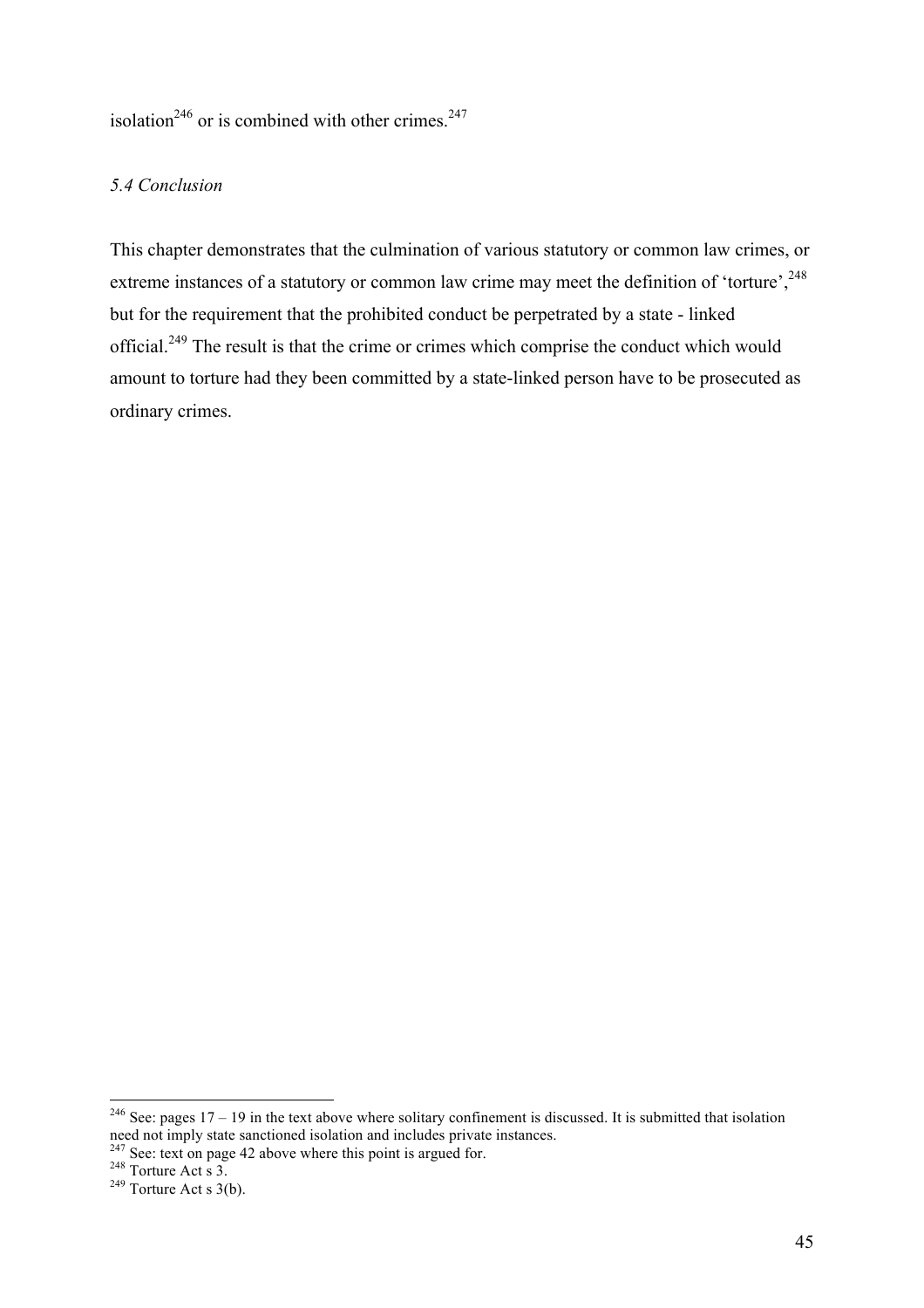isolation<sup>246</sup> or is combined with other crimes.<sup>247</sup>

#### *5.4 Conclusion*

This chapter demonstrates that the culmination of various statutory or common law crimes, or extreme instances of a statutory or common law crime may meet the definition of 'torture',<sup>248</sup> but for the requirement that the prohibited conduct be perpetrated by a state - linked official.<sup>249</sup> The result is that the crime or crimes which comprise the conduct which would amount to torture had they been committed by a state-linked person have to be prosecuted as ordinary crimes.

<sup>&</sup>lt;sup>246</sup> See: pages  $17 - 19$  in the text above where solitary confinement is discussed. It is submitted that isolation see.  $p_{\text{ageS}}$  17 – 17 in the text above where solitary commented is discussed not imply state sanctioned isolation and includes private instances.<br><sup>247</sup> See: text on page 42 above where this point is argued for.<br><sup>248</sup> T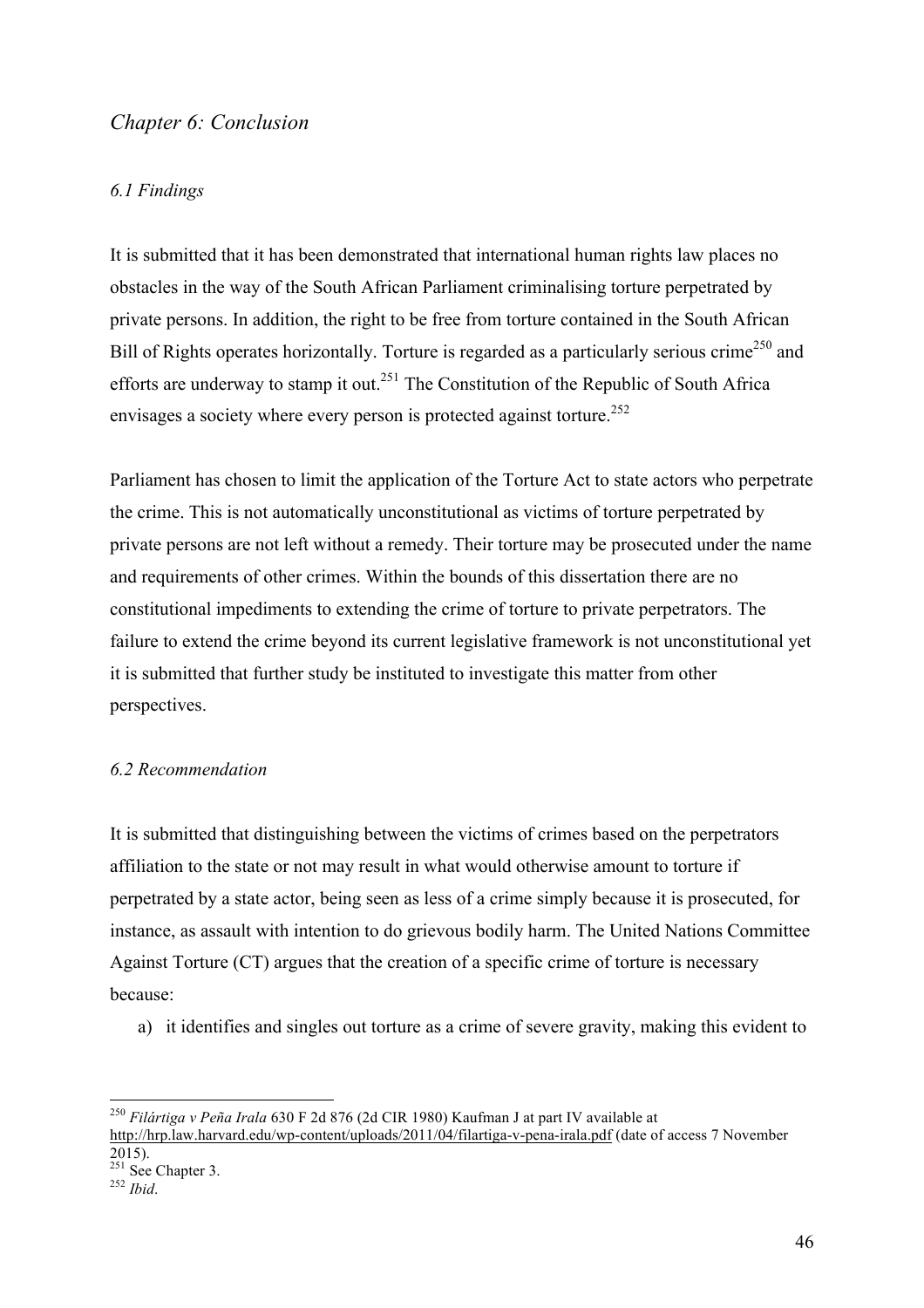# *Chapter 6: Conclusion*

#### *6.1 Findings*

It is submitted that it has been demonstrated that international human rights law places no obstacles in the way of the South African Parliament criminalising torture perpetrated by private persons. In addition, the right to be free from torture contained in the South African Bill of Rights operates horizontally. Torture is regarded as a particularly serious crime<sup>250</sup> and efforts are underway to stamp it out.<sup>251</sup> The Constitution of the Republic of South Africa envisages a society where every person is protected against torture.<sup>252</sup>

Parliament has chosen to limit the application of the Torture Act to state actors who perpetrate the crime. This is not automatically unconstitutional as victims of torture perpetrated by private persons are not left without a remedy. Their torture may be prosecuted under the name and requirements of other crimes. Within the bounds of this dissertation there are no constitutional impediments to extending the crime of torture to private perpetrators. The failure to extend the crime beyond its current legislative framework is not unconstitutional yet it is submitted that further study be instituted to investigate this matter from other perspectives.

#### *6.2 Recommendation*

It is submitted that distinguishing between the victims of crimes based on the perpetrators affiliation to the state or not may result in what would otherwise amount to torture if perpetrated by a state actor, being seen as less of a crime simply because it is prosecuted, for instance, as assault with intention to do grievous bodily harm. The United Nations Committee Against Torture (CT) argues that the creation of a specific crime of torture is necessary because:

a) it identifies and singles out torture as a crime of severe gravity, making this evident to

 <sup>250</sup> *Filártiga v Peña Irala* 630 F 2d 876 (2d CIR 1980) Kaufman J at part IV available at http://hrp.law.harvard.edu/wp-content/uploads/2011/04/filartiga-v-pena-irala.pdf (date of access 7 November 2015).

<sup>251</sup> See Chapter 3. <sup>252</sup> *Ibid*.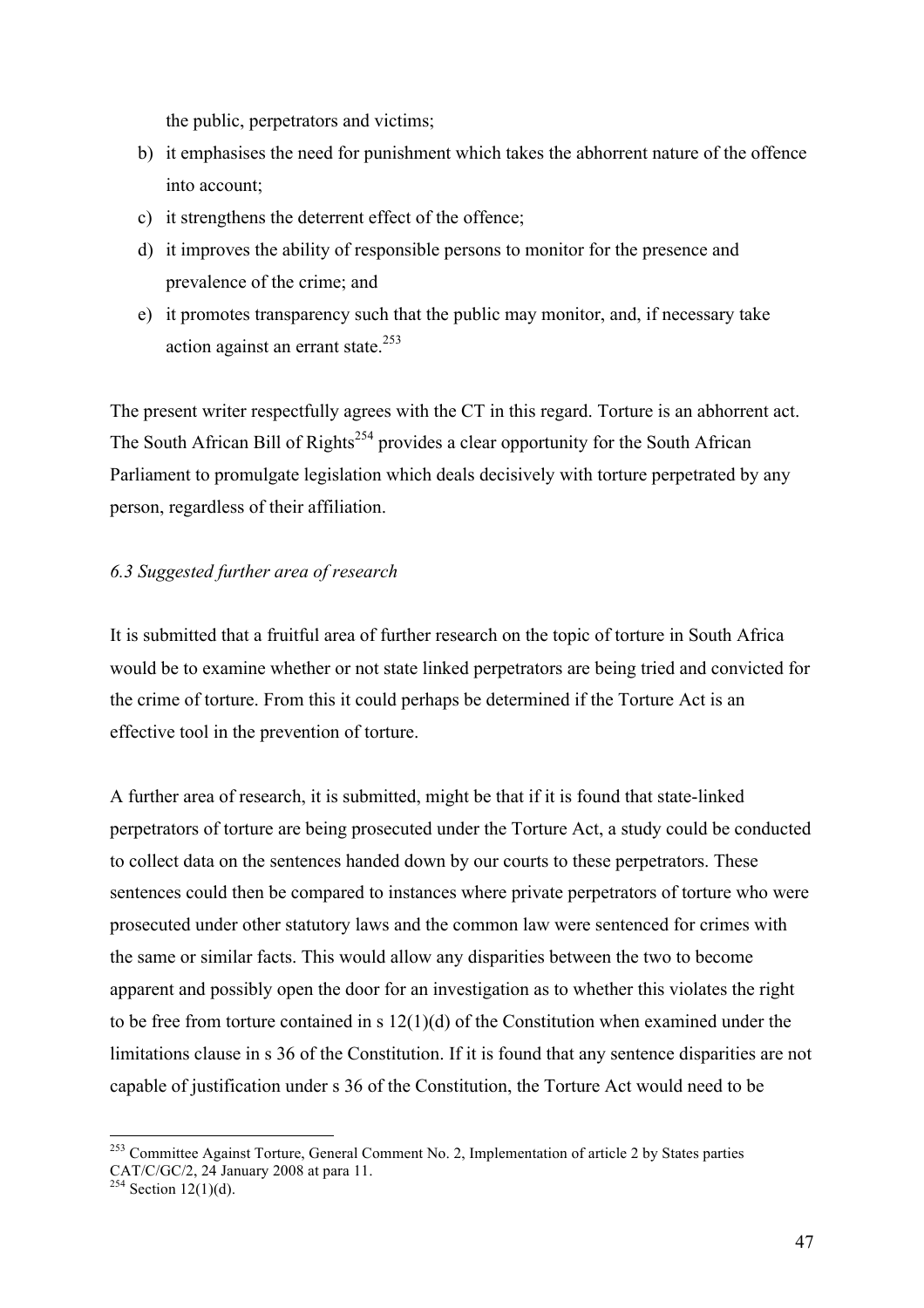the public, perpetrators and victims;

- b) it emphasises the need for punishment which takes the abhorrent nature of the offence into account;
- c) it strengthens the deterrent effect of the offence;
- d) it improves the ability of responsible persons to monitor for the presence and prevalence of the crime; and
- e) it promotes transparency such that the public may monitor, and, if necessary take action against an errant state. $253$

The present writer respectfully agrees with the CT in this regard. Torture is an abhorrent act. The South African Bill of Rights<sup>254</sup> provides a clear opportunity for the South African Parliament to promulgate legislation which deals decisively with torture perpetrated by any person, regardless of their affiliation.

## *6.3 Suggested further area of research*

It is submitted that a fruitful area of further research on the topic of torture in South Africa would be to examine whether or not state linked perpetrators are being tried and convicted for the crime of torture. From this it could perhaps be determined if the Torture Act is an effective tool in the prevention of torture.

A further area of research, it is submitted, might be that if it is found that state-linked perpetrators of torture are being prosecuted under the Torture Act, a study could be conducted to collect data on the sentences handed down by our courts to these perpetrators. These sentences could then be compared to instances where private perpetrators of torture who were prosecuted under other statutory laws and the common law were sentenced for crimes with the same or similar facts. This would allow any disparities between the two to become apparent and possibly open the door for an investigation as to whether this violates the right to be free from torture contained in s 12(1)(d) of the Constitution when examined under the limitations clause in s 36 of the Constitution. If it is found that any sentence disparities are not capable of justification under s 36 of the Constitution, the Torture Act would need to be

<sup>&</sup>lt;sup>253</sup> Committee Against Torture, General Comment No. 2, Implementation of article 2 by States parties CAT/C/GC/2, 24 January 2008 at para 11.

 $254$  Section 12(1)(d).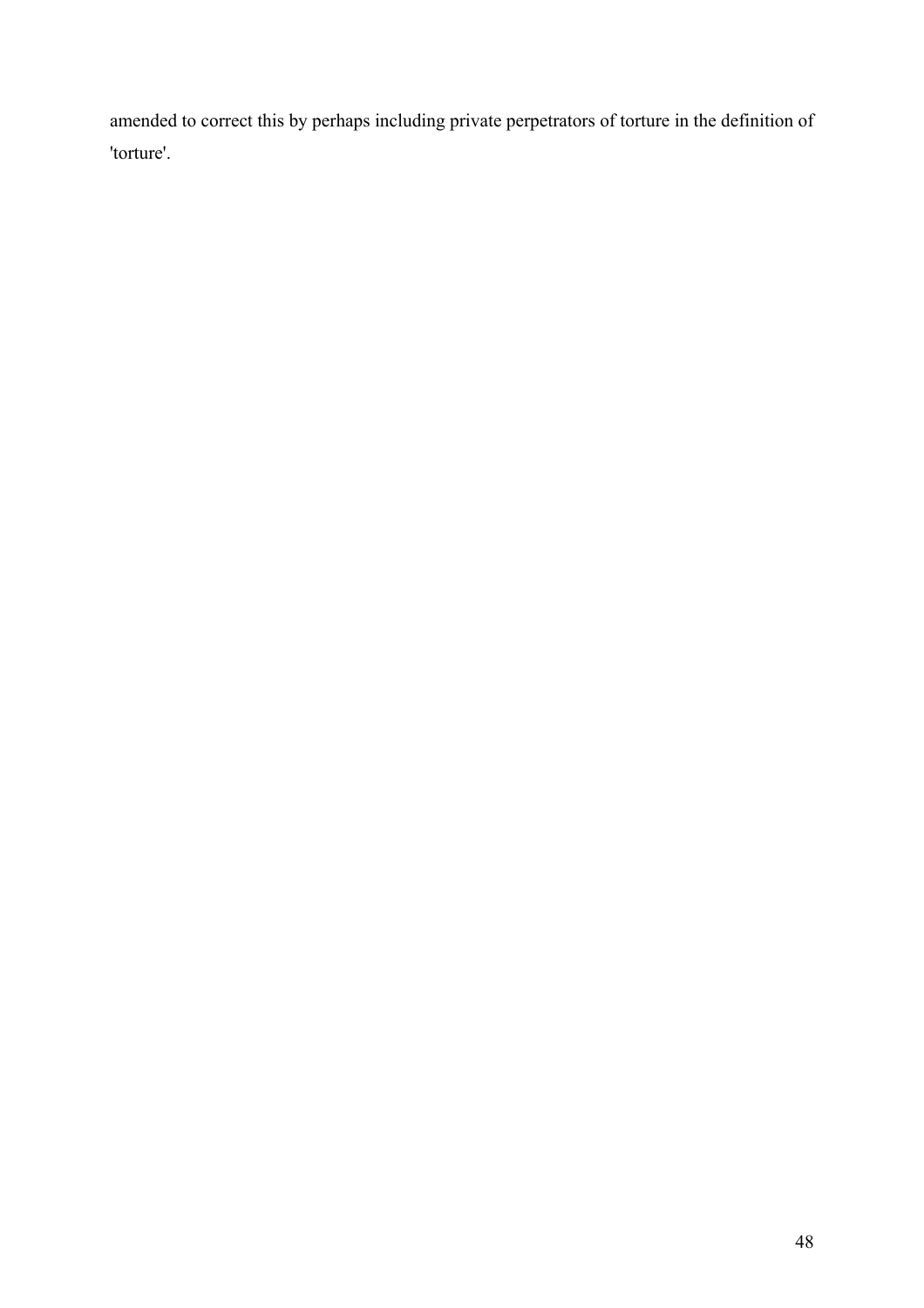amended to correct this by perhaps including private perpetrators of torture in the definition of 'torture'.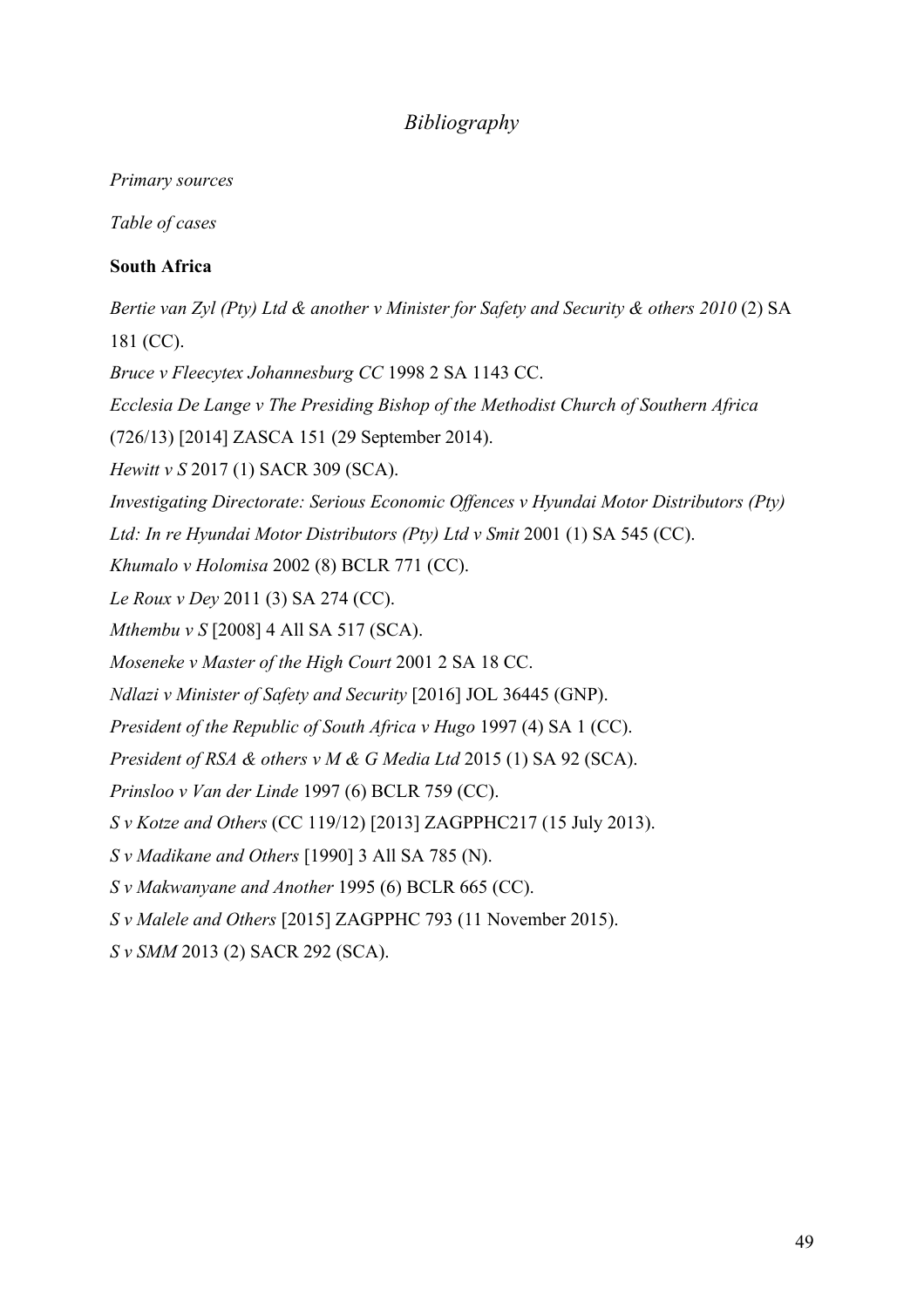# *Bibliography*

## *Primary sources*

*Table of cases*

# **South Africa**

*Bertie van Zyl (Pty) Ltd & another v Minister for Safety and Security & others 2010 (2) SA* 181 (CC).

*Bruce v Fleecytex Johannesburg CC* 1998 2 SA 1143 CC.

*Ecclesia De Lange v The Presiding Bishop of the Methodist Church of Southern Africa*

(726/13) [2014] ZASCA 151 (29 September 2014).

*Hewitt v S* 2017 (1) SACR 309 (SCA).

*Investigating Directorate: Serious Economic Offences v Hyundai Motor Distributors (Pty)* 

Ltd: In re Hyundai Motor Distributors (Pty) Ltd v Smit 2001 (1) SA 545 (CC).

*Khumalo v Holomisa* 2002 (8) BCLR 771 (CC).

*Le Roux v Dey* 2011 (3) SA 274 (CC).

*Mthembu v S* [2008] 4 All SA 517 (SCA).

*Moseneke v Master of the High Court* 2001 2 SA 18 CC.

*Ndlazi v Minister of Safety and Security* [2016] JOL 36445 (GNP).

*President of the Republic of South Africa v Hugo* 1997 (4) SA 1 (CC).

*President of RSA & others v M & G Media Ltd* 2015 (1) SA 92 (SCA).

*Prinsloo v Van der Linde* 1997 (6) BCLR 759 (CC).

*S v Kotze and Others* (CC 119/12) [2013] ZAGPPHC217 (15 July 2013).

*S v Madikane and Others* [1990] 3 All SA 785 (N).

*S v Makwanyane and Another* 1995 (6) BCLR 665 (CC).

*S v Malele and Others* [2015] ZAGPPHC 793 (11 November 2015).

*S v SMM* 2013 (2) SACR 292 (SCA).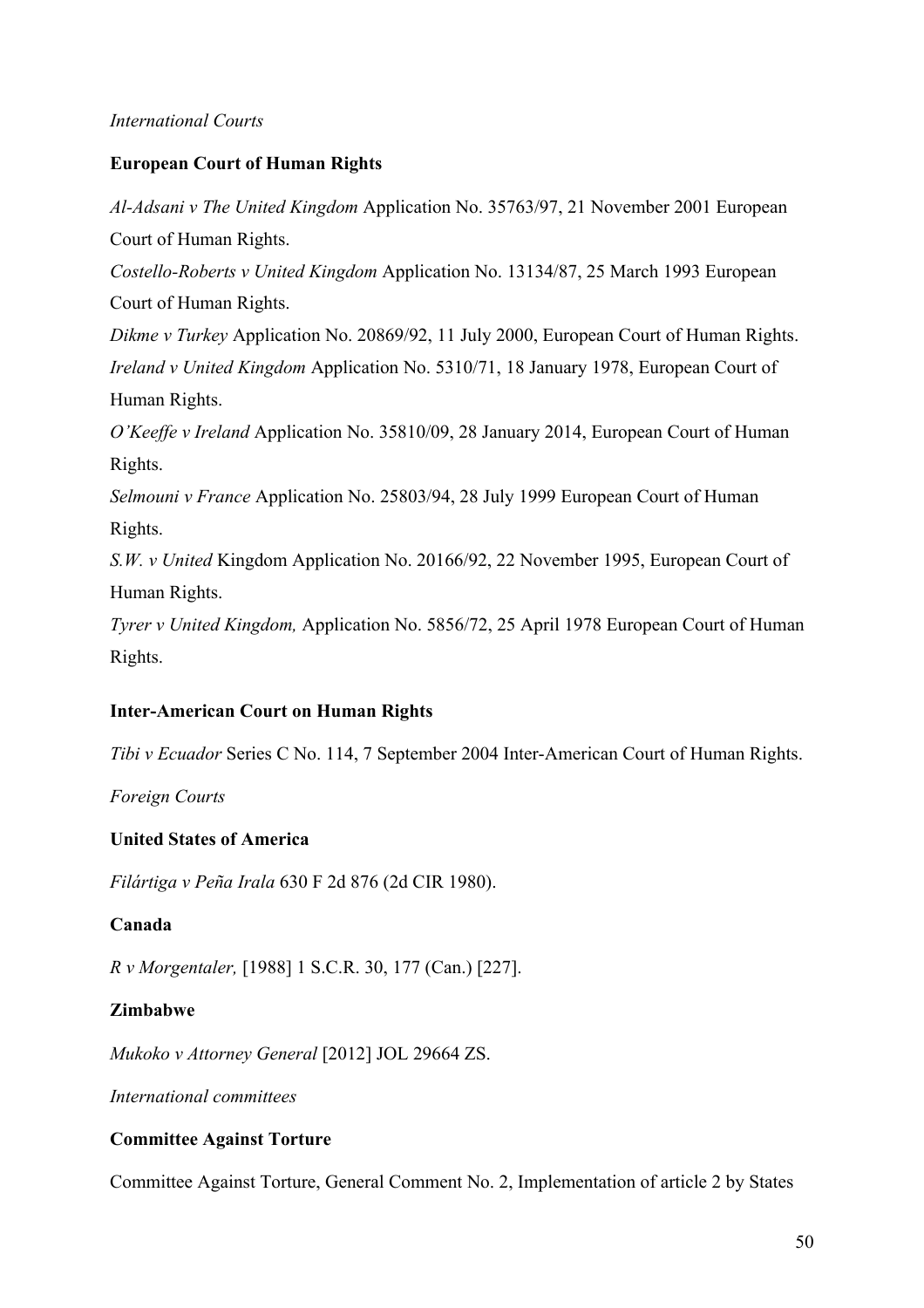## *International Courts*

## **European Court of Human Rights**

*Al-Adsani v The United Kingdom* Application No. 35763/97, 21 November 2001 European Court of Human Rights. *Costello-Roberts v United Kingdom* Application No. 13134/87, 25 March 1993 European Court of Human Rights. *Dikme v Turkey* Application No. 20869/92, 11 July 2000, European Court of Human Rights. *Ireland v United Kingdom* Application No. 5310/71, 18 January 1978, European Court of Human Rights. *O'Keeffe v Ireland* Application No. 35810/09, 28 January 2014, European Court of Human Rights. *Selmouni v France* Application No. 25803/94, 28 July 1999 European Court of Human Rights. *S.W. v United* Kingdom Application No. 20166/92, 22 November 1995, European Court of Human Rights. *Tyrer v United Kingdom,* Application No. 5856/72, 25 April 1978 European Court of Human Rights.

#### **Inter-American Court on Human Rights**

*Tibi v Ecuador* Series C No. 114, 7 September 2004 Inter-American Court of Human Rights.

*Foreign Courts*

#### **United States of America**

*Filártiga v Peña Irala* 630 F 2d 876 (2d CIR 1980).

#### **Canada**

*R v Morgentaler,* [1988] 1 S.C.R. 30, 177 (Can.) [227].

## **Zimbabwe**

*Mukoko v Attorney General* [2012] JOL 29664 ZS.

*International committees*

## **Committee Against Torture**

Committee Against Torture, General Comment No. 2, Implementation of article 2 by States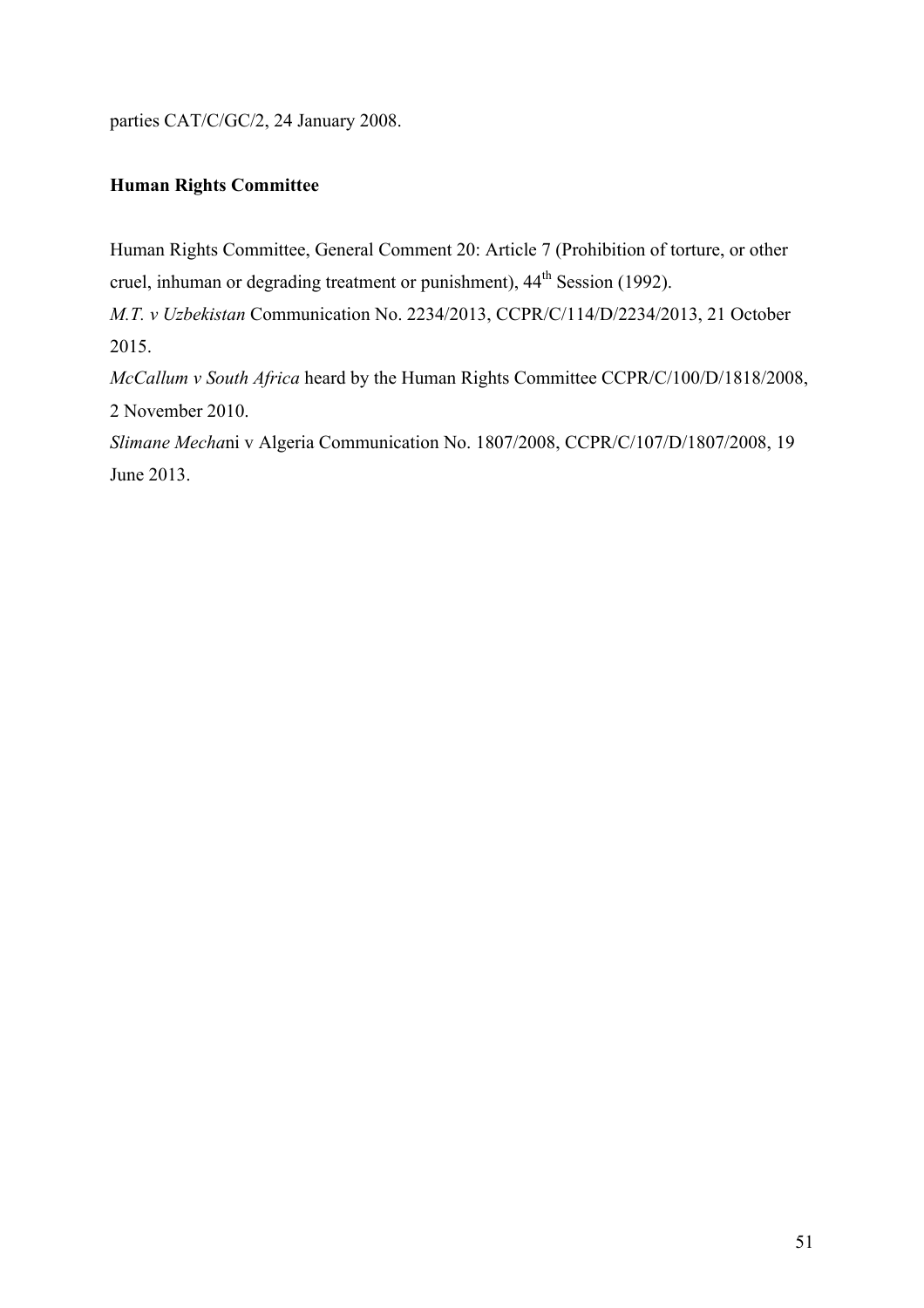parties CAT/C/GC/2, 24 January 2008.

# **Human Rights Committee**

Human Rights Committee, General Comment 20: Article 7 (Prohibition of torture, or other cruel, inhuman or degrading treatment or punishment),  $44^{\text{th}}$  Session (1992).

*M.T. v Uzbekistan* Communication No. 2234/2013, CCPR/C/114/D/2234/2013, 21 October 2015.

*McCallum v South Africa* heard by the Human Rights Committee CCPR/C/100/D/1818/2008, 2 November 2010.

*Slimane Mecha*ni v Algeria Communication No. 1807/2008, CCPR/C/107/D/1807/2008, 19 June 2013.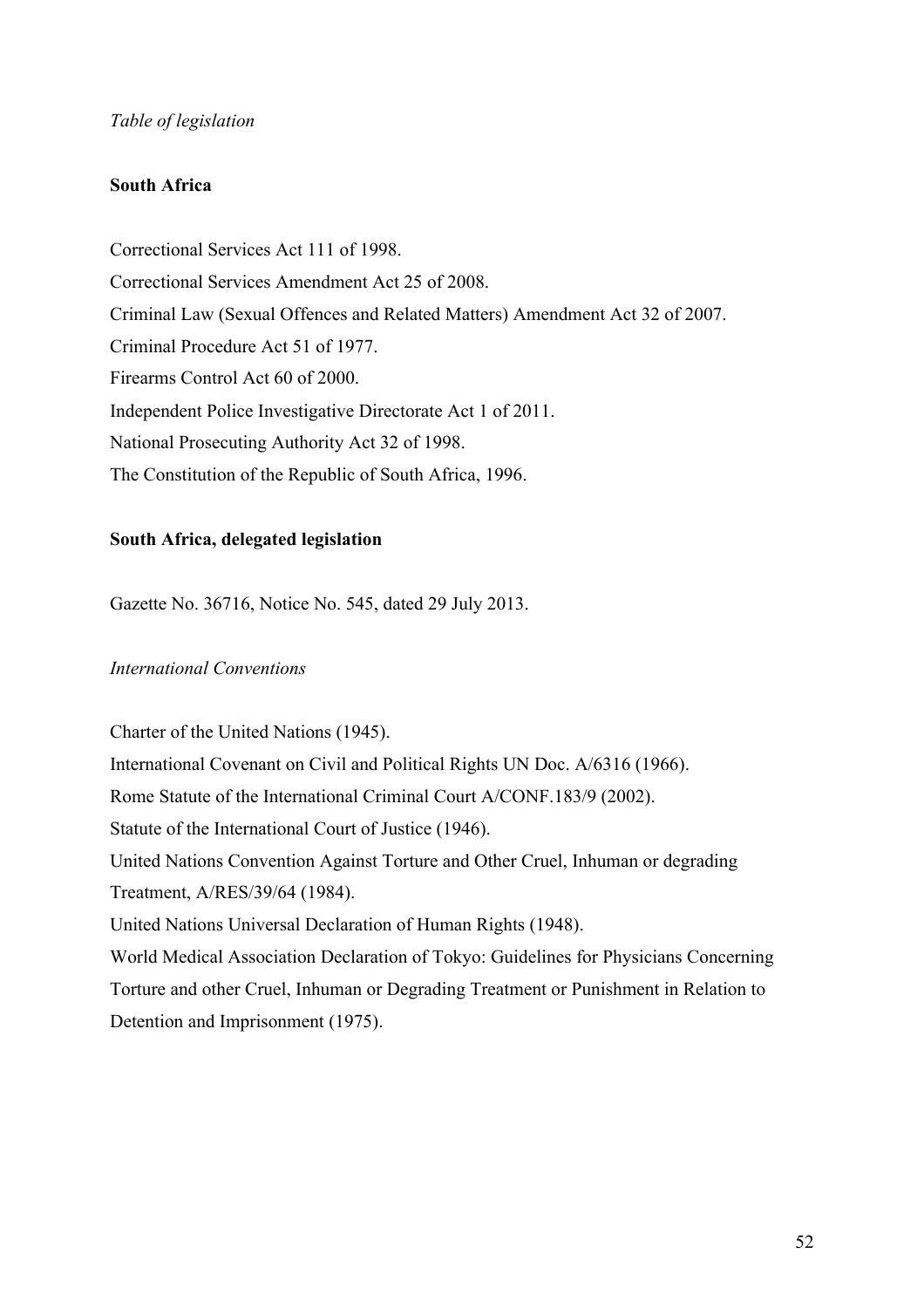## *Table of legislation*

#### **South Africa**

Correctional Services Act 111 of 1998. Correctional Services Amendment Act 25 of 2008. Criminal Law (Sexual Offences and Related Matters) Amendment Act 32 of 2007. Criminal Procedure Act 51 of 1977. Firearms Control Act 60 of 2000. Independent Police Investigative Directorate Act 1 of 2011. National Prosecuting Authority Act 32 of 1998. The Constitution of the Republic of South Africa, 1996.

## **South Africa, delegated legislation**

Gazette No. 36716, Notice No. 545, dated 29 July 2013.

## *International Conventions*

Charter of the United Nations (1945). International Covenant on Civil and Political Rights UN Doc. A/6316 (1966). Rome Statute of the International Criminal Court A/CONF.183/9 (2002). Statute of the International Court of Justice (1946). United Nations Convention Against Torture and Other Cruel, Inhuman or degrading Treatment, A/RES/39/64 (1984). United Nations Universal Declaration of Human Rights (1948). World Medical Association Declaration of Tokyo: Guidelines for Physicians Concerning Torture and other Cruel, Inhuman or Degrading Treatment or Punishment in Relation to Detention and Imprisonment (1975).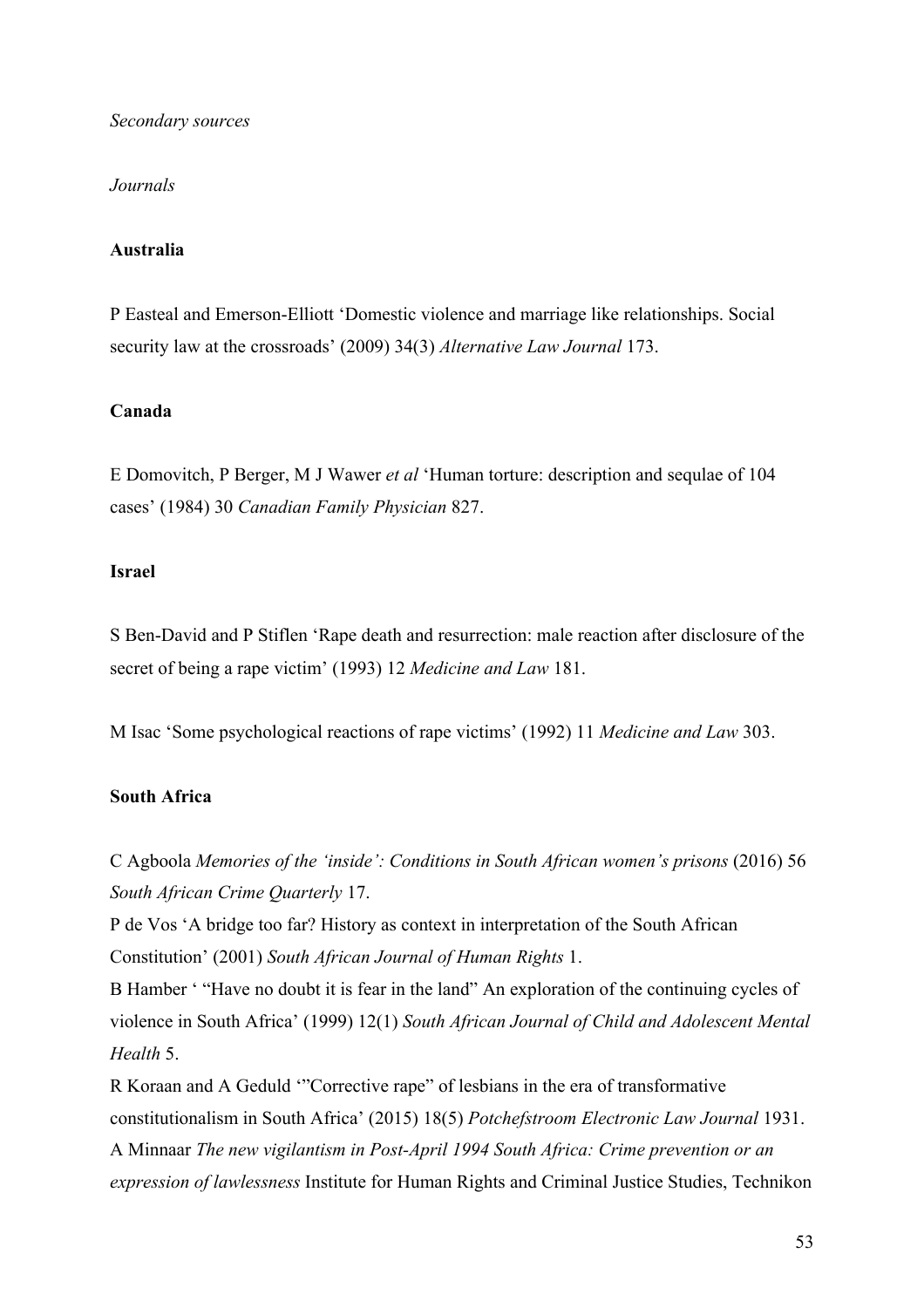#### *Secondary sources*

#### *Journals*

#### **Australia**

P Easteal and Emerson-Elliott 'Domestic violence and marriage like relationships. Social security law at the crossroads' (2009) 34(3) *Alternative Law Journal* 173.

#### **Canada**

E Domovitch, P Berger, M J Wawer *et al* 'Human torture: description and sequlae of 104 cases' (1984) 30 *Canadian Family Physician* 827.

#### **Israel**

S Ben-David and P Stiflen 'Rape death and resurrection: male reaction after disclosure of the secret of being a rape victim' (1993) 12 *Medicine and Law* 181.

M Isac 'Some psychological reactions of rape victims' (1992) 11 *Medicine and Law* 303.

## **South Africa**

C Agboola *Memories of the 'inside': Conditions in South African women's prisons* (2016) 56 *South African Crime Quarterly* 17.

P de Vos 'A bridge too far? History as context in interpretation of the South African Constitution' (2001) *South African Journal of Human Rights* 1.

B Hamber ' "Have no doubt it is fear in the land" An exploration of the continuing cycles of violence in South Africa' (1999) 12(1) *South African Journal of Child and Adolescent Mental Health* 5.

R Koraan and A Geduld '"Corrective rape" of lesbians in the era of transformative constitutionalism in South Africa' (2015) 18(5) *Potchefstroom Electronic Law Journal* 1931. A Minnaar *The new vigilantism in Post-April 1994 South Africa: Crime prevention or an expression of lawlessness* Institute for Human Rights and Criminal Justice Studies, Technikon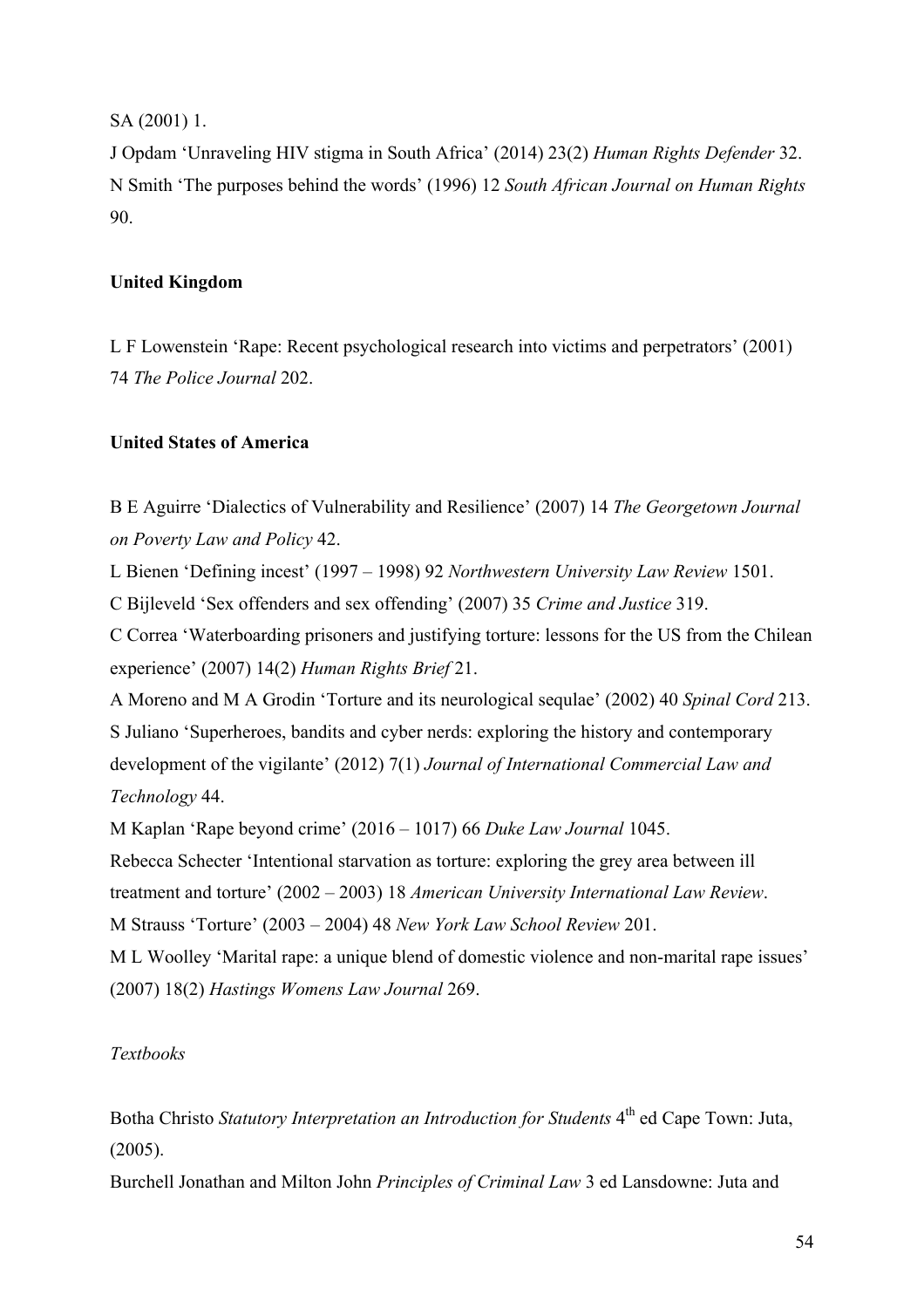SA (2001) 1.

J Opdam 'Unraveling HIV stigma in South Africa' (2014) 23(2) *Human Rights Defender* 32. N Smith 'The purposes behind the words' (1996) 12 *South African Journal on Human Rights* 90.

# **United Kingdom**

L F Lowenstein 'Rape: Recent psychological research into victims and perpetrators' (2001) 74 *The Police Journal* 202.

# **United States of America**

B E Aguirre 'Dialectics of Vulnerability and Resilience' (2007) 14 *The Georgetown Journal on Poverty Law and Policy* 42.

L Bienen 'Defining incest' (1997 – 1998) 92 *Northwestern University Law Review* 1501.

C Bijleveld 'Sex offenders and sex offending' (2007) 35 *Crime and Justice* 319.

C Correa 'Waterboarding prisoners and justifying torture: lessons for the US from the Chilean experience' (2007) 14(2) *Human Rights Brief* 21.

A Moreno and M A Grodin 'Torture and its neurological sequlae' (2002) 40 *Spinal Cord* 213. S Juliano 'Superheroes, bandits and cyber nerds: exploring the history and contemporary development of the vigilante' (2012) 7(1) *Journal of International Commercial Law and Technology* 44.

M Kaplan 'Rape beyond crime' (2016 – 1017) 66 *Duke Law Journal* 1045.

Rebecca Schecter 'Intentional starvation as torture: exploring the grey area between ill treatment and torture' (2002 – 2003) 18 *American University International Law Review*. M Strauss 'Torture' (2003 – 2004) 48 *New York Law School Review* 201.

M L Woolley 'Marital rape: a unique blend of domestic violence and non-marital rape issues' (2007) 18(2) *Hastings Womens Law Journal* 269.

# *Textbooks*

Botha Christo *Statutory Interpretation an Introduction for Students* 4<sup>th</sup> ed Cape Town: Juta, (2005).

Burchell Jonathan and Milton John *Principles of Criminal Law* 3 ed Lansdowne: Juta and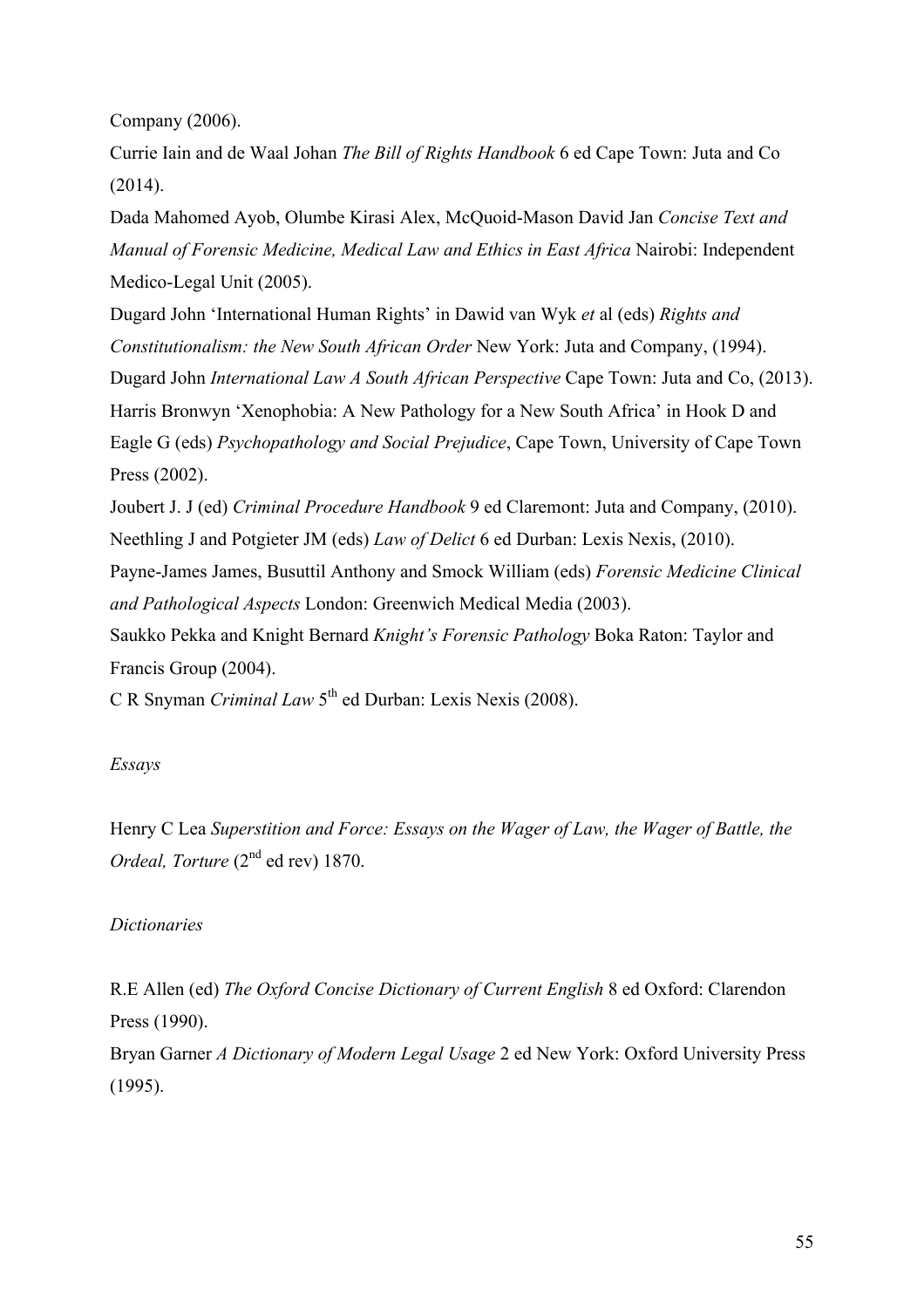Company (2006).

Currie Iain and de Waal Johan *The Bill of Rights Handbook* 6 ed Cape Town: Juta and Co (2014).

Dada Mahomed Ayob, Olumbe Kirasi Alex, McQuoid-Mason David Jan *Concise Text and Manual of Forensic Medicine, Medical Law and Ethics in East Africa* Nairobi: Independent Medico-Legal Unit (2005).

Dugard John 'International Human Rights' in Dawid van Wyk *et* al (eds) *Rights and Constitutionalism: the New South African Order* New York: Juta and Company, (1994). Dugard John *International Law A South African Perspective* Cape Town: Juta and Co, (2013). Harris Bronwyn 'Xenophobia: A New Pathology for a New South Africa' in Hook D and Eagle G (eds) *Psychopathology and Social Prejudice*, Cape Town, University of Cape Town Press (2002).

Joubert J. J (ed) *Criminal Procedure Handbook* 9 ed Claremont: Juta and Company, (2010). Neethling J and Potgieter JM (eds) *Law of Delict* 6 ed Durban: Lexis Nexis, (2010).

Payne-James James, Busuttil Anthony and Smock William (eds) *Forensic Medicine Clinical and Pathological Aspects* London: Greenwich Medical Media (2003).

Saukko Pekka and Knight Bernard *Knight's Forensic Pathology* Boka Raton: Taylor and Francis Group (2004).

C R Snyman *Criminal Law* 5th ed Durban: Lexis Nexis (2008).

# *Essays*

Henry C Lea *Superstition and Force: Essays on the Wager of Law, the Wager of Battle, the Ordeal, Torture* (2<sup>nd</sup> ed rev) 1870.

## *Dictionaries*

R.E Allen (ed) *The Oxford Concise Dictionary of Current English* 8 ed Oxford: Clarendon Press (1990).

Bryan Garner *A Dictionary of Modern Legal Usage* 2 ed New York: Oxford University Press (1995).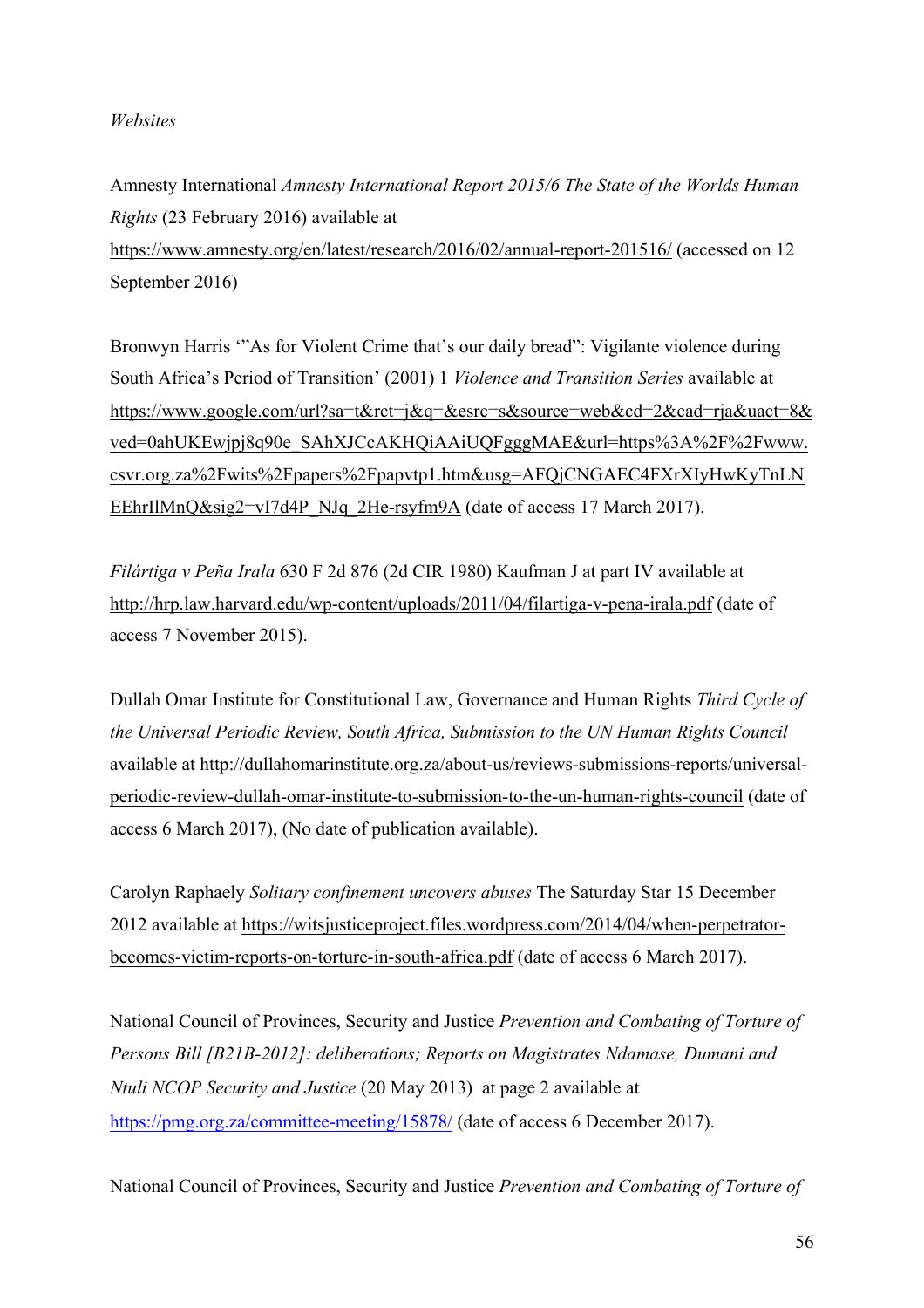## *Websites*

Amnesty International *Amnesty International Report 2015/6 The State of the Worlds Human Rights* (23 February 2016) available at https://www.amnesty.org/en/latest/research/2016/02/annual-report-201516/ (accessed on 12 September 2016)

Bronwyn Harris '"As for Violent Crime that's our daily bread": Vigilante violence during South Africa's Period of Transition' (2001) 1 *Violence and Transition Series* available at https://www.google.com/url?sa=t&rct=j&q=&esrc=s&source=web&cd=2&cad=rja&uact=8& ved=0ahUKEwjpj8q90e\_SAhXJCcAKHQiAAiUQFgggMAE&url=https%3A%2F%2Fwww. csvr.org.za%2Fwits%2Fpapers%2Fpapvtp1.htm&usg=AFQjCNGAEC4FXrXIyHwKyTnLN EEhrIlMnQ&sig2=vI7d4P\_NJq\_2He-rsyfm9A (date of access 17 March 2017).

*Filártiga v Peña Irala* 630 F 2d 876 (2d CIR 1980) Kaufman J at part IV available at http://hrp.law.harvard.edu/wp-content/uploads/2011/04/filartiga-v-pena-irala.pdf (date of access 7 November 2015).

Dullah Omar Institute for Constitutional Law, Governance and Human Rights *Third Cycle of the Universal Periodic Review, South Africa, Submission to the UN Human Rights Council* available at http://dullahomarinstitute.org.za/about-us/reviews-submissions-reports/universalperiodic-review-dullah-omar-institute-to-submission-to-the-un-human-rights-council (date of access 6 March 2017), (No date of publication available).

Carolyn Raphaely *Solitary confinement uncovers abuses* The Saturday Star 15 December 2012 available at https://witsjusticeproject.files.wordpress.com/2014/04/when-perpetratorbecomes-victim-reports-on-torture-in-south-africa.pdf (date of access 6 March 2017).

National Council of Provinces, Security and Justice *Prevention and Combating of Torture of Persons Bill [B21B-2012]: deliberations; Reports on Magistrates Ndamase, Dumani and Ntuli NCOP Security and Justice* (20 May 2013) at page 2 available at https://pmg.org.za/committee-meeting/15878/ (date of access 6 December 2017).

National Council of Provinces, Security and Justice *Prevention and Combating of Torture of*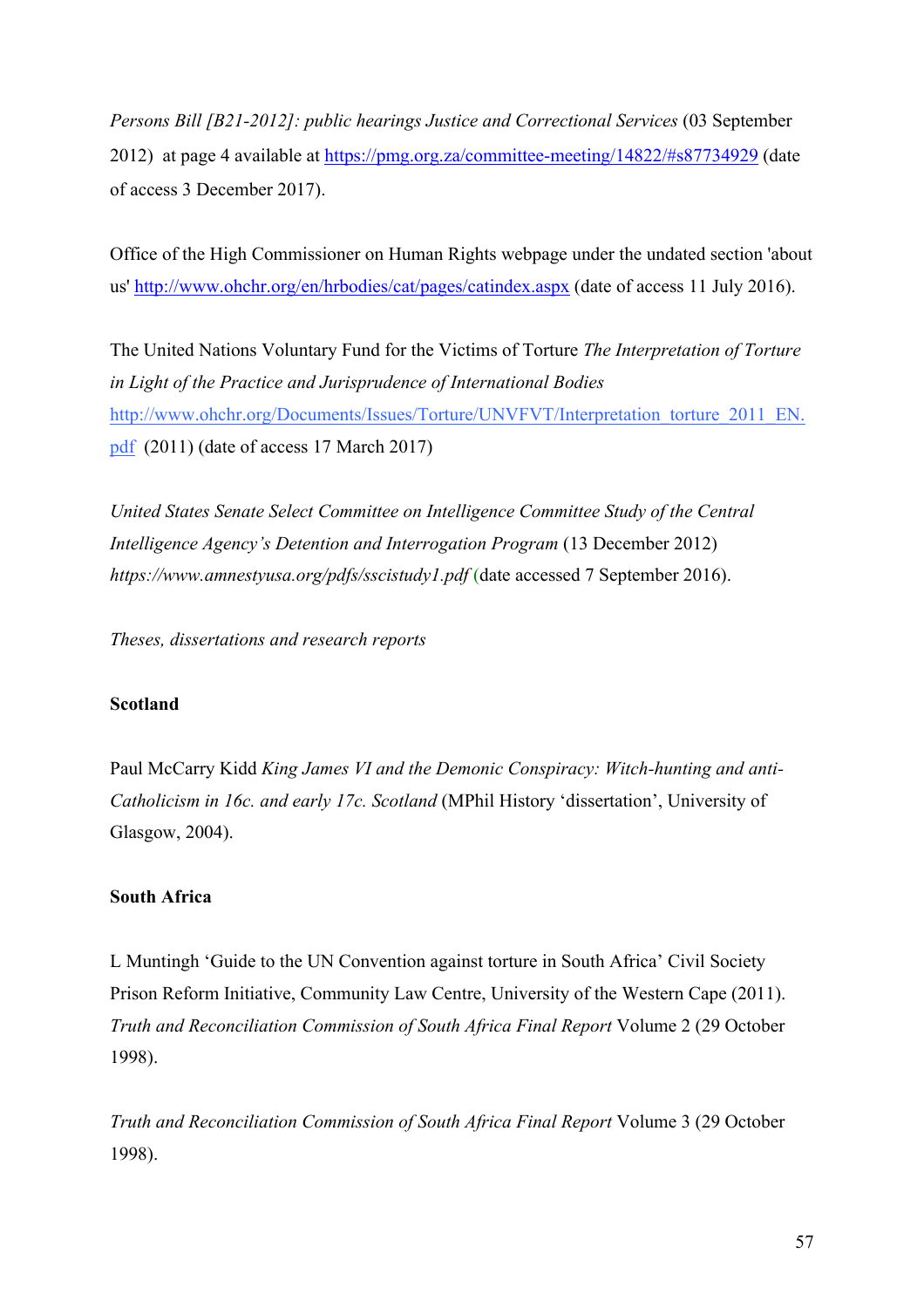*Persons Bill [B21-2012]: public hearings Justice and Correctional Services* (03 September 2012) at page 4 available at https://pmg.org.za/committee-meeting/14822/#s87734929 (date of access 3 December 2017).

Office of the High Commissioner on Human Rights webpage under the undated section 'about us' http://www.ohchr.org/en/hrbodies/cat/pages/catindex.aspx (date of access 11 July 2016).

The United Nations Voluntary Fund for the Victims of Torture *The Interpretation of Torture in Light of the Practice and Jurisprudence of International Bodies* http://www.ohchr.org/Documents/Issues/Torture/UNVFVT/Interpretation\_torture\_2011\_EN. pdf (2011) (date of access 17 March 2017)

*United States Senate Select Committee on Intelligence Committee Study of the Central Intelligence Agency's Detention and Interrogation Program* (13 December 2012) *https://www.amnestyusa.org/pdfs/sscistudy1.pdf* (date accessed 7 September 2016).

*Theses, dissertations and research reports*

## **Scotland**

Paul McCarry Kidd *King James VI and the Demonic Conspiracy: Witch-hunting and anti-Catholicism in 16c. and early 17c. Scotland* (MPhil History 'dissertation', University of Glasgow, 2004).

#### **South Africa**

L Muntingh 'Guide to the UN Convention against torture in South Africa' Civil Society Prison Reform Initiative, Community Law Centre, University of the Western Cape (2011). *Truth and Reconciliation Commission of South Africa Final Report* Volume 2 (29 October 1998).

*Truth and Reconciliation Commission of South Africa Final Report* Volume 3 (29 October 1998).